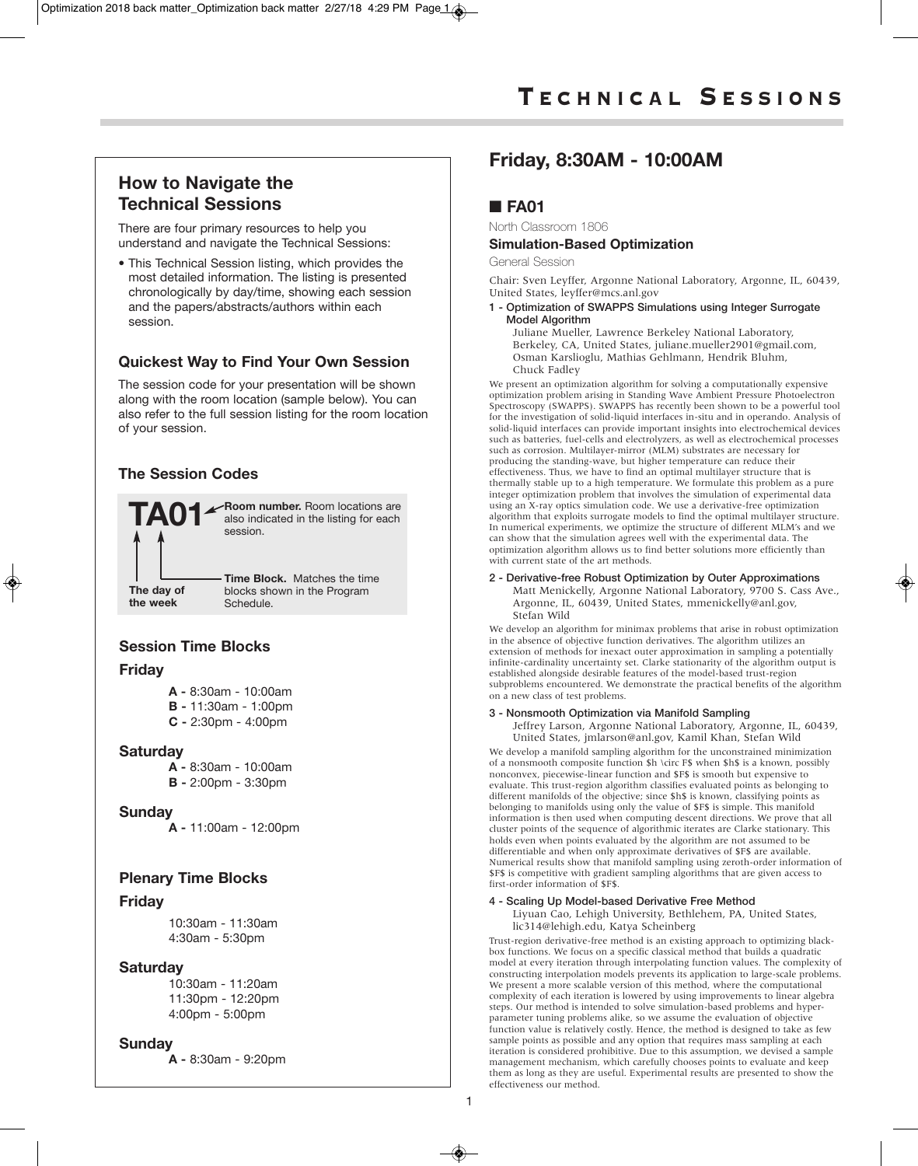# **How to Navigate the Technical Sessions**

There are four primary resources to help you understand and navigate the Technical Sessions:

• This Technical Session listing, which provides the most detailed information. The listing is presented chronologically by day/time, showing each session and the papers/abstracts/authors within each session.

# **Quickest Way to Find Your Own Session**

The session code for your presentation will be shown along with the room location (sample below). You can also refer to the full session listing for the room location of your session.

# **The Session Codes**



# **Session Time Blocks**

### **Friday**

- **A -** 8:30am 10:00am
- **B -** 11:30am 1:00pm **C -** 2:30pm - 4:00pm
- **Saturday**
	- **A -** 8:30am 10:00am
	- **B -** 2:00pm 3:30pm

### **Sunday**

**A -** 11:00am - 12:00pm

## **Plenary Time Blocks**

### **Friday**

10:30am - 11:30am 4:30am - 5:30pm

### **Saturday**

10:30am - 11:20am 11:30pm - 12:20pm 4:00pm - 5:00pm

## **Sunday**

**A -** 8:30am - 9:20pm

# **Friday, 8:30AM - 10:00AM**

# ■ **FA01**

North Classroom 1806

### **Simulation-Based Optimization**

General Session

Chair: Sven Leyffer, Argonne National Laboratory, Argonne, IL, 60439, United States, leyffer@mcs.anl.gov

### **1 - Optimization of SWAPPS Simulations using Integer Surrogate Model Algorithm**

Juliane Mueller, Lawrence Berkeley National Laboratory, Berkeley, CA, United States, juliane.mueller2901@gmail.com, Osman Karslioglu, Mathias Gehlmann, Hendrik Bluhm, Chuck Fadley

We present an optimization algorithm for solving a computationally expensive optimization problem arising in Standing Wave Ambient Pressure Photoelectron Spectroscopy (SWAPPS). SWAPPS has recently been shown to be a powerful tool for the investigation of solid-liquid interfaces in-situ and in operando. Analysis of solid-liquid interfaces can provide important insights into electrochemical devices such as batteries, fuel-cells and electrolyzers, as well as electrochemical processes such as corrosion. Multilayer-mirror (MLM) substrates are necessary for producing the standing-wave, but higher temperature can reduce their effectiveness. Thus, we have to find an optimal multilayer structure that is thermally stable up to a high temperature. We formulate this problem as a pure integer optimization problem that involves the simulation of experimental data using an X-ray optics simulation code. We use a derivative-free optimization algorithm that exploits surrogate models to find the optimal multilayer structure. In numerical experiments, we optimize the structure of different MLM's and we can show that the simulation agrees well with the experimental data. The optimization algorithm allows us to find better solutions more efficiently than with current state of the art methods.

**2 - Derivative-free Robust Optimization by Outer Approximations** Matt Menickelly, Argonne National Laboratory, 9700 S. Cass Ave., Argonne, IL, 60439, United States, mmenickelly@anl.gov, Stefan Wild

We develop an algorithm for minimax problems that arise in robust optimization in the absence of objective function derivatives. The algorithm utilizes an extension of methods for inexact outer approximation in sampling a potentially infinite-cardinality uncertainty set. Clarke stationarity of the algorithm output is established alongside desirable features of the model-based trust-region subproblems encountered. We demonstrate the practical benefits of the algorithm on a new class of test problems.

### **3 - Nonsmooth Optimization via Manifold Sampling**

Jeffrey Larson, Argonne National Laboratory, Argonne, IL, 60439, United States, jmlarson@anl.gov, Kamil Khan, Stefan Wild

We develop a manifold sampling algorithm for the unconstrained minimization of a nonsmooth composite function \$h \circ F\$ when \$h\$ is a known, possibly nonconvex, piecewise-linear function and \$F\$ is smooth but expensive to evaluate. This trust-region algorithm classifies evaluated points as belonging to different manifolds of the objective; since \$h\$ is known, classifying points as belonging to manifolds using only the value of \$F\$ is simple. This manifold information is then used when computing descent directions. We prove that all cluster points of the sequence of algorithmic iterates are Clarke stationary. This holds even when points evaluated by the algorithm are not assumed to be differentiable and when only approximate derivatives of \$F\$ are available. Numerical results show that manifold sampling using zeroth-order information of \$F\$ is competitive with gradient sampling algorithms that are given access to first-order information of \$F\$.

### **4 - Scaling Up Model-based Derivative Free Method**

Liyuan Cao, Lehigh University, Bethlehem, PA, United States, lic314@lehigh.edu, Katya Scheinberg

Trust-region derivative-free method is an existing approach to optimizing blackbox functions. We focus on a specific classical method that builds a quadratic model at every iteration through interpolating function values. The complexity of constructing interpolation models prevents its application to large-scale problems. We present a more scalable version of this method, where the computational complexity of each iteration is lowered by using improvements to linear algebra steps. Our method is intended to solve simulation-based problems and hyperparameter tuning problems alike, so we assume the evaluation of objective function value is relatively costly. Hence, the method is designed to take as few sample points as possible and any option that requires mass sampling at each iteration is considered prohibitive. Due to this assumption, we devised a sample management mechanism, which carefully chooses points to evaluate and keep them as long as they are useful. Experimental results are presented to show the effectiveness our method.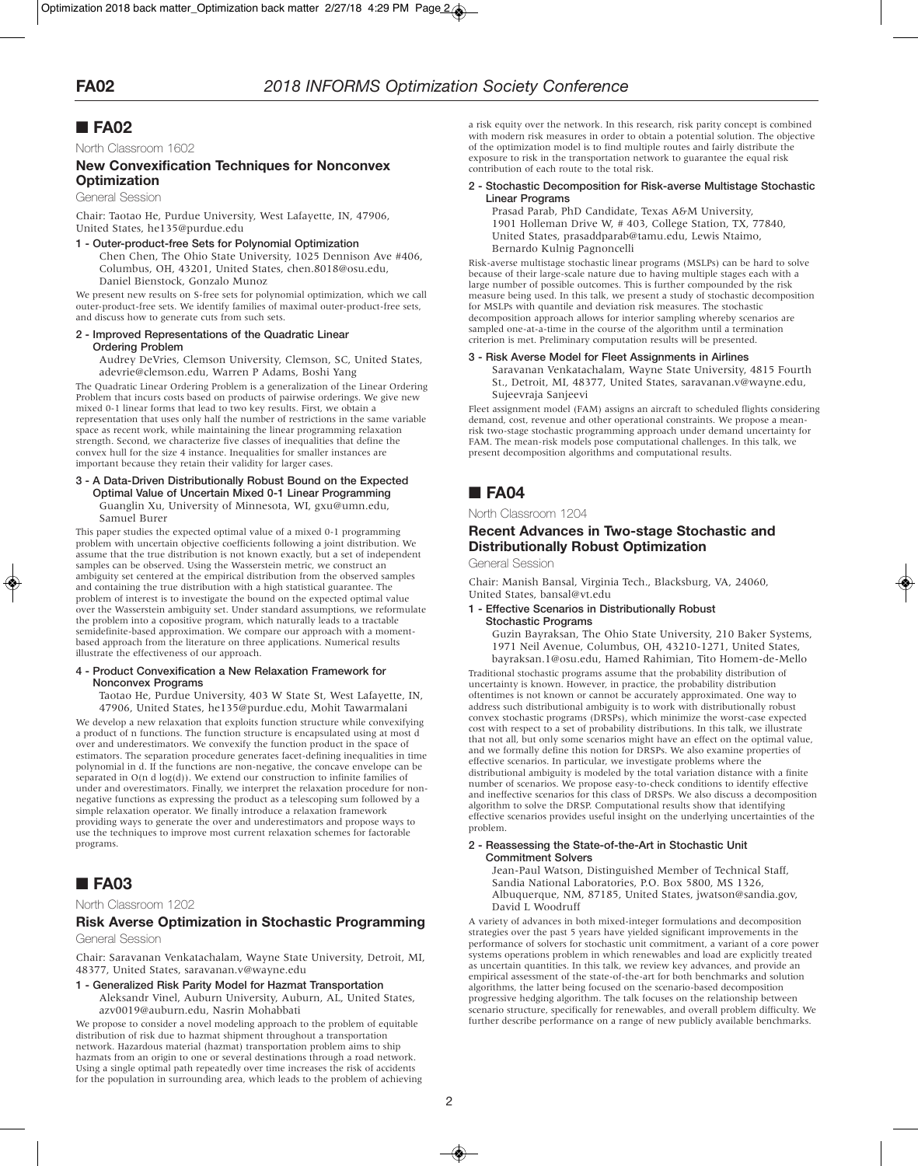North Classroom 1602

### **New Convexification Techniques for Nonconvex Optimization**

General Session

Chair: Taotao He, Purdue University, West Lafayette, IN, 47906, United States, he135@purdue.edu

**1 - Outer-product-free Sets for Polynomial Optimization**

Chen Chen, The Ohio State University, 1025 Dennison Ave #406, Columbus, OH, 43201, United States, chen.8018@osu.edu, Daniel Bienstock, Gonzalo Munoz

We present new results on S-free sets for polynomial optimization, which we call outer-product-free sets. We identify families of maximal outer-product-free sets, and discuss how to generate cuts from such sets.

#### **2 - Improved Representations of the Quadratic Linear Ordering Problem**

Audrey DeVries, Clemson University, Clemson, SC, United States, adevrie@clemson.edu, Warren P Adams, Boshi Yang

The Quadratic Linear Ordering Problem is a generalization of the Linear Ordering Problem that incurs costs based on products of pairwise orderings. We give new mixed 0-1 linear forms that lead to two key results. First, we obtain a representation that uses only half the number of restrictions in the same variable space as recent work, while maintaining the linear programming relaxation strength. Second, we characterize five classes of inequalities that define the convex hull for the size 4 instance. Inequalities for smaller instances are important because they retain their validity for larger cases.

#### **3 - A Data-Driven Distributionally Robust Bound on the Expected Optimal Value of Uncertain Mixed 0-1 Linear Programming** Guanglin Xu, University of Minnesota, WI, gxu@umn.edu, Samuel Burer

This paper studies the expected optimal value of a mixed 0-1 programming problem with uncertain objective coefficients following a joint distribution. We assume that the true distribution is not known exactly, but a set of independent samples can be observed. Using the Wasserstein metric, we construct an ambiguity set centered at the empirical distribution from the observed samples and containing the true distribution with a high statistical guarantee. The problem of interest is to investigate the bound on the expected optimal value over the Wasserstein ambiguity set. Under standard assumptions, we reformulate the problem into a copositive program, which naturally leads to a tractable semidefinite-based approximation. We compare our approach with a momentbased approach from the literature on three applications. Numerical results illustrate the effectiveness of our approach.

#### **4 - Product Convexification a New Relaxation Framework for Nonconvex Programs**

Taotao He, Purdue University, 403 W State St, West Lafayette, IN, 47906, United States, he135@purdue.edu, Mohit Tawarmalani

We develop a new relaxation that exploits function structure while convexifying a product of n functions. The function structure is encapsulated using at most d over and underestimators. We convexify the function product in the space of estimators. The separation procedure generates facet-defining inequalities in time polynomial in d. If the functions are non-negative, the concave envelope can be separated in  $O(n \, d \log(d))$ . We extend our construction to infinite families of under and overestimators. Finally, we interpret the relaxation procedure for nonnegative functions as expressing the product as a telescoping sum followed by a simple relaxation operator. We finally introduce a relaxation framework providing ways to generate the over and underestimators and propose ways to use the techniques to improve most current relaxation schemes for factorable programs.

# ■ **FA03**

North Classroom 1202

### **Risk Averse Optimization in Stochastic Programming** General Session

Chair: Saravanan Venkatachalam, Wayne State University, Detroit, MI, 48377, United States, saravanan.v@wayne.edu

- **1 - Generalized Risk Parity Model for Hazmat Transportation**
	- Aleksandr Vinel, Auburn University, Auburn, AL, United States, azv0019@auburn.edu, Nasrin Mohabbati

We propose to consider a novel modeling approach to the problem of equitable distribution of risk due to hazmat shipment throughout a transportation network. Hazardous material (hazmat) transportation problem aims to ship hazmats from an origin to one or several destinations through a road network. Using a single optimal path repeatedly over time increases the risk of accidents for the population in surrounding area, which leads to the problem of achieving a risk equity over the network. In this research, risk parity concept is combined with modern risk measures in order to obtain a potential solution. The objective of the optimization model is to find multiple routes and fairly distribute the exposure to risk in the transportation network to guarantee the equal risk contribution of each route to the total risk.

### **2 - Stochastic Decomposition for Risk-averse Multistage Stochastic Linear Programs**

Prasad Parab, PhD Candidate, Texas A&M University, 1901 Holleman Drive W, # 403, College Station, TX, 77840, United States, prasaddparab@tamu.edu, Lewis Ntaimo, Bernardo Kulnig Pagnoncelli

Risk-averse multistage stochastic linear programs (MSLPs) can be hard to solve because of their large-scale nature due to having multiple stages each with a large number of possible outcomes. This is further compounded by the risk measure being used. In this talk, we present a study of stochastic decomposition for MSLPs with quantile and deviation risk measures. The stochastic decomposition approach allows for interior sampling whereby scenarios are sampled one-at-a-time in the course of the algorithm until a termination criterion is met. Preliminary computation results will be presented.

### **3 - Risk Averse Model for Fleet Assignments in Airlines**

Saravanan Venkatachalam, Wayne State University, 4815 Fourth St., Detroit, MI, 48377, United States, saravanan.v@wayne.edu, Sujeevraja Sanjeevi

Fleet assignment model (FAM) assigns an aircraft to scheduled flights considering demand, cost, revenue and other operational constraints. We propose a meanrisk two-stage stochastic programming approach under demand uncertainty for FAM. The mean-risk models pose computational challenges. In this talk, we present decomposition algorithms and computational results.

# ■ **FA04**

North Classroom 1204

### **Recent Advances in Two-stage Stochastic and Distributionally Robust Optimization**

General Session

Chair: Manish Bansal, Virginia Tech., Blacksburg, VA, 24060, United States, bansal@vt.edu

**1 - Effective Scenarios in Distributionally Robust Stochastic Programs**

Guzin Bayraksan, The Ohio State University, 210 Baker Systems, 1971 Neil Avenue, Columbus, OH, 43210-1271, United States, bayraksan.1@osu.edu, Hamed Rahimian, Tito Homem-de-Mello

Traditional stochastic programs assume that the probability distribution of uncertainty is known. However, in practice, the probability distribution oftentimes is not known or cannot be accurately approximated. One way to address such distributional ambiguity is to work with distributionally robust convex stochastic programs (DRSPs), which minimize the worst-case expected cost with respect to a set of probability distributions. In this talk, we illustrate that not all, but only some scenarios might have an effect on the optimal value, and we formally define this notion for DRSPs. We also examine properties of effective scenarios. In particular, we investigate problems where the distributional ambiguity is modeled by the total variation distance with a finite number of scenarios. We propose easy-to-check conditions to identify effective and ineffective scenarios for this class of DRSPs. We also discuss a decomposition algorithm to solve the DRSP. Computational results show that identifying effective scenarios provides useful insight on the underlying uncertainties of the problem.

### **2 - Reassessing the State-of-the-Art in Stochastic Unit Commitment Solvers**

Jean-Paul Watson, Distinguished Member of Technical Staff, Sandia National Laboratories, P.O. Box 5800, MS 1326, Albuquerque, NM, 87185, United States, jwatson@sandia.gov, David L Woodruff

A variety of advances in both mixed-integer formulations and decomposition strategies over the past 5 years have yielded significant improvements in the performance of solvers for stochastic unit commitment, a variant of a core power systems operations problem in which renewables and load are explicitly treated as uncertain quantities. In this talk, we review key advances, and provide an empirical assessment of the state-of-the-art for both benchmarks and solution algorithms, the latter being focused on the scenario-based decomposition progressive hedging algorithm. The talk focuses on the relationship between scenario structure, specifically for renewables, and overall problem difficulty. We further describe performance on a range of new publicly available benchmarks.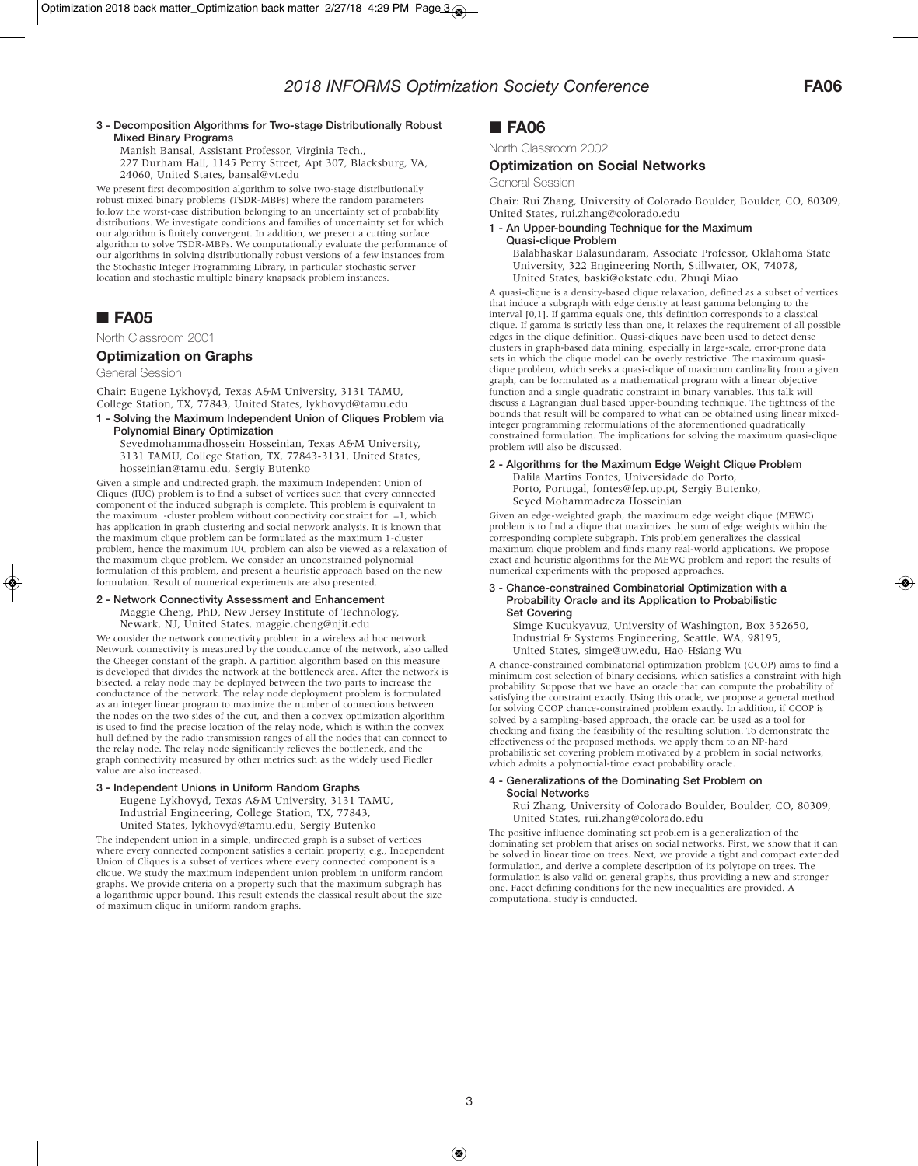### **3 - Decomposition Algorithms for Two-stage Distributionally Robust Mixed Binary Programs**

Manish Bansal, Assistant Professor, Virginia Tech., 227 Durham Hall, 1145 Perry Street, Apt 307, Blacksburg, VA,

24060, United States, bansal@vt.edu

We present first decomposition algorithm to solve two-stage distributionally robust mixed binary problems (TSDR-MBPs) where the random parameters follow the worst-case distribution belonging to an uncertainty set of probability distributions. We investigate conditions and families of uncertainty set for which our algorithm is finitely convergent. In addition, we present a cutting surface algorithm to solve TSDR-MBPs. We computationally evaluate the performance of our algorithms in solving distributionally robust versions of a few instances from the Stochastic Integer Programming Library, in particular stochastic server location and stochastic multiple binary knapsack problem instances.

# ■ **FA05**

North Classroom 2001

### **Optimization on Graphs**

General Session

Chair: Eugene Lykhovyd, Texas A&M University, 3131 TAMU, College Station, TX, 77843, United States, lykhovyd@tamu.edu

**1 - Solving the Maximum Independent Union of Cliques Problem via Polynomial Binary Optimization**

Seyedmohammadhossein Hosseinian, Texas A&M University, 3131 TAMU, College Station, TX, 77843-3131, United States, hosseinian@tamu.edu, Sergiy Butenko

Given a simple and undirected graph, the maximum Independent Union of Cliques (IUC) problem is to find a subset of vertices such that every connected component of the induced subgraph is complete. This problem is equivalent to the maximum -cluster problem without connectivity constraint for =1, which has application in graph clustering and social network analysis. It is known that the maximum clique problem can be formulated as the maximum 1-cluster problem, hence the maximum IUC problem can also be viewed as a relaxation of the maximum clique problem. We consider an unconstrained polynomial formulation of this problem, and present a heuristic approach based on the new formulation. Result of numerical experiments are also presented.

### **2 - Network Connectivity Assessment and Enhancement** Maggie Cheng, PhD, New Jersey Institute of Technology,

Newark, NJ, United States, maggie.cheng@njit.edu

We consider the network connectivity problem in a wireless ad hoc network. Network connectivity is measured by the conductance of the network, also called the Cheeger constant of the graph. A partition algorithm based on this measure is developed that divides the network at the bottleneck area. After the network is bisected, a relay node may be deployed between the two parts to increase the conductance of the network. The relay node deployment problem is formulated as an integer linear program to maximize the number of connections between the nodes on the two sides of the cut, and then a convex optimization algorithm is used to find the precise location of the relay node, which is within the convex hull defined by the radio transmission ranges of all the nodes that can connect to the relay node. The relay node significantly relieves the bottleneck, and the graph connectivity measured by other metrics such as the widely used Fiedler value are also increased.

### **3 - Independent Unions in Uniform Random Graphs**

Eugene Lykhovyd, Texas A&M University, 3131 TAMU, Industrial Engineering, College Station, TX, 77843, United States, lykhovyd@tamu.edu, Sergiy Butenko

The independent union in a simple, undirected graph is a subset of vertices where every connected component satisfies a certain property, e.g., Independent Union of Cliques is a subset of vertices where every connected component is a clique. We study the maximum independent union problem in uniform random graphs. We provide criteria on a property such that the maximum subgraph has a logarithmic upper bound. This result extends the classical result about the size of maximum clique in uniform random graphs.

### ■ **FA06**

North Classroom 2002

### **Optimization on Social Networks**

General Session

Chair: Rui Zhang, University of Colorado Boulder, Boulder, CO, 80309, United States, rui.zhang@colorado.edu

### **1 - An Upper-bounding Technique for the Maximum Quasi-clique Problem**

Balabhaskar Balasundaram, Associate Professor, Oklahoma State University, 322 Engineering North, Stillwater, OK, 74078, United States, baski@okstate.edu, Zhuqi Miao

A quasi-clique is a density-based clique relaxation, defined as a subset of vertices that induce a subgraph with edge density at least gamma belonging to the interval [0,1]. If gamma equals one, this definition corresponds to a classical clique. If gamma is strictly less than one, it relaxes the requirement of all possible edges in the clique definition. Quasi-cliques have been used to detect dense clusters in graph-based data mining, especially in large-scale, error-prone data sets in which the clique model can be overly restrictive. The maximum quasiclique problem, which seeks a quasi-clique of maximum cardinality from a given graph, can be formulated as a mathematical program with a linear objective function and a single quadratic constraint in binary variables. This talk will discuss a Lagrangian dual based upper-bounding technique. The tightness of the bounds that result will be compared to what can be obtained using linear mixedinteger programming reformulations of the aforementioned quadratically constrained formulation. The implications for solving the maximum quasi-clique problem will also be discussed.

#### **2 - Algorithms for the Maximum Edge Weight Clique Problem** Dalila Martins Fontes, Universidade do Porto, Porto, Portugal, fontes@fep.up.pt, Sergiy Butenko, Seyed Mohammadreza Hosseinian

Given an edge-weighted graph, the maximum edge weight clique (MEWC) problem is to find a clique that maximizes the sum of edge weights within the corresponding complete subgraph. This problem generalizes the classical maximum clique problem and finds many real-world applications. We propose exact and heuristic algorithms for the MEWC problem and report the results of numerical experiments with the proposed approaches.

#### **3 - Chance-constrained Combinatorial Optimization with a Probability Oracle and its Application to Probabilistic Set Covering**

Simge Kucukyavuz, University of Washington, Box 352650, Industrial & Systems Engineering, Seattle, WA, 98195, United States, simge@uw.edu, Hao-Hsiang Wu

A chance-constrained combinatorial optimization problem (CCOP) aims to find a minimum cost selection of binary decisions, which satisfies a constraint with high probability. Suppose that we have an oracle that can compute the probability of satisfying the constraint exactly. Using this oracle, we propose a general method for solving CCOP chance-constrained problem exactly. In addition, if CCOP is solved by a sampling-based approach, the oracle can be used as a tool for checking and fixing the feasibility of the resulting solution. To demonstrate the effectiveness of the proposed methods, we apply them to an NP-hard probabilistic set covering problem motivated by a problem in social networks, which admits a polynomial-time exact probability oracle.

### **4 - Generalizations of the Dominating Set Problem on Social Networks**

Rui Zhang, University of Colorado Boulder, Boulder, CO, 80309, United States, rui.zhang@colorado.edu

The positive influence dominating set problem is a generalization of the dominating set problem that arises on social networks. First, we show that it can be solved in linear time on trees. Next, we provide a tight and compact extended formulation, and derive a complete description of its polytope on trees. The formulation is also valid on general graphs, thus providing a new and stronger one. Facet defining conditions for the new inequalities are provided. A computational study is conducted.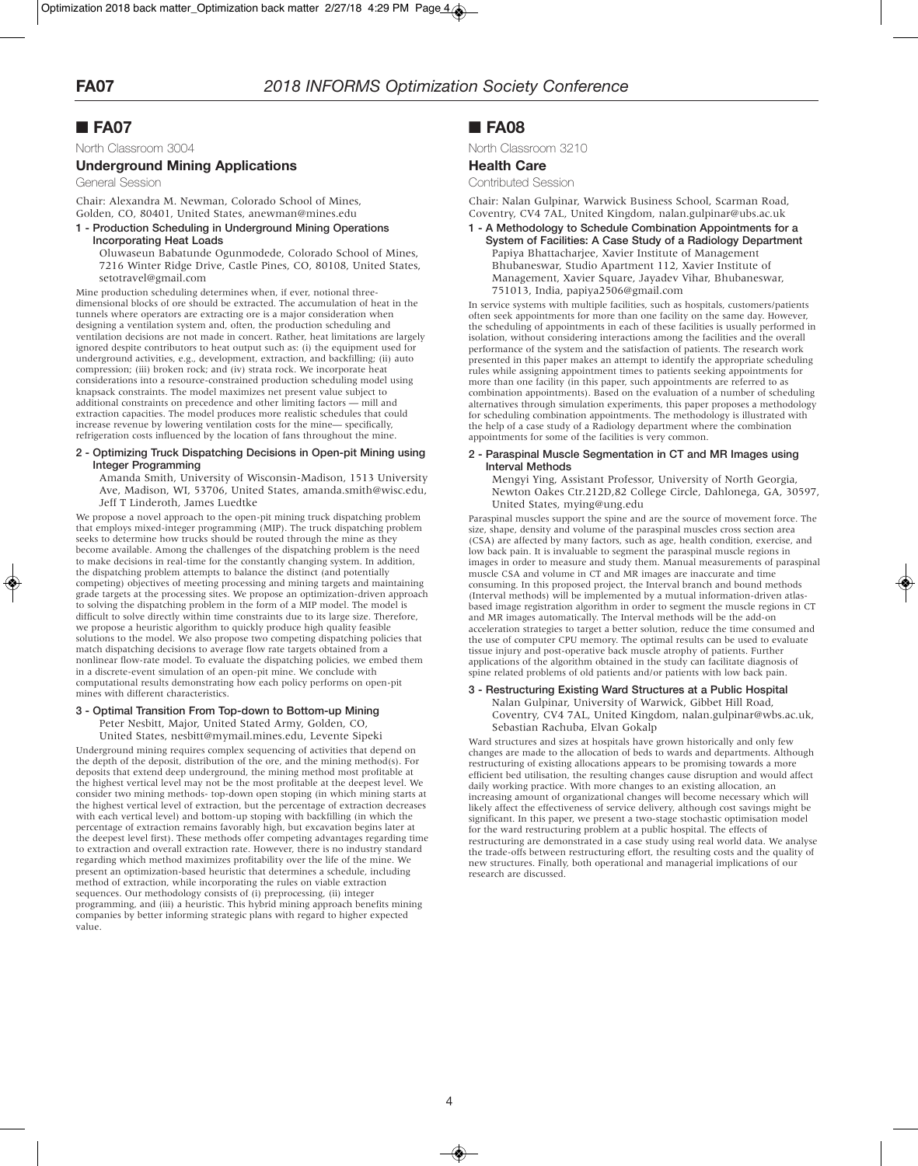### North Classroom 3004

### **Underground Mining Applications**

General Session

Chair: Alexandra M. Newman, Colorado School of Mines, Golden, CO, 80401, United States, anewman@mines.edu

### **1 - Production Scheduling in Underground Mining Operations Incorporating Heat Loads**

Oluwaseun Babatunde Ogunmodede, Colorado School of Mines, 7216 Winter Ridge Drive, Castle Pines, CO, 80108, United States, setotravel@gmail.com

Mine production scheduling determines when, if ever, notional threedimensional blocks of ore should be extracted. The accumulation of heat in the tunnels where operators are extracting ore is a major consideration when designing a ventilation system and, often, the production scheduling and ventilation decisions are not made in concert. Rather, heat limitations are largely ignored despite contributors to heat output such as: (i) the equipment used for underground activities, e.g., development, extraction, and backfilling; (ii) auto compression; (iii) broken rock; and (iv) strata rock. We incorporate heat considerations into a resource-constrained production scheduling model using knapsack constraints. The model maximizes net present value subject to additional constraints on precedence and other limiting factors — mill and extraction capacities. The model produces more realistic schedules that could increase revenue by lowering ventilation costs for the mine— specifically, refrigeration costs influenced by the location of fans throughout the mine.

### **2 - Optimizing Truck Dispatching Decisions in Open-pit Mining using Integer Programming**

Amanda Smith, University of Wisconsin-Madison, 1513 University Ave, Madison, WI, 53706, United States, amanda.smith@wisc.edu, Jeff T Linderoth, James Luedtke

We propose a novel approach to the open-pit mining truck dispatching problem that employs mixed-integer programming (MIP). The truck dispatching problem seeks to determine how trucks should be routed through the mine as they become available. Among the challenges of the dispatching problem is the need to make decisions in real-time for the constantly changing system. In addition, the dispatching problem attempts to balance the distinct (and potentially competing) objectives of meeting processing and mining targets and maintaining grade targets at the processing sites. We propose an optimization-driven approach to solving the dispatching problem in the form of a MIP model. The model is difficult to solve directly within time constraints due to its large size. Therefore, we propose a heuristic algorithm to quickly produce high quality feasible solutions to the model. We also propose two competing dispatching policies that match dispatching decisions to average flow rate targets obtained from a nonlinear flow-rate model. To evaluate the dispatching policies, we embed them in a discrete-event simulation of an open-pit mine. We conclude with computational results demonstrating how each policy performs on open-pit mines with different characteristics.

## **3 - Optimal Transition From Top-down to Bottom-up Mining**

Peter Nesbitt, Major, United Stated Army, Golden, CO, United States, nesbitt@mymail.mines.edu, Levente Sipeki

Underground mining requires complex sequencing of activities that depend on the depth of the deposit, distribution of the ore, and the mining method(s). For deposits that extend deep underground, the mining method most profitable at the highest vertical level may not be the most profitable at the deepest level. We consider two mining methods- top-down open stoping (in which mining starts at the highest vertical level of extraction, but the percentage of extraction decreases with each vertical level) and bottom-up stoping with backfilling (in which the percentage of extraction remains favorably high, but excavation begins later at the deepest level first). These methods offer competing advantages regarding time to extraction and overall extraction rate. However, there is no industry standard regarding which method maximizes profitability over the life of the mine. We present an optimization-based heuristic that determines a schedule, including method of extraction, while incorporating the rules on viable extraction sequences. Our methodology consists of (i) preprocessing, (ii) integer programming, and (iii) a heuristic. This hybrid mining approach benefits mining companies by better informing strategic plans with regard to higher expected value.

### ■ **FA08**

North Classroom 3210

### **Health Care**

### Contributed Session

Chair: Nalan Gulpinar, Warwick Business School, Scarman Road, Coventry, CV4 7AL, United Kingdom, nalan.gulpinar@ubs.ac.uk

#### **1 - A Methodology to Schedule Combination Appointments for a System of Facilities: A Case Study of a Radiology Department** Papiya Bhattacharjee, Xavier Institute of Management Bhubaneswar, Studio Apartment 112, Xavier Institute of Management, Xavier Square, Jayadev Vihar, Bhubaneswar, 751013, India, papiya2506@gmail.com

In service systems with multiple facilities, such as hospitals, customers/patients often seek appointments for more than one facility on the same day. However, the scheduling of appointments in each of these facilities is usually performed in isolation, without considering interactions among the facilities and the overall performance of the system and the satisfaction of patients. The research work presented in this paper makes an attempt to identify the appropriate scheduling rules while assigning appointment times to patients seeking appointments for more than one facility (in this paper, such appointments are referred to as combination appointments). Based on the evaluation of a number of scheduling alternatives through simulation experiments, this paper proposes a methodology for scheduling combination appointments. The methodology is illustrated with the help of a case study of a Radiology department where the combination appointments for some of the facilities is very common.

### **2 - Paraspinal Muscle Segmentation in CT and MR Images using Interval Methods**

Mengyi Ying, Assistant Professor, University of North Georgia, Newton Oakes Ctr.212D,82 College Circle, Dahlonega, GA, 30597, United States, mying@ung.edu

Paraspinal muscles support the spine and are the source of movement force. The size, shape, density and volume of the paraspinal muscles cross section area (CSA) are affected by many factors, such as age, health condition, exercise, and low back pain. It is invaluable to segment the paraspinal muscle regions in images in order to measure and study them. Manual measurements of paraspinal muscle CSA and volume in CT and MR images are inaccurate and time consuming. In this proposed project, the Interval branch and bound methods (Interval methods) will be implemented by a mutual information-driven atlasbased image registration algorithm in order to segment the muscle regions in CT and MR images automatically. The Interval methods will be the add-on acceleration strategies to target a better solution, reduce the time consumed and the use of computer CPU memory. The optimal results can be used to evaluate tissue injury and post-operative back muscle atrophy of patients. Further applications of the algorithm obtained in the study can facilitate diagnosis of spine related problems of old patients and/or patients with low back pain.

### **3 - Restructuring Existing Ward Structures at a Public Hospital**

Nalan Gulpinar, University of Warwick, Gibbet Hill Road, Coventry, CV4 7AL, United Kingdom, nalan.gulpinar@wbs.ac.uk, Sebastian Rachuba, Elvan Gokalp

Ward structures and sizes at hospitals have grown historically and only few changes are made to the allocation of beds to wards and departments. Although restructuring of existing allocations appears to be promising towards a more efficient bed utilisation, the resulting changes cause disruption and would affect daily working practice. With more changes to an existing allocation, an increasing amount of organizational changes will become necessary which will likely affect the effectiveness of service delivery, although cost savings might be significant. In this paper, we present a two-stage stochastic optimisation model for the ward restructuring problem at a public hospital. The effects of restructuring are demonstrated in a case study using real world data. We analyse the trade-offs between restructuring effort, the resulting costs and the quality of new structures. Finally, both operational and managerial implications of our research are discussed.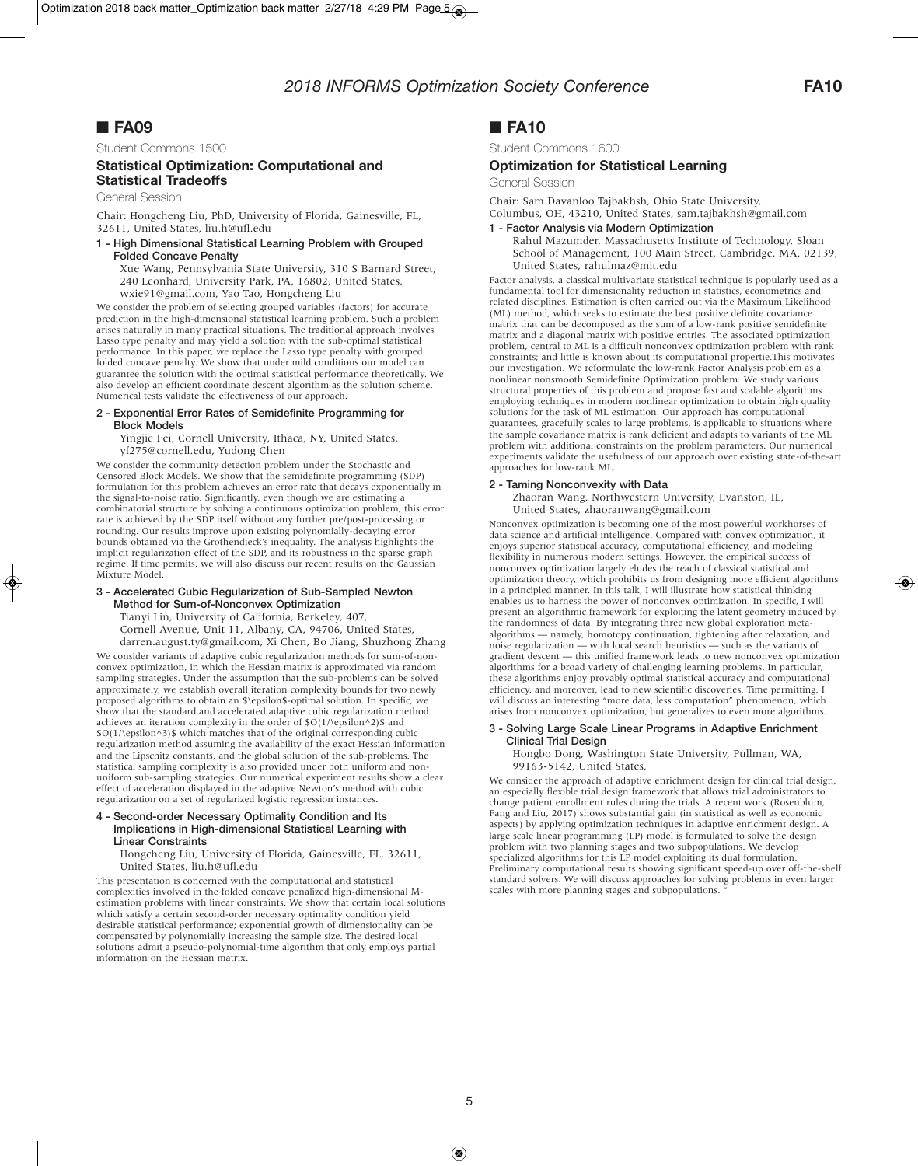Student Commons 1500

### **Statistical Optimization: Computational and Statistical Tradeoffs**

General Session

Chair: Hongcheng Liu, PhD, University of Florida, Gainesville, FL, 32611, United States, liu.h@ufl.edu

**1 - High Dimensional Statistical Learning Problem with Grouped Folded Concave Penalty**

Xue Wang, Pennsylvania State University, 310 S Barnard Street, 240 Leonhard, University Park, PA, 16802, United States, wxie91@gmail.com, Yao Tao, Hongcheng Liu

We consider the problem of selecting grouped variables (factors) for accurate prediction in the high-dimensional statistical learning problem. Such a problem arises naturally in many practical situations. The traditional approach involves Lasso type penalty and may yield a solution with the sub-optimal statistical performance. In this paper, we replace the Lasso type penalty with grouped folded concave penalty. We show that under mild conditions our model can guarantee the solution with the optimal statistical performance theoretically. We also develop an efficient coordinate descent algorithm as the solution scheme. Numerical tests validate the effectiveness of our approach.

### **2 - Exponential Error Rates of Semidefinite Programming for Block Models**

Yingjie Fei, Cornell University, Ithaca, NY, United States, yf275@cornell.edu, Yudong Chen

We consider the community detection problem under the Stochastic and Censored Block Models. We show that the semidefinite programming (SDP) formulation for this problem achieves an error rate that decays exponentially in the signal-to-noise ratio. Significantly, even though we are estimating a combinatorial structure by solving a continuous optimization problem, this error rate is achieved by the SDP itself without any further pre/post-processing or rounding. Our results improve upon existing polynomially-decaying error bounds obtained via the Grothendieck's inequality. The analysis highlights the implicit regularization effect of the SDP, and its robustness in the sparse graph regime. If time permits, we will also discuss our recent results on the Gaussian Mixture Model.

### **3 - Accelerated Cubic Regularization of Sub-Sampled Newton Method for Sum-of-Nonconvex Optimization**

Tianyi Lin, University of California, Berkeley, 407, Cornell Avenue, Unit 11, Albany, CA, 94706, United States,

darren.august.ty@gmail.com, Xi Chen, Bo Jiang, Shuzhong Zhang We consider variants of adaptive cubic regularization methods for sum-of-nonconvex optimization, in which the Hessian matrix is approximated via random sampling strategies. Under the assumption that the sub-problems can be solved approximately, we establish overall iteration complexity bounds for two newly proposed algorithms to obtain an \$\epsilon\$-optimal solution. In specific, we show that the standard and accelerated adaptive cubic regularization method achieves an iteration complexity in the order of \$O(1/\epsilon^2)\$ and \$O(1/\epsilon^3)\$ which matches that of the original corresponding cubic regularization method assuming the availability of the exact Hessian information and the Lipschitz constants, and the global solution of the sub-problems. The statistical sampling complexity is also provided under both uniform and nonuniform sub-sampling strategies. Our numerical experiment results show a clear effect of acceleration displayed in the adaptive Newton's method with cubic regularization on a set of regularized logistic regression instances.

### **4 - Second-order Necessary Optimality Condition and Its Implications in High-dimensional Statistical Learning with Linear Constraints**

Hongcheng Liu, University of Florida, Gainesville, FL, 32611, United States, liu.h@ufl.edu

This presentation is concerned with the computational and statistical complexities involved in the folded concave penalized high-dimensional Mestimation problems with linear constraints. We show that certain local solutions which satisfy a certain second-order necessary optimality condition yield desirable statistical performance; exponential growth of dimensionality can be compensated by polynomially increasing the sample size. The desired local solutions admit a pseudo-polynomial-time algorithm that only employs partial information on the Hessian matrix.

## ■ **FA10**

Student Commons 1600

### **Optimization for Statistical Learning**

General Session

Chair: Sam Davanloo Tajbakhsh, Ohio State University, Columbus, OH, 43210, United States, sam.tajbakhsh@gmail.com

### **1 - Factor Analysis via Modern Optimization**

Rahul Mazumder, Massachusetts Institute of Technology, Sloan School of Management, 100 Main Street, Cambridge, MA, 02139, United States, rahulmaz@mit.edu

Factor analysis, a classical multivariate statistical technique is popularly used as a fundamental tool for dimensionality reduction in statistics, econometrics and related disciplines. Estimation is often carried out via the Maximum Likelihood (ML) method, which seeks to estimate the best positive definite covariance matrix that can be decomposed as the sum of a low-rank positive semidefinite matrix and a diagonal matrix with positive entries. The associated optimization problem, central to ML is a difficult nonconvex optimization problem with rank constraints; and little is known about its computational propertie.This motivates our investigation. We reformulate the low-rank Factor Analysis problem as a nonlinear nonsmooth Semidefinite Optimization problem. We study various structural properties of this problem and propose fast and scalable algorithms employing techniques in modern nonlinear optimization to obtain high quality solutions for the task of ML estimation. Our approach has computational guarantees, gracefully scales to large problems, is applicable to situations where the sample covariance matrix is rank deficient and adapts to variants of the ML problem with additional constraints on the problem parameters. Our numerical experiments validate the usefulness of our approach over existing state-of-the-art approaches for low-rank ML.

### **2 - Taming Nonconvexity with Data**

Zhaoran Wang, Northwestern University, Evanston, IL, United States, zhaoranwang@gmail.com

Nonconvex optimization is becoming one of the most powerful workhorses of data science and artificial intelligence. Compared with convex optimization, it enjoys superior statistical accuracy, computational efficiency, and modeling flexibility in numerous modern settings. However, the empirical success of nonconvex optimization largely eludes the reach of classical statistical and optimization theory, which prohibits us from designing more efficient algorithms in a principled manner. In this talk, I will illustrate how statistical thinking enables us to harness the power of nonconvex optimization. In specific, I will present an algorithmic framework for exploiting the latent geometry induced by the randomness of data. By integrating three new global exploration metaalgorithms — namely, homotopy continuation, tightening after relaxation, and noise regularization — with local search heuristics — such as the variants of gradient descent — this unified framework leads to new nonconvex optimization algorithms for a broad variety of challenging learning problems. In particular, these algorithms enjoy provably optimal statistical accuracy and computational efficiency, and moreover, lead to new scientific discoveries. Time permitting, I will discuss an interesting "more data, less computation" phenomenon, which arises from nonconvex optimization, but generalizes to even more algorithms.

#### **3 - Solving Large Scale Linear Programs in Adaptive Enrichment Clinical Trial Design**

Hongbo Dong, Washington State University, Pullman, WA, 99163-5142, United States,

We consider the approach of adaptive enrichment design for clinical trial design, an especially flexible trial design framework that allows trial administrators to change patient enrollment rules during the trials. A recent work (Rosenblum, Fang and Liu, 2017) shows substantial gain (in statistical as well as economic aspects) by applying optimization techniques in adaptive enrichment design. A large scale linear programming (LP) model is formulated to solve the design problem with two planning stages and two subpopulations. We develop specialized algorithms for this LP model exploiting its dual formulation. Preliminary computational results showing significant speed-up over off-the-shelf standard solvers. We will discuss approaches for solving problems in even larger scales with more planning stages and subpopulations. '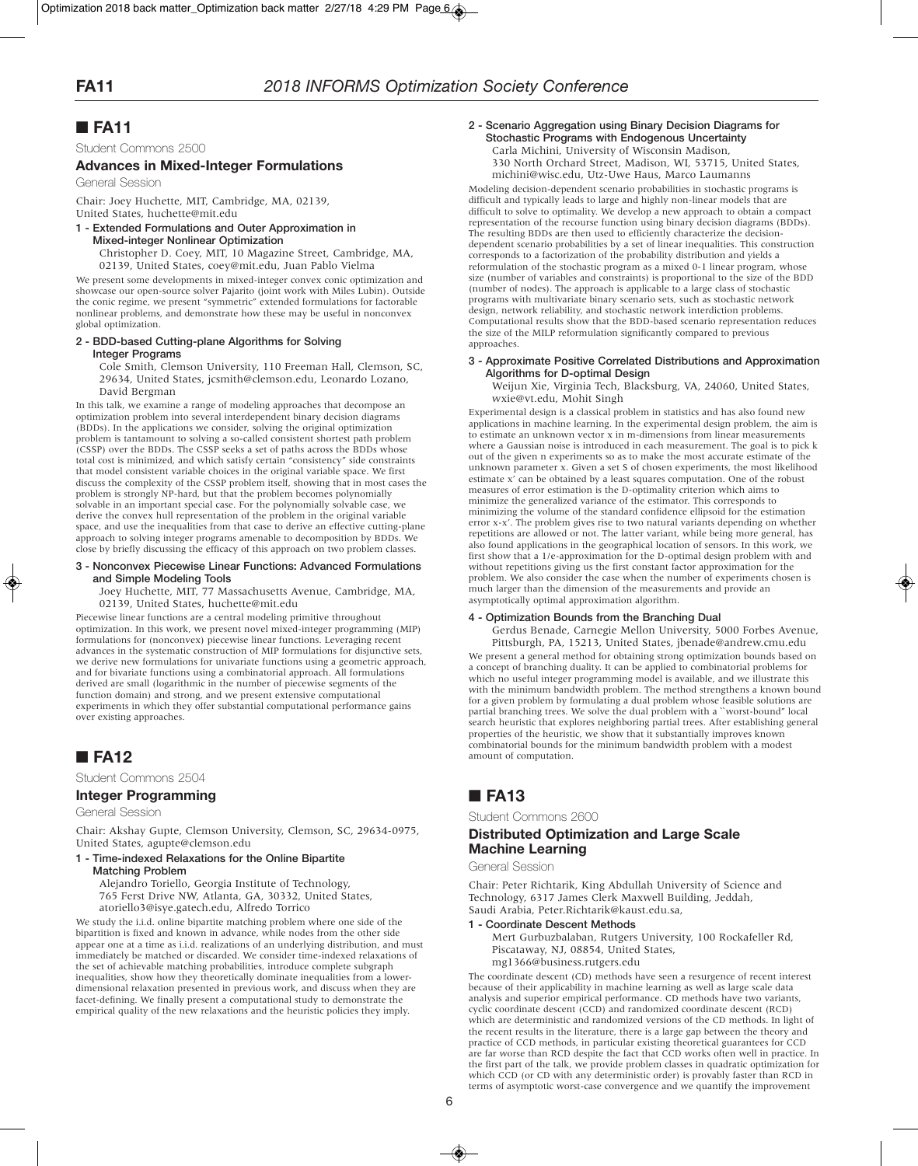Student Commons 2500

### **Advances in Mixed-Integer Formulations**

General Session

Chair: Joey Huchette, MIT, Cambridge, MA, 02139, United States, huchette@mit.edu

### **1 - Extended Formulations and Outer Approximation in Mixed-integer Nonlinear Optimization**

Christopher D. Coey, MIT, 10 Magazine Street, Cambridge, MA, 02139, United States, coey@mit.edu, Juan Pablo Vielma

We present some developments in mixed-integer convex conic optimization and showcase our open-source solver Pajarito (joint work with Miles Lubin). Outside the conic regime, we present "symmetric" extended formulations for factorable nonlinear problems, and demonstrate how these may be useful in nonconvex global optimization.

### **2 - BDD-based Cutting-plane Algorithms for Solving**

**Integer Programs**

Cole Smith, Clemson University, 110 Freeman Hall, Clemson, SC, 29634, United States, jcsmith@clemson.edu, Leonardo Lozano, David Bergman

In this talk, we examine a range of modeling approaches that decompose an optimization problem into several interdependent binary decision diagrams (BDDs). In the applications we consider, solving the original optimization problem is tantamount to solving a so-called consistent shortest path problem (CSSP) over the BDDs. The CSSP seeks a set of paths across the BDDs whose total cost is minimized, and which satisfy certain "consistency" side constraints that model consistent variable choices in the original variable space. We first discuss the complexity of the CSSP problem itself, showing that in most cases the problem is strongly NP-hard, but that the problem becomes polynomially solvable in an important special case. For the polynomially solvable case, we derive the convex hull representation of the problem in the original variable space, and use the inequalities from that case to derive an effective cutting-plane approach to solving integer programs amenable to decomposition by BDDs. We close by briefly discussing the efficacy of this approach on two problem classes.

### **3 - Nonconvex Piecewise Linear Functions: Advanced Formulations and Simple Modeling Tools**

Joey Huchette, MIT, 77 Massachusetts Avenue, Cambridge, MA, 02139, United States, huchette@mit.edu

Piecewise linear functions are a central modeling primitive throughout optimization. In this work, we present novel mixed-integer programming (MIP) formulations for (nonconvex) piecewise linear functions. Leveraging recent advances in the systematic construction of MIP formulations for disjunctive sets, we derive new formulations for univariate functions using a geometric approach, and for bivariate functions using a combinatorial approach. All formulations derived are small (logarithmic in the number of piecewise segments of the function domain) and strong, and we present extensive computational experiments in which they offer substantial computational performance gains over existing approaches.

# ■ **FA12**

Student Commons 2504

## **Integer Programming**

General Session

Chair: Akshay Gupte, Clemson University, Clemson, SC, 29634-0975, United States, agupte@clemson.edu

#### **1 - Time-indexed Relaxations for the Online Bipartite Matching Problem**

Alejandro Toriello, Georgia Institute of Technology, 765 Ferst Drive NW, Atlanta, GA, 30332, United States, atoriello3@isye.gatech.edu, Alfredo Torrico

We study the i.i.d. online bipartite matching problem where one side of the bipartition is fixed and known in advance, while nodes from the other side appear one at a time as i.i.d. realizations of an underlying distribution, and must immediately be matched or discarded. We consider time-indexed relaxations of the set of achievable matching probabilities, introduce complete subgraph inequalities, show how they theoretically dominate inequalities from a lowerdimensional relaxation presented in previous work, and discuss when they are facet-defining. We finally present a computational study to demonstrate the empirical quality of the new relaxations and the heuristic policies they imply.

#### **2 - Scenario Aggregation using Binary Decision Diagrams for Stochastic Programs with Endogenous Uncertainty** Carla Michini, University of Wisconsin Madison, 330 North Orchard Street, Madison, WI, 53715, United States, michini@wisc.edu, Utz-Uwe Haus, Marco Laumanns

Modeling decision-dependent scenario probabilities in stochastic programs is difficult and typically leads to large and highly non-linear models that are difficult to solve to optimality. We develop a new approach to obtain a compact representation of the recourse function using binary decision diagrams (BDDs). The resulting BDDs are then used to efficiently characterize the decisiondependent scenario probabilities by a set of linear inequalities. This construction corresponds to a factorization of the probability distribution and yields a reformulation of the stochastic program as a mixed 0-1 linear program, whose size (number of variables and constraints) is proportional to the size of the BDD (number of nodes). The approach is applicable to a large class of stochastic programs with multivariate binary scenario sets, such as stochastic network design, network reliability, and stochastic network interdiction problems. Computational results show that the BDD-based scenario representation reduces the size of the MILP reformulation significantly compared to previous approaches.

### **3 - Approximate Positive Correlated Distributions and Approximation Algorithms for D-optimal Design**

Weijun Xie, Virginia Tech, Blacksburg, VA, 24060, United States, wxie@vt.edu, Mohit Singh

Experimental design is a classical problem in statistics and has also found new applications in machine learning. In the experimental design problem, the aim is to estimate an unknown vector x in m-dimensions from linear measurements where a Gaussian noise is introduced in each measurement. The goal is to pick k out of the given n experiments so as to make the most accurate estimate of the unknown parameter x. Given a set S of chosen experiments, the most likelihood estimate x' can be obtained by a least squares computation. One of the robust measures of error estimation is the D-optimality criterion which aims to minimize the generalized variance of the estimator. This corresponds to minimizing the volume of the standard confidence ellipsoid for the estimation error x-x'. The problem gives rise to two natural variants depending on whether repetitions are allowed or not. The latter variant, while being more general, has also found applications in the geographical location of sensors. In this work, we first show that a 1/e-approximation for the D-optimal design problem with and without repetitions giving us the first constant factor approximation for the problem. We also consider the case when the number of experiments chosen is much larger than the dimension of the measurements and provide an asymptotically optimal approximation algorithm.

### **4 - Optimization Bounds from the Branching Dual**

Gerdus Benade, Carnegie Mellon University, 5000 Forbes Avenue, Pittsburgh, PA, 15213, United States, jbenade@andrew.cmu.edu

We present a general method for obtaining strong optimization bounds based on a concept of branching duality. It can be applied to combinatorial problems for which no useful integer programming model is available, and we illustrate this with the minimum bandwidth problem. The method strengthens a known bound for a given problem by formulating a dual problem whose feasible solutions are partial branching trees. We solve the dual problem with a ``worst-bound'' local search heuristic that explores neighboring partial trees. After establishing general properties of the heuristic, we show that it substantially improves known combinatorial bounds for the minimum bandwidth problem with a modest amount of computation.

# ■ **FA13**

Student Commons 2600

### **Distributed Optimization and Large Scale Machine Learning**

General Session

Chair: Peter Richtarik, King Abdullah University of Science and Technology, 6317 James Clerk Maxwell Building, Jeddah, Saudi Arabia, Peter.Richtarik@kaust.edu.sa,

#### **1 - Coordinate Descent Methods**

Mert Gurbuzbalaban, Rutgers University, 100 Rockafeller Rd, Piscataway, NJ, 08854, United States, mg1366@business.rutgers.edu

The coordinate descent (CD) methods have seen a resurgence of recent interest because of their applicability in machine learning as well as large scale data analysis and superior empirical performance. CD methods have two variants, cyclic coordinate descent (CCD) and randomized coordinate descent (RCD) which are deterministic and randomized versions of the CD methods. In light of the recent results in the literature, there is a large gap between the theory and practice of CCD methods, in particular existing theoretical guarantees for CCD are far worse than RCD despite the fact that CCD works often well in practice. In the first part of the talk, we provide problem classes in quadratic optimization for which CCD (or CD with any deterministic order) is provably faster than RCD in terms of asymptotic worst-case convergence and we quantify the improvement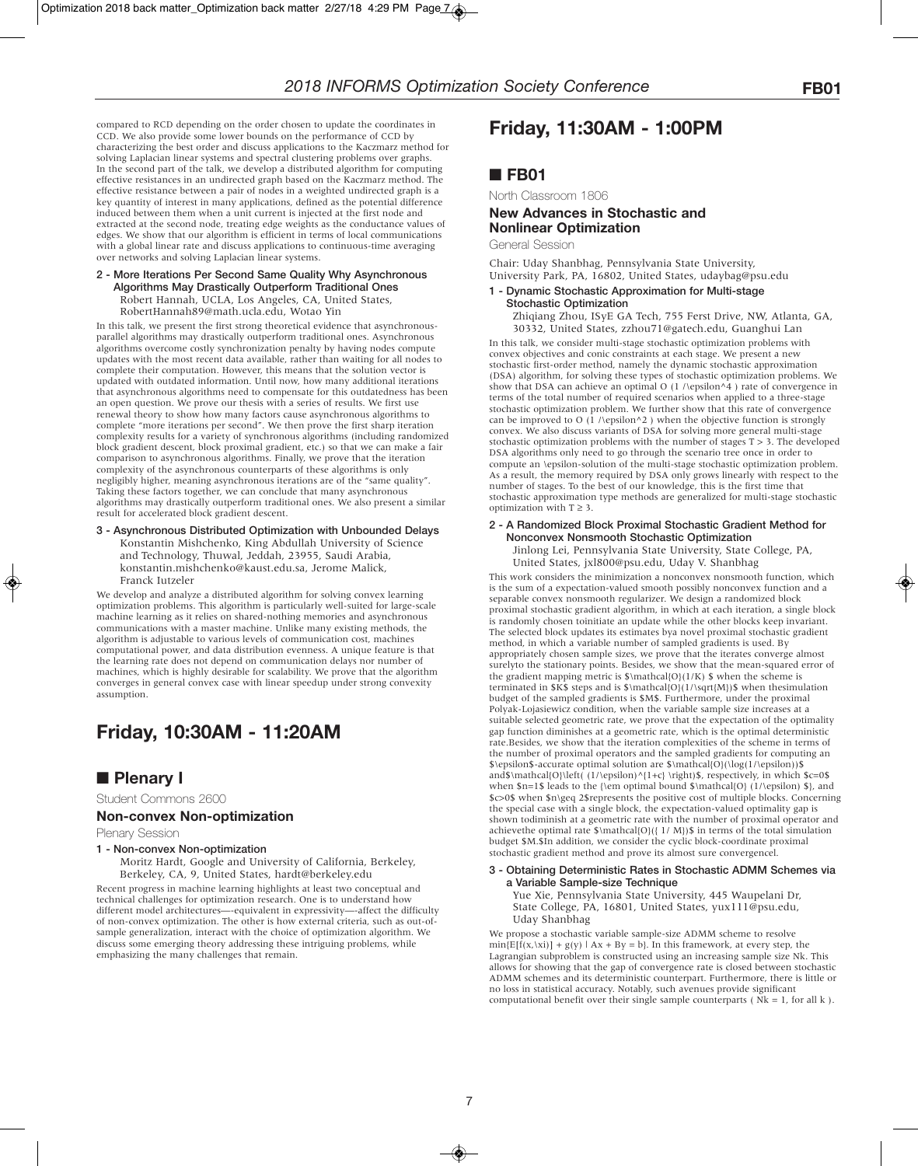compared to RCD depending on the order chosen to update the coordinates in CCD. We also provide some lower bounds on the performance of CCD by characterizing the best order and discuss applications to the Kaczmarz method for solving Laplacian linear systems and spectral clustering problems over graphs. In the second part of the talk, we develop a distributed algorithm for computing effective resistances in an undirected graph based on the Kaczmarz method. The effective resistance between a pair of nodes in a weighted undirected graph is a key quantity of interest in many applications, defined as the potential difference induced between them when a unit current is injected at the first node and extracted at the second node, treating edge weights as the conductance values of edges. We show that our algorithm is efficient in terms of local communications with a global linear rate and discuss applications to continuous-time averaging over networks and solving Laplacian linear systems.

**2 - More Iterations Per Second Same Quality Why Asynchronous Algorithms May Drastically Outperform Traditional Ones** Robert Hannah, UCLA, Los Angeles, CA, United States, RobertHannah89@math.ucla.edu, Wotao Yin

In this talk, we present the first strong theoretical evidence that asynchronousparallel algorithms may drastically outperform traditional ones. Asynchronous algorithms overcome costly synchronization penalty by having nodes compute updates with the most recent data available, rather than waiting for all nodes to complete their computation. However, this means that the solution vector is updated with outdated information. Until now, how many additional iterations that asynchronous algorithms need to compensate for this outdatedness has been an open question. We prove our thesis with a series of results. We first use renewal theory to show how many factors cause asynchronous algorithms to complete "more iterations per second". We then prove the first sharp iteration complexity results for a variety of synchronous algorithms (including randomized block gradient descent, block proximal gradient, etc.) so that we can make a fair comparison to asynchronous algorithms. Finally, we prove that the iteration complexity of the asynchronous counterparts of these algorithms is only negligibly higher, meaning asynchronous iterations are of the "same quality". Taking these factors together, we can conclude that many asynchronous algorithms may drastically outperform traditional ones. We also present a similar result for accelerated block gradient descent.

**3 - Asynchronous Distributed Optimization with Unbounded Delays** Konstantin Mishchenko, King Abdullah University of Science and Technology, Thuwal, Jeddah, 23955, Saudi Arabia, konstantin.mishchenko@kaust.edu.sa, Jerome Malick, Franck Iutzeler

We develop and analyze a distributed algorithm for solving convex learning optimization problems. This algorithm is particularly well-suited for large-scale machine learning as it relies on shared-nothing memories and asynchronous communications with a master machine. Unlike many existing methods, the algorithm is adjustable to various levels of communication cost, machines computational power, and data distribution evenness. A unique feature is that the learning rate does not depend on communication delays nor number of machines, which is highly desirable for scalability. We prove that the algorithm converges in general convex case with linear speedup under strong convexity assumption.

# **Friday, 10:30AM - 11:20AM**

# ■ **Plenary I**

Student Commons 2600

### **Non-convex Non-optimization**

Plenary Session

### **1 - Non-convex Non-optimization**

Moritz Hardt, Google and University of California, Berkeley, Berkeley, CA, 9, United States, hardt@berkeley.edu

Recent progress in machine learning highlights at least two conceptual and technical challenges for optimization research. One is to understand how different model architectures—-equivalent in expressivity—-affect the difficulty of non-convex optimization. The other is how external criteria, such as out-ofsample generalization, interact with the choice of optimization algorithm. We discuss some emerging theory addressing these intriguing problems, while emphasizing the many challenges that remain.

# **Friday, 11:30AM - 1:00PM**

## ■ **FB01**

North Classroom 1806

### **New Advances in Stochastic and Nonlinear Optimization**

General Session

Chair: Uday Shanbhag, Pennsylvania State University, University Park, PA, 16802, United States, udaybag@psu.edu

#### **1 - Dynamic Stochastic Approximation for Multi-stage Stochastic Optimization**

Zhiqiang Zhou, ISyE GA Tech, 755 Ferst Drive, NW, Atlanta, GA, 30332, United States, zzhou71@gatech.edu, Guanghui Lan

In this talk, we consider multi-stage stochastic optimization problems with convex objectives and conic constraints at each stage. We present a new stochastic first-order method, namely the dynamic stochastic approximation (DSA) algorithm, for solving these types of stochastic optimization problems. We show that DSA can achieve an optimal O (1 /\epsilon^4 ) rate of convergence in terms of the total number of required scenarios when applied to a three-stage stochastic optimization problem. We further show that this rate of convergence can be improved to O (1 /\epsilon^2) when the objective function is strongly convex. We also discuss variants of DSA for solving more general multi-stage stochastic optimization problems with the number of stages T > 3. The developed DSA algorithms only need to go through the scenario tree once in order to compute an \epsilon-solution of the multi-stage stochastic optimization problem. As a result, the memory required by DSA only grows linearly with respect to the number of stages. To the best of our knowledge, this is the first time that stochastic approximation type methods are generalized for multi-stage stochastic optimization with  $T \geq 3$ .

### **2 - A Randomized Block Proximal Stochastic Gradient Method for Nonconvex Nonsmooth Stochastic Optimization**

Jinlong Lei, Pennsylvania State University, State College, PA, United States, jxl800@psu.edu, Uday V. Shanbhag

This work considers the minimization a nonconvex nonsmooth function, which is the sum of a expectation-valued smooth possibly nonconvex function and a separable convex nonsmooth regularizer. We design a randomized block proximal stochastic gradient algorithm, in which at each iteration, a single block is randomly chosen toinitiate an update while the other blocks keep invariant. The selected block updates its estimates bya novel proximal stochastic gradient method, in which a variable number of sampled gradients is used. By appropriately chosen sample sizes, we prove that the iterates converge almost surelyto the stationary points. Besides, we show that the mean-squared error of the gradient mapping metric is  $\mathcal{O}(1/K)$  \$ when the scheme is terminated in  $K\$  steps and is  $\mathcal{O}(1/\sqrt{M})\$  when the simulation budget of the sampled gradients is \$M\$. Furthermore, under the proximal Polyak-Lojasiewicz condition, when the variable sample size increases at a suitable selected geometric rate, we prove that the expectation of the optimality gap function diminishes at a geometric rate, which is the optimal deterministic rate.Besides, we show that the iteration complexities of the scheme in terms of the number of proximal operators and the sampled gradients for computing an \$\epsilon\$-accurate optimal solution are \$\mathcal{O}(\log(1/\epsilon))\$ and\$\mathcal{O}\left( (1/\epsilon)^{1+c} \right)\$, respectively, in which \$c=0\$ when  $n=1$ \$ leads to the {\em optimal bound \$\mathcal{O} (1/\epsilon) \$}, and \$c>0\$ when \$n\geq 2\$represents the positive cost of multiple blocks. Concerning the special case with a single block, the expectation-valued optimality gap is shown todiminish at a geometric rate with the number of proximal operator and achievethe optimal rate  $\mathcal{O}(\{ 1/M\})\$  in terms of the total simulation budget \$M.\$In addition, we consider the cyclic block-coordinate proximal stochastic gradient method and prove its almost sure convergencel.

**3 - Obtaining Deterministic Rates in Stochastic ADMM Schemes via a Variable Sample-size Technique**

Yue Xie, Pennsylvania State University, 445 Waupelani Dr, State College, PA, 16801, United States, yux111@psu.edu, Uday Shanbhag

We propose a stochastic variable sample-size ADMM scheme to resolve  $min[E[f(x,\lambda x)] + g(y) | Ax + By = b]$ . In this framework, at every step, the Lagrangian subproblem is constructed using an increasing sample size Nk. This allows for showing that the gap of convergence rate is closed between stochastic ADMM schemes and its deterministic counterpart. Furthermore, there is little or no loss in statistical accuracy. Notably, such avenues provide significant computational benefit over their single sample counterparts (  $\rm{Nk}=1,$  for all  $\rm{k}$  ).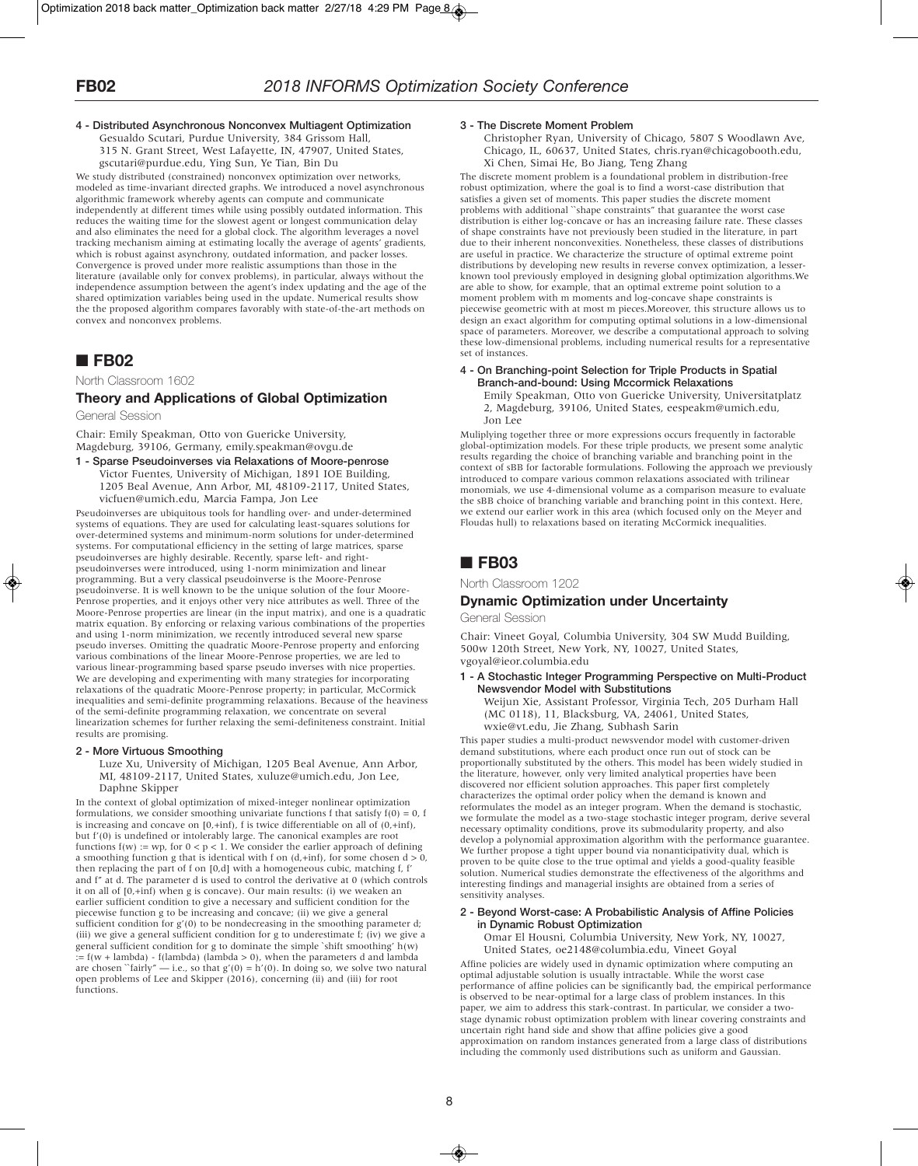**4 - Distributed Asynchronous Nonconvex Multiagent Optimization** Gesualdo Scutari, Purdue University, 384 Grissom Hall, 315 N. Grant Street, West Lafayette, IN, 47907, United States, gscutari@purdue.edu, Ying Sun, Ye Tian, Bin Du

We study distributed (constrained) nonconvex optimization over networks, modeled as time-invariant directed graphs. We introduced a novel asynchronous algorithmic framework whereby agents can compute and communicate independently at different times while using possibly outdated information. This reduces the waiting time for the slowest agent or longest communication delay and also eliminates the need for a global clock. The algorithm leverages a novel tracking mechanism aiming at estimating locally the average of agents' gradients, which is robust against asynchrony, outdated information, and packer losses. Convergence is proved under more realistic assumptions than those in the literature (available only for convex problems), in particular, always without the independence assumption between the agent's index updating and the age of the shared optimization variables being used in the update. Numerical results show the the proposed algorithm compares favorably with state-of-the-art methods on convex and nonconvex problems.

## ■ **FB02**

### North Classroom 1602

# **Theory and Applications of Global Optimization**

General Session

Chair: Emily Speakman, Otto von Guericke University, Magdeburg, 39106, Germany, emily.speakman@ovgu.de

**1 - Sparse Pseudoinverses via Relaxations of Moore-penrose** Victor Fuentes, University of Michigan, 1891 IOE Building, 1205 Beal Avenue, Ann Arbor, MI, 48109-2117, United States, vicfuen@umich.edu, Marcia Fampa, Jon Lee

Pseudoinverses are ubiquitous tools for handling over- and under-determined systems of equations. They are used for calculating least-squares solutions for over-determined systems and minimum-norm solutions for under-determined systems. For computational efficiency in the setting of large matrices, sparse pseudoinverses are highly desirable. Recently, sparse left- and rightpseudoinverses were introduced, using 1-norm minimization and linear programming. But a very classical pseudoinverse is the Moore-Penrose pseudoinverse. It is well known to be the unique solution of the four Moore-Penrose properties, and it enjoys other very nice attributes as well. Three of the Moore-Penrose properties are linear (in the input matrix), and one is a quadratic matrix equation. By enforcing or relaxing various combinations of the properties and using 1-norm minimization, we recently introduced several new sparse pseudo inverses. Omitting the quadratic Moore-Penrose property and enforcing various combinations of the linear Moore-Penrose properties, we are led to various linear-programming based sparse pseudo inverses with nice properties. We are developing and experimenting with many strategies for incorporating relaxations of the quadratic Moore-Penrose property; in particular, McCormick inequalities and semi-definite programming relaxations. Because of the heaviness of the semi-definite programming relaxation, we concentrate on several linearization schemes for further relaxing the semi-definiteness constraint. Initial results are promising.

### **2 - More Virtuous Smoothing**

Luze Xu, University of Michigan, 1205 Beal Avenue, Ann Arbor, MI, 48109-2117, United States, xuluze@umich.edu, Jon Lee, Daphne Skipper

In the context of global optimization of mixed-integer nonlinear optimization formulations, we consider smoothing univariate functions f that satisfy  $f(0) = 0$ . f is increasing and concave on  $[0, +\text{inf})$ , f is twice differentiable on all of  $(0, +\text{inf})$ , but f'(0) is undefined or intolerably large. The canonical examples are root functions  $f(w) := wp$ , for  $0 < p < 1$ . We consider the earlier approach of defining a smoothing function g that is identical with f on  $(d, +inf)$ , for some chosen  $d > 0$ , then replacing the part of f on [0,d] with a homogeneous cubic, matching f, f' and f'' at d. The parameter d is used to control the derivative at 0 (which controls it on all of [0,+inf) when g is concave). Our main results: (i) we weaken an earlier sufficient condition to give a necessary and sufficient condition for the piecewise function g to be increasing and concave; (ii) we give a general sufficient condition for  $g'(0)$  to be nondecreasing in the smoothing parameter d; (iii) we give a general sufficient condition for g to underestimate f; (iv) we give a general sufficient condition for g to dominate the simple `shift smoothing'  $h(w)$ :=  $f(w + lambda) - f(lambda)$  (lambda) (lambda > 0), when the parameters d and lambda are chosen "fairly" — i.e., so that  $g'(0) = h'(0)$ . In doing so, we solve two natural open problems of Lee and Skipper (2016), concerning (ii) and (iii) for root functions.

### **3 - The Discrete Moment Problem**

Christopher Ryan, University of Chicago, 5807 S Woodlawn Ave, Chicago, IL, 60637, United States, chris.ryan@chicagobooth.edu, Xi Chen, Simai He, Bo Jiang, Teng Zhang

The discrete moment problem is a foundational problem in distribution-free robust optimization, where the goal is to find a worst-case distribution that satisfies a given set of moments. This paper studies the discrete moment problems with additional ``shape constraints'' that guarantee the worst case distribution is either log-concave or has an increasing failure rate. These classes of shape constraints have not previously been studied in the literature, in part due to their inherent nonconvexities. Nonetheless, these classes of distributions are useful in practice. We characterize the structure of optimal extreme point distributions by developing new results in reverse convex optimization, a lesserknown tool previously employed in designing global optimization algorithms.We are able to show, for example, that an optimal extreme point solution to a moment problem with m moments and log-concave shape constraints is piecewise geometric with at most m pieces.Moreover, this structure allows us to design an exact algorithm for computing optimal solutions in a low-dimensional space of parameters. Moreover, we describe a computational approach to solving these low-dimensional problems, including numerical results for a representative set of instances.

#### **4 - On Branching-point Selection for Triple Products in Spatial Branch-and-bound: Using Mccormick Relaxations**

Emily Speakman, Otto von Guericke University, Universitatplatz 2, Magdeburg, 39106, United States, eespeakm@umich.edu, Jon Lee

Muliplying together three or more expressions occurs frequently in factorable global-optimization models. For these triple products, we present some analytic results regarding the choice of branching variable and branching point in the context of sBB for factorable formulations. Following the approach we previously introduced to compare various common relaxations associated with trilinear monomials, we use 4-dimensional volume as a comparison measure to evaluate the sBB choice of branching variable and branching point in this context. Here, we extend our earlier work in this area (which focused only on the Meyer and Floudas hull) to relaxations based on iterating McCormick inequalities.

# ■ **FB03**

North Classroom 1202

### **Dynamic Optimization under Uncertainty**

General Session

Chair: Vineet Goyal, Columbia University, 304 SW Mudd Building, 500w 120th Street, New York, NY, 10027, United States, vgoyal@ieor.columbia.edu

**1 - A Stochastic Integer Programming Perspective on Multi-Product Newsvendor Model with Substitutions** Weijun Xie, Assistant Professor, Virginia Tech, 205 Durham Hall

(MC 0118), 11, Blacksburg, VA, 24061, United States, wxie@vt.edu, Jie Zhang, Subhash Sarin

This paper studies a multi-product newsvendor model with customer-driven demand substitutions, where each product once run out of stock can be proportionally substituted by the others. This model has been widely studied in the literature, however, only very limited analytical properties have been discovered nor efficient solution approaches. This paper first completely characterizes the optimal order policy when the demand is known and reformulates the model as an integer program. When the demand is stochastic, we formulate the model as a two-stage stochastic integer program, derive several necessary optimality conditions, prove its submodularity property, and also develop a polynomial approximation algorithm with the performance guarantee. We further propose a tight upper bound via nonanticipativity dual, which is proven to be quite close to the true optimal and yields a good-quality feasible solution. Numerical studies demonstrate the effectiveness of the algorithms and interesting findings and managerial insights are obtained from a series of sensitivity analyses.

#### **2 - Beyond Worst-case: A Probabilistic Analysis of Affine Policies in Dynamic Robust Optimization**

Omar El Housni, Columbia University, New York, NY, 10027, United States, oe2148@columbia.edu, Vineet Goyal

Affine policies are widely used in dynamic optimization where computing an optimal adjustable solution is usually intractable. While the worst case performance of affine policies can be significantly bad, the empirical performance is observed to be near-optimal for a large class of problem instances. In this paper, we aim to address this stark-contrast. In particular, we consider a twostage dynamic robust optimization problem with linear covering constraints and uncertain right hand side and show that affine policies give a good approximation on random instances generated from a large class of distributions including the commonly used distributions such as uniform and Gaussian.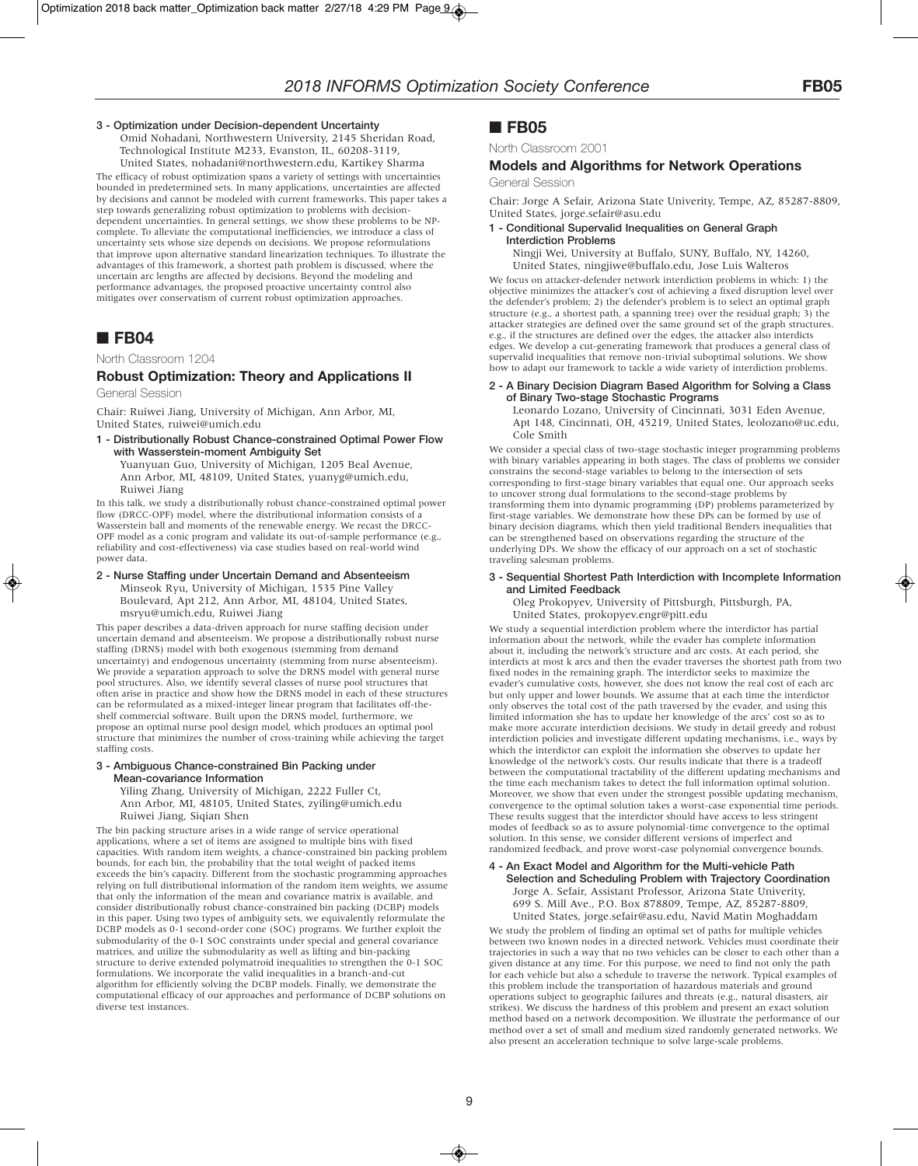### **3 - Optimization under Decision-dependent Uncertainty**

Omid Nohadani, Northwestern University, 2145 Sheridan Road, Technological Institute M233, Evanston, IL, 60208-3119, United States, nohadani@northwestern.edu, Kartikey Sharma

The efficacy of robust optimization spans a variety of settings with uncertainties bounded in predetermined sets. In many applications, uncertainties are affected by decisions and cannot be modeled with current frameworks. This paper takes a step towards generalizing robust optimization to problems with decisiondependent uncertainties. In general settings, we show these problems to be NPcomplete. To alleviate the computational inefficiencies, we introduce a class of uncertainty sets whose size depends on decisions. We propose reformulations that improve upon alternative standard linearization techniques. To illustrate the advantages of this framework, a shortest path problem is discussed, where the uncertain arc lengths are affected by decisions. Beyond the modeling and performance advantages, the proposed proactive uncertainty control also mitigates over conservatism of current robust optimization approaches.

# ■ **FB04**

### North Classroom 1204

### **Robust Optimization: Theory and Applications II** General Session

Chair: Ruiwei Jiang, University of Michigan, Ann Arbor, MI, United States, ruiwei@umich.edu

**1 - Distributionally Robust Chance-constrained Optimal Power Flow with Wasserstein-moment Ambiguity Set**

Yuanyuan Guo, University of Michigan, 1205 Beal Avenue, Ann Arbor, MI, 48109, United States, yuanyg@umich.edu, Ruiwei Jiang

In this talk, we study a distributionally robust chance-constrained optimal power flow (DRCC-OPF) model, where the distributional information consists of a Wasserstein ball and moments of the renewable energy. We recast the DRCC-OPF model as a conic program and validate its out-of-sample performance (e.g., reliability and cost-effectiveness) via case studies based on real-world wind power data.

### **2 - Nurse Staffing under Uncertain Demand and Absenteeism**

Minseok Ryu, University of Michigan, 1535 Pine Valley Boulevard, Apt 212, Ann Arbor, MI, 48104, United States, msryu@umich.edu, Ruiwei Jiang

This paper describes a data-driven approach for nurse staffing decision under uncertain demand and absenteeism. We propose a distributionally robust nurse staffing (DRNS) model with both exogenous (stemming from demand uncertainty) and endogenous uncertainty (stemming from nurse absenteeism). We provide a separation approach to solve the DRNS model with general nurse pool structures. Also, we identify several classes of nurse pool structures that often arise in practice and show how the DRNS model in each of these structures can be reformulated as a mixed-integer linear program that facilitates off-theshelf commercial software. Built upon the DRNS model, furthermore, we propose an optimal nurse pool design model, which produces an optimal pool structure that minimizes the number of cross-training while achieving the target staffing costs.

#### **3 - Ambiguous Chance-constrained Bin Packing under Mean-covariance Information**

Yiling Zhang, University of Michigan, 2222 Fuller Ct, Ann Arbor, MI, 48105, United States, zyiling@umich.edu Ruiwei Jiang, Siqian Shen

The bin packing structure arises in a wide range of service operational applications, where a set of items are assigned to multiple bins with fixed capacities. With random item weights, a chance-constrained bin packing problem bounds, for each bin, the probability that the total weight of packed items exceeds the bin's capacity. Different from the stochastic programming approaches relying on full distributional information of the random item weights, we assume that only the information of the mean and covariance matrix is available, and consider distributionally robust chance-constrained bin packing (DCBP) models in this paper. Using two types of ambiguity sets, we equivalently reformulate the DCBP models as 0-1 second-order cone (SOC) programs. We further exploit the submodularity of the 0-1 SOC constraints under special and general covariance matrices, and utilize the submodularity as well as lifting and bin-packing structure to derive extended polymatroid inequalities to strengthen the 0-1 SOC formulations. We incorporate the valid inequalities in a branch-and-cut algorithm for efficiently solving the DCBP models. Finally, we demonstrate the computational efficacy of our approaches and performance of DCBP solutions on diverse test instances.

### ■ **FB05**

### North Classroom 2001

### **Models and Algorithms for Network Operations**

### General Session

Chair: Jorge A Sefair, Arizona State Univerity, Tempe, AZ, 85287-8809, United States, jorge.sefair@asu.edu

### **1 - Conditional Supervalid Inequalities on General Graph Interdiction Problems**

Ningji Wei, University at Buffalo, SUNY, Buffalo, NY, 14260, United States, ningjiwe@buffalo.edu, Jose Luis Walteros

We focus on attacker-defender network interdiction problems in which: 1) the objective minimizes the attacker's cost of achieving a fixed disruption level over the defender's problem; 2) the defender's problem is to select an optimal graph structure (e.g., a shortest path, a spanning tree) over the residual graph; 3) the attacker strategies are defined over the same ground set of the graph structures. e.g., if the structures are defined over the edges, the attacker also interdicts edges. We develop a cut-generating framework that produces a general class of supervalid inequalities that remove non-trivial suboptimal solutions. We show how to adapt our framework to tackle a wide variety of interdiction problems.

#### **2 - A Binary Decision Diagram Based Algorithm for Solving a Class of Binary Two-stage Stochastic Programs**

Leonardo Lozano, University of Cincinnati, 3031 Eden Avenue, Apt 148, Cincinnati, OH, 45219, United States, leolozano@uc.edu, Cole Smith

We consider a special class of two-stage stochastic integer programming problems with binary variables appearing in both stages. The class of problems we consider constrains the second-stage variables to belong to the intersection of sets corresponding to first-stage binary variables that equal one. Our approach seeks to uncover strong dual formulations to the second-stage problems by transforming them into dynamic programming (DP) problems parameterized by first-stage variables. We demonstrate how these DPs can be formed by use of binary decision diagrams, which then yield traditional Benders inequalities that can be strengthened based on observations regarding the structure of the underlying DPs. We show the efficacy of our approach on a set of stochastic traveling salesman problems.

#### **3 - Sequential Shortest Path Interdiction with Incomplete Information and Limited Feedback**

Oleg Prokopyev, University of Pittsburgh, Pittsburgh, PA, United States, prokopyev.engr@pitt.edu

We study a sequential interdiction problem where the interdictor has partial information about the network, while the evader has complete information about it, including the network's structure and arc costs. At each period, she interdicts at most k arcs and then the evader traverses the shortest path from two fixed nodes in the remaining graph. The interdictor seeks to maximize the evader's cumulative costs, however, she does not know the real cost of each arc but only upper and lower bounds. We assume that at each time the interdictor only observes the total cost of the path traversed by the evader, and using this limited information she has to update her knowledge of the arcs' cost so as to make more accurate interdiction decisions. We study in detail greedy and robust interdiction policies and investigate different updating mechanisms, i.e., ways by which the interdictor can exploit the information she observes to update her knowledge of the network's costs. Our results indicate that there is a tradeoff between the computational tractability of the different updating mechanisms and the time each mechanism takes to detect the full information optimal solution. Moreover, we show that even under the strongest possible updating mechanism, convergence to the optimal solution takes a worst-case exponential time periods. These results suggest that the interdictor should have access to less stringent modes of feedback so as to assure polynomial-time convergence to the optimal solution. In this sense, we consider different versions of imperfect and randomized feedback, and prove worst-case polynomial convergence bounds.

#### **4 - An Exact Model and Algorithm for the Multi-vehicle Path Selection and Scheduling Problem with Trajectory Coordination** Jorge A. Sefair, Assistant Professor, Arizona State Univerity, 699 S. Mill Ave., P.O. Box 878809, Tempe, AZ, 85287-8809, United States, jorge.sefair@asu.edu, Navid Matin Moghaddam

We study the problem of finding an optimal set of paths for multiple vehicles between two known nodes in a directed network. Vehicles must coordinate their trajectories in such a way that no two vehicles can be closer to each other than a given distance at any time. For this purpose, we need to find not only the path for each vehicle but also a schedule to traverse the network. Typical examples of this problem include the transportation of hazardous materials and ground operations subject to geographic failures and threats (e.g., natural disasters, air strikes). We discuss the hardness of this problem and present an exact solution method based on a network decomposition. We illustrate the performance of our method over a set of small and medium sized randomly generated networks. We also present an acceleration technique to solve large-scale problems.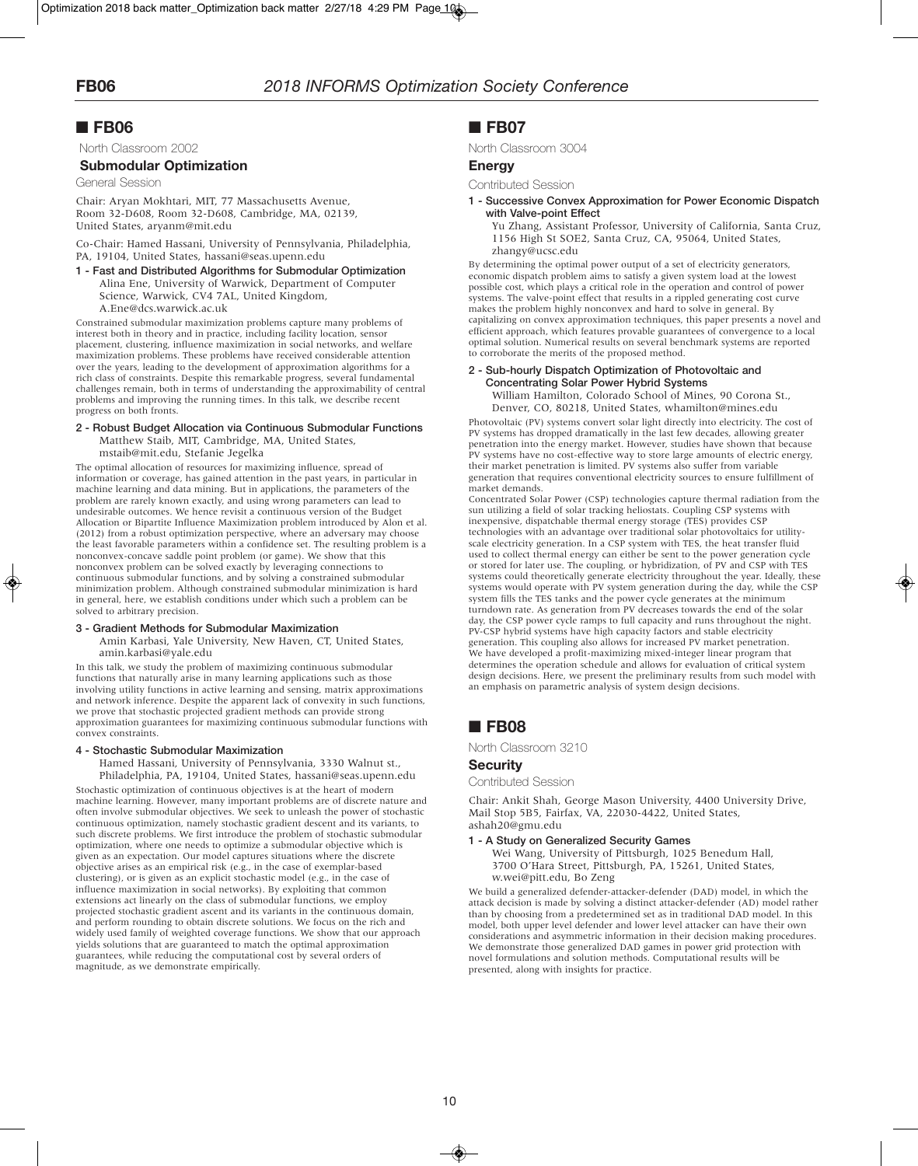# ■ **FB06**

North Classroom 2002

### **Submodular Optimization**

General Session

Chair: Aryan Mokhtari, MIT, 77 Massachusetts Avenue, Room 32-D608, Room 32-D608, Cambridge, MA, 02139, United States, aryanm@mit.edu

Co-Chair: Hamed Hassani, University of Pennsylvania, Philadelphia, PA, 19104, United States, hassani@seas.upenn.edu

**1 - Fast and Distributed Algorithms for Submodular Optimization** Alina Ene, University of Warwick, Department of Computer Science, Warwick, CV4 7AL, United Kingdom, A.Ene@dcs.warwick.ac.uk

Constrained submodular maximization problems capture many problems of interest both in theory and in practice, including facility location, sensor placement, clustering, influence maximization in social networks, and welfare maximization problems. These problems have received considerable attention over the years, leading to the development of approximation algorithms for a rich class of constraints. Despite this remarkable progress, several fundamental challenges remain, both in terms of understanding the approximability of central problems and improving the running times. In this talk, we describe recent progress on both fronts.

### **2 - Robust Budget Allocation via Continuous Submodular Functions** Matthew Staib, MIT, Cambridge, MA, United States,

mstaib@mit.edu, Stefanie Jegelka

The optimal allocation of resources for maximizing influence, spread of information or coverage, has gained attention in the past years, in particular in machine learning and data mining. But in applications, the parameters of the problem are rarely known exactly, and using wrong parameters can lead to undesirable outcomes. We hence revisit a continuous version of the Budget Allocation or Bipartite Influence Maximization problem introduced by Alon et al. (2012) from a robust optimization perspective, where an adversary may choose the least favorable parameters within a confidence set. The resulting problem is a nonconvex-concave saddle point problem (or game). We show that this nonconvex problem can be solved exactly by leveraging connections to continuous submodular functions, and by solving a constrained submodular minimization problem. Although constrained submodular minimization is hard in general, here, we establish conditions under which such a problem can be solved to arbitrary precision.

### **3 - Gradient Methods for Submodular Maximization**

Amin Karbasi, Yale University, New Haven, CT, United States, amin.karbasi@yale.edu

In this talk, we study the problem of maximizing continuous submodular functions that naturally arise in many learning applications such as those involving utility functions in active learning and sensing, matrix approximations and network inference. Despite the apparent lack of convexity in such functions, we prove that stochastic projected gradient methods can provide strong approximation guarantees for maximizing continuous submodular functions with convex constraints.

#### **4 - Stochastic Submodular Maximization**

Hamed Hassani, University of Pennsylvania, 3330 Walnut st., Philadelphia, PA, 19104, United States, hassani@seas.upenn.edu

Stochastic optimization of continuous objectives is at the heart of modern machine learning. However, many important problems are of discrete nature and often involve submodular objectives. We seek to unleash the power of stochastic continuous optimization, namely stochastic gradient descent and its variants, to such discrete problems. We first introduce the problem of stochastic submodular optimization, where one needs to optimize a submodular objective which is given as an expectation. Our model captures situations where the discrete objective arises as an empirical risk (e.g., in the case of exemplar-based clustering), or is given as an explicit stochastic model (e.g., in the case of influence maximization in social networks). By exploiting that common extensions act linearly on the class of submodular functions, we employ projected stochastic gradient ascent and its variants in the continuous domain, and perform rounding to obtain discrete solutions. We focus on the rich and widely used family of weighted coverage functions. We show that our approach yields solutions that are guaranteed to match the optimal approximation guarantees, while reducing the computational cost by several orders of magnitude, as we demonstrate empirically.

## ■ **FB07**

North Classroom 3004

### **Energy**

Contributed Session

**1 - Successive Convex Approximation for Power Economic Dispatch with Valve-point Effect**

Yu Zhang, Assistant Professor, University of California, Santa Cruz, 1156 High St SOE2, Santa Cruz, CA, 95064, United States, zhangy@ucsc.edu

By determining the optimal power output of a set of electricity generators, economic dispatch problem aims to satisfy a given system load at the lowest possible cost, which plays a critical role in the operation and control of power systems. The valve-point effect that results in a rippled generating cost curve makes the problem highly nonconvex and hard to solve in general. By capitalizing on convex approximation techniques, this paper presents a novel and efficient approach, which features provable guarantees of convergence to a local optimal solution. Numerical results on several benchmark systems are reported to corroborate the merits of the proposed method.

### **2 - Sub-hourly Dispatch Optimization of Photovoltaic and Concentrating Solar Power Hybrid Systems**

William Hamilton, Colorado School of Mines, 90 Corona St., Denver, CO, 80218, United States, whamilton@mines.edu

Photovoltaic (PV) systems convert solar light directly into electricity. The cost of PV systems has dropped dramatically in the last few decades, allowing greater penetration into the energy market. However, studies have shown that because PV systems have no cost-effective way to store large amounts of electric energy, their market penetration is limited. PV systems also suffer from variable generation that requires conventional electricity sources to ensure fulfillment of market demands.

Concentrated Solar Power (CSP) technologies capture thermal radiation from the sun utilizing a field of solar tracking heliostats. Coupling CSP systems with inexpensive, dispatchable thermal energy storage (TES) provides CSP technologies with an advantage over traditional solar photovoltaics for utilityscale electricity generation. In a CSP system with TES, the heat transfer fluid used to collect thermal energy can either be sent to the power generation cycle or stored for later use. The coupling, or hybridization, of PV and CSP with TES systems could theoretically generate electricity throughout the year. Ideally, these systems vould operate with PV system generation during the day, while the CSP system fills the TES tanks and the power cycle generates at the minimum turndown rate. As generation from PV decreases towards the end of the solar day, the CSP power cycle ramps to full capacity and runs throughout the night. PV-CSP hybrid systems have high capacity factors and stable electricity generation. This coupling also allows for increased PV market penetration. We have developed a profit-maximizing mixed-integer linear program that determines the operation schedule and allows for evaluation of critical system design decisions. Here, we present the preliminary results from such model with an emphasis on parametric analysis of system design decisions.

# ■ **FB08**

North Classroom 3210

### **Security**

Contributed Session

Chair: Ankit Shah, George Mason University, 4400 University Drive, Mail Stop 5B5, Fairfax, VA, 22030-4422, United States, ashah20@gmu.edu

### **1 - A Study on Generalized Security Games**

Wei Wang, University of Pittsburgh, 1025 Benedum Hall, 3700 O'Hara Street, Pittsburgh, PA, 15261, United States, w.wei@pitt.edu, Bo Zeng

We build a generalized defender-attacker-defender (DAD) model, in which the attack decision is made by solving a distinct attacker-defender (AD) model rather than by choosing from a predetermined set as in traditional DAD model. In this model, both upper level defender and lower level attacker can have their own considerations and asymmetric information in their decision making procedures. We demonstrate those generalized DAD games in power grid protection with novel formulations and solution methods. Computational results will be presented, along with insights for practice.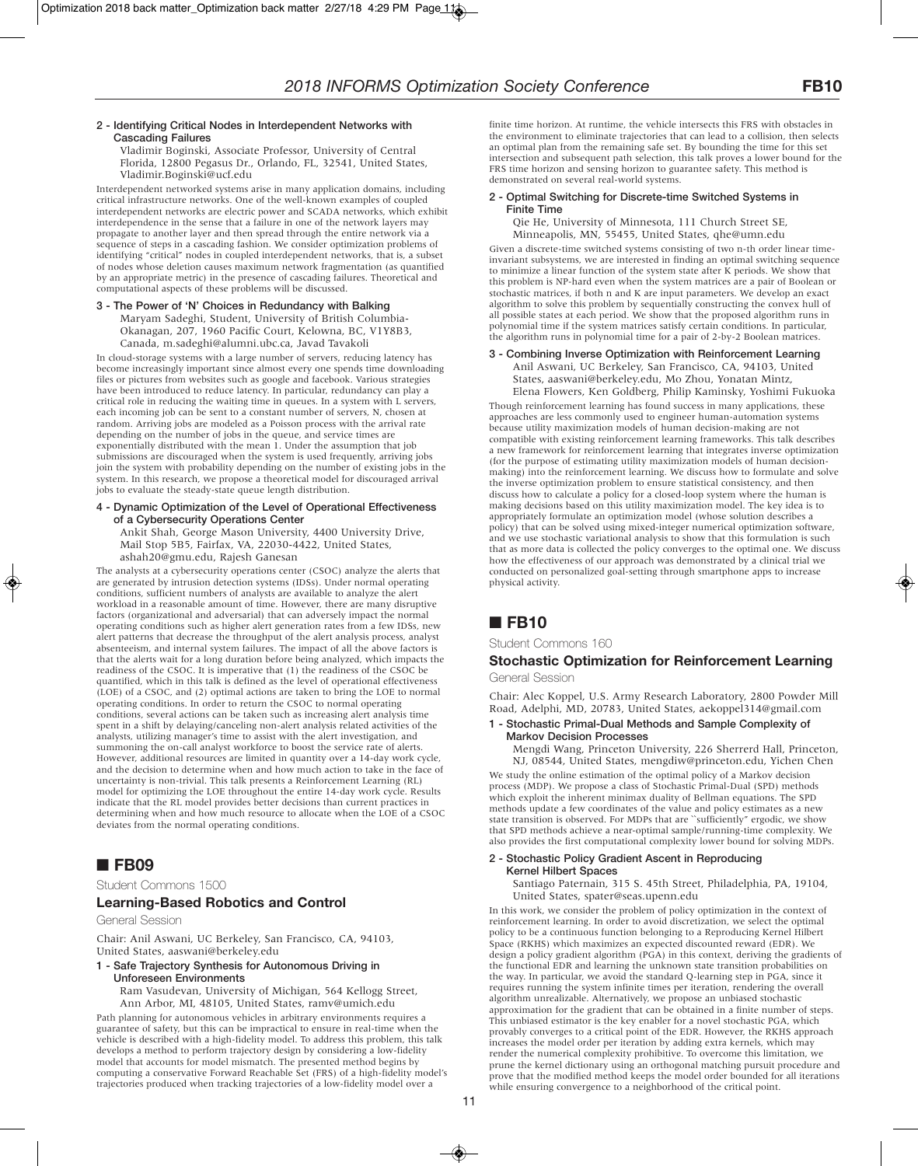Vladimir Boginski, Associate Professor, University of Central Florida, 12800 Pegasus Dr., Orlando, FL, 32541, United States, Vladimir.Boginski@ucf.edu

Interdependent networked systems arise in many application domains, including critical infrastructure networks. One of the well-known examples of coupled interdependent networks are electric power and SCADA networks, which exhibit interdependence in the sense that a failure in one of the network layers may propagate to another layer and then spread through the entire network via a sequence of steps in a cascading fashion. We consider optimization problems of identifying "critical" nodes in coupled interdependent networks, that is, a subset of nodes whose deletion causes maximum network fragmentation (as quantified by an appropriate metric) in the presence of cascading failures. Theoretical and computational aspects of these problems will be discussed.

#### **3 - The Power of 'N' Choices in Redundancy with Balking** Maryam Sadeghi, Student, University of British Columbia-Okanagan, 207, 1960 Pacific Court, Kelowna, BC, V1Y8B3, Canada, m.sadeghi@alumni.ubc.ca, Javad Tavakoli

In cloud-storage systems with a large number of servers, reducing latency has become increasingly important since almost every one spends time downloading files or pictures from websites such as google and facebook. Various strategies have been introduced to reduce latency. In particular, redundancy can play a critical role in reducing the waiting time in queues. In a system with L servers, each incoming job can be sent to a constant number of servers, N, chosen at random. Arriving jobs are modeled as a Poisson process with the arrival rate depending on the number of jobs in the queue, and service times are exponentially distributed with the mean 1. Under the assumption that job submissions are discouraged when the system is used frequently, arriving jobs join the system with probability depending on the number of existing jobs in the system. In this research, we propose a theoretical model for discouraged arrival jobs to evaluate the steady-state queue length distribution.

### **4 - Dynamic Optimization of the Level of Operational Effectiveness of a Cybersecurity Operations Center**

Ankit Shah, George Mason University, 4400 University Drive, Mail Stop 5B5, Fairfax, VA, 22030-4422, United States, ashah20@gmu.edu, Rajesh Ganesan

The analysts at a cybersecurity operations center (CSOC) analyze the alerts that are generated by intrusion detection systems (IDSs). Under normal operating conditions, sufficient numbers of analysts are available to analyze the alert workload in a reasonable amount of time. However, there are many disruptive factors (organizational and adversarial) that can adversely impact the normal operating conditions such as higher alert generation rates from a few IDSs, new alert patterns that decrease the throughput of the alert analysis process, analyst absenteeism, and internal system failures. The impact of all the above factors is that the alerts wait for a long duration before being analyzed, which impacts the readiness of the CSOC. It is imperative that (1) the readiness of the CSOC be quantified, which in this talk is defined as the level of operational effectiveness (LOE) of a CSOC, and (2) optimal actions are taken to bring the LOE to normal operating conditions. In order to return the CSOC to normal operating conditions, several actions can be taken such as increasing alert analysis time spent in a shift by delaying/canceling non-alert analysis related activities of the analysts, utilizing manager's time to assist with the alert investigation, and summoning the on-call analyst workforce to boost the service rate of alerts. However, additional resources are limited in quantity over a 14-day work cycle, and the decision to determine when and how much action to take in the face of uncertainty is non-trivial. This talk presents a Reinforcement Learning (RL) model for optimizing the LOE throughout the entire 14-day work cycle. Results indicate that the RL model provides better decisions than current practices in determining when and how much resource to allocate when the LOE of a CSOC deviates from the normal operating conditions.

# ■ **FB09**

Student Commons 1500

### **Learning-Based Robotics and Control**

General Session

Chair: Anil Aswani, UC Berkeley, San Francisco, CA, 94103, United States, aaswani@berkeley.edu

# **1 - Safe Trajectory Synthesis for Autonomous Driving in**

**Unforeseen Environments** Ram Vasudevan, University of Michigan, 564 Kellogg Street, Ann Arbor, MI, 48105, United States, ramv@umich.edu

Path planning for autonomous vehicles in arbitrary environments requires a guarantee of safety, but this can be impractical to ensure in real-time when the vehicle is described with a high-fidelity model. To address this problem, this talk develops a method to perform trajectory design by considering a low-fidelity model that accounts for model mismatch. The presented method begins by computing a conservative Forward Reachable Set (FRS) of a high-fidelity model's trajectories produced when tracking trajectories of a low-fidelity model over a

finite time horizon. At runtime, the vehicle intersects this FRS with obstacles in the environment to eliminate trajectories that can lead to a collision, then selects an optimal plan from the remaining safe set. By bounding the time for this set intersection and subsequent path selection, this talk proves a lower bound for the FRS time horizon and sensing horizon to guarantee safety. This method is demonstrated on several real-world systems.

### **2 - Optimal Switching for Discrete-time Switched Systems in Finite Time**

Qie He, University of Minnesota, 111 Church Street SE, Minneapolis, MN, 55455, United States, qhe@umn.edu

Given a discrete-time switched systems consisting of two n-th order linear timeinvariant subsystems, we are interested in finding an optimal switching sequence to minimize a linear function of the system state after K periods. We show that this problem is NP-hard even when the system matrices are a pair of Boolean or stochastic matrices, if both n and K are input parameters. We develop an exact algorithm to solve this problem by sequentially constructing the convex hull of all possible states at each period. We show that the proposed algorithm runs in polynomial time if the system matrices satisfy certain conditions. In particular, the algorithm runs in polynomial time for a pair of 2-by-2 Boolean matrices.

### **3 - Combining Inverse Optimization with Reinforcement Learning**

Anil Aswani, UC Berkeley, San Francisco, CA, 94103, United States, aaswani@berkeley.edu, Mo Zhou, Yonatan Mintz, Elena Flowers, Ken Goldberg, Philip Kaminsky, Yoshimi Fukuoka Though reinforcement learning has found success in many applications, these approaches are less commonly used to engineer human-automation systems because utility maximization models of human decision-making are not compatible with existing reinforcement learning frameworks. This talk describes a new framework for reinforcement learning that integrates inverse optimization (for the purpose of estimating utility maximization models of human decisionmaking) into the reinforcement learning. We discuss how to formulate and solve the inverse optimization problem to ensure statistical consistency, and then discuss how to calculate a policy for a closed-loop system where the human is making decisions based on this utility maximization model. The key idea is to appropriately formulate an optimization model (whose solution describes a policy) that can be solved using mixed-integer numerical optimization software, and we use stochastic variational analysis to show that this formulation is such that as more data is collected the policy converges to the optimal one. We discuss how the effectiveness of our approach was demonstrated by a clinical trial we conducted on personalized goal-setting through smartphone apps to increase physical activity.

# ■ **FB10**

Student Commons 160

### **Stochastic Optimization for Reinforcement Learning** General Session

Chair: Alec Koppel, U.S. Army Research Laboratory, 2800 Powder Mill Road, Adelphi, MD, 20783, United States, aekoppel314@gmail.com

#### **1 - Stochastic Primal-Dual Methods and Sample Complexity of Markov Decision Processes**

Mengdi Wang, Princeton University, 226 Sherrerd Hall, Princeton, NJ, 08544, United States, mengdiw@princeton.edu, Yichen Chen

We study the online estimation of the optimal policy of a Markov decision process (MDP). We propose a class of Stochastic Primal-Dual (SPD) methods which exploit the inherent minimax duality of Bellman equations. The SPD methods update a few coordinates of the value and policy estimates as a new state transition is observed. For MDPs that are "sufficiently" ergodic, we show that SPD methods achieve a near-optimal sample/running-time complexity. We also provides the first computational complexity lower bound for solving MDPs.

### **2 - Stochastic Policy Gradient Ascent in Reproducing Kernel Hilbert Spaces**

Santiago Paternain, 315 S. 45th Street, Philadelphia, PA, 19104, United States, spater@seas.upenn.edu

In this work, we consider the problem of policy optimization in the context of reinforcement learning. In order to avoid discretization, we select the optimal policy to be a continuous function belonging to a Reproducing Kernel Hilbert Space (RKHS) which maximizes an expected discounted reward (EDR). We design a policy gradient algorithm (PGA) in this context, deriving the gradients of the functional EDR and learning the unknown state transition probabilities on the way. In particular, we avoid the standard Q-learning step in PGA, since it requires running the system infinite times per iteration, rendering the overall algorithm unrealizable. Alternatively, we propose an unbiased stochastic approximation for the gradient that can be obtained in a finite number of steps. This unbiased estimator is the key enabler for a novel stochastic PGA, which provably converges to a critical point of the EDR. However, the RKHS approach increases the model order per iteration by adding extra kernels, which may render the numerical complexity prohibitive. To overcome this limitation, we prune the kernel dictionary using an orthogonal matching pursuit procedure and prove that the modified method keeps the model order bounded for all iterations while ensuring convergence to a neighborhood of the critical point.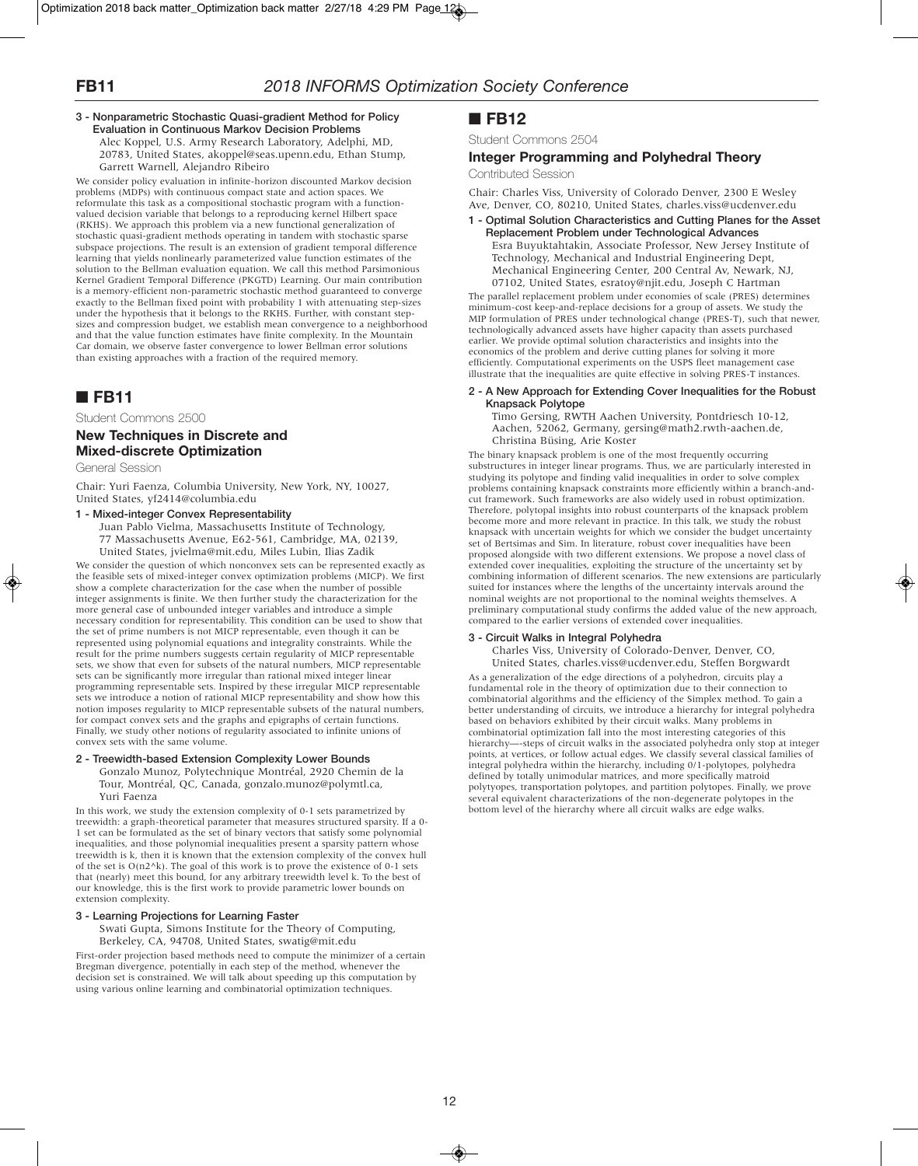#### **3 - Nonparametric Stochastic Quasi-gradient Method for Policy Evaluation in Continuous Markov Decision Problems** Alec Koppel, U.S. Army Research Laboratory, Adelphi, MD,

20783, United States, akoppel@seas.upenn.edu, Ethan Stump, Garrett Warnell, Alejandro Ribeiro

We consider policy evaluation in infinite-horizon discounted Markov decision problems (MDPs) with continuous compact state and action spaces. We reformulate this task as a compositional stochastic program with a functionvalued decision variable that belongs to a reproducing kernel Hilbert space (RKHS). We approach this problem via a new functional generalization of stochastic quasi-gradient methods operating in tandem with stochastic sparse subspace projections. The result is an extension of gradient temporal difference learning that yields nonlinearly parameterized value function estimates of the solution to the Bellman evaluation equation. We call this method Parsimonious Kernel Gradient Temporal Difference (PKGTD) Learning. Our main contribution is a memory-efficient non-parametric stochastic method guaranteed to converge exactly to the Bellman fixed point with probability 1 with attenuating step-sizes under the hypothesis that it belongs to the RKHS. Further, with constant stepsizes and compression budget, we establish mean convergence to a neighborhood and that the value function estimates have finite complexity. In the Mountain Car domain, we observe faster convergence to lower Bellman error solutions than existing approaches with a fraction of the required memory.

# ■ **FB11**

Student Commons 2500

### **New Techniques in Discrete and Mixed-discrete Optimization**

General Session

Chair: Yuri Faenza, Columbia University, New York, NY, 10027, United States, yf2414@columbia.edu

### **1 - Mixed-integer Convex Representability**

Juan Pablo Vielma, Massachusetts Institute of Technology, 77 Massachusetts Avenue, E62-561, Cambridge, MA, 02139, United States, jvielma@mit.edu, Miles Lubin, Ilias Zadik

We consider the question of which nonconvex sets can be represented exactly as the feasible sets of mixed-integer convex optimization problems (MICP). We first show a complete characterization for the case when the number of possible integer assignments is finite. We then further study the characterization for the more general case of unbounded integer variables and introduce a simple necessary condition for representability. This condition can be used to show that the set of prime numbers is not MICP representable, even though it can be represented using polynomial equations and integrality constraints. While the result for the prime numbers suggests certain regularity of MICP representable sets, we show that even for subsets of the natural numbers, MICP representable sets can be significantly more irregular than rational mixed integer linear programming representable sets. Inspired by these irregular MICP representable sets we introduce a notion of rational MICP representability and show how this notion imposes regularity to MICP representable subsets of the natural numbers, for compact convex sets and the graphs and epigraphs of certain functions. Finally, we study other notions of regularity associated to infinite unions of convex sets with the same volume.

### **2 - Treewidth-based Extension Complexity Lower Bounds**

Gonzalo Munoz, Polytechnique Montréal, 2920 Chemin de la Tour, Montréal, QC, Canada, gonzalo.munoz@polymtl.ca, Yuri Faenza

In this work, we study the extension complexity of 0-1 sets parametrized by treewidth: a graph-theoretical parameter that measures structured sparsity. If a 0- 1 set can be formulated as the set of binary vectors that satisfy some polynomial inequalities, and those polynomial inequalities present a sparsity pattern whose treewidth is k, then it is known that the extension complexity of the convex hull of the set is  $O(n2^k)$ . The goal of this work is to prove the existence of 0-1 sets that (nearly) meet this bound, for any arbitrary treewidth level k. To the best of our knowledge, this is the first work to provide parametric lower bounds on extension complexity.

### **3 - Learning Projections for Learning Faster**

Swati Gupta, Simons Institute for the Theory of Computing, Berkeley, CA, 94708, United States, swatig@mit.edu

First-order projection based methods need to compute the minimizer of a certain Bregman divergence, potentially in each step of the method, whenever the decision set is constrained. We will talk about speeding up this computation by using various online learning and combinatorial optimization techniques.

# ■ **FB12**

Student Commons 2504

## **Integer Programming and Polyhedral Theory**

Contributed Session

Chair: Charles Viss, University of Colorado Denver, 2300 E Wesley Ave, Denver, CO, 80210, United States, charles.viss@ucdenver.edu

#### **1 - Optimal Solution Characteristics and Cutting Planes for the Asset Replacement Problem under Technological Advances** Esra Buyuktahtakin, Associate Professor, New Jersey Institute of Technology, Mechanical and Industrial Engineering Dept, Mechanical Engineering Center, 200 Central Av, Newark, NJ, 07102, United States, esratoy@njit.edu, Joseph C Hartman

The parallel replacement problem under economies of scale (PRES) determines minimum-cost keep-and-replace decisions for a group of assets. We study the MIP formulation of PRES under technological change (PRES-T), such that newer, technologically advanced assets have higher capacity than assets purchased earlier. We provide optimal solution characteristics and insights into the economics of the problem and derive cutting planes for solving it more efficiently. Computational experiments on the USPS fleet management case illustrate that the inequalities are quite effective in solving PRES-T instances.

### **2 - A New Approach for Extending Cover Inequalities for the Robust Knapsack Polytope**

Timo Gersing, RWTH Aachen University, Pontdriesch 10-12, Aachen, 52062, Germany, gersing@math2.rwth-aachen.de, Christina Büsing, Arie Koster

The binary knapsack problem is one of the most frequently occurring substructures in integer linear programs. Thus, we are particularly interested in studying its polytope and finding valid inequalities in order to solve complex problems containing knapsack constraints more efficiently within a branch-andcut framework. Such frameworks are also widely used in robust optimization. Therefore, polytopal insights into robust counterparts of the knapsack problem become more and more relevant in practice. In this talk, we study the robust knapsack with uncertain weights for which we consider the budget uncertainty set of Bertsimas and Sim. In literature, robust cover inequalities have been proposed alongside with two different extensions. We propose a novel class of extended cover inequalities, exploiting the structure of the uncertainty set by combining information of different scenarios. The new extensions are particularly suited for instances where the lengths of the uncertainty intervals around the nominal weights are not proportional to the nominal weights themselves. A preliminary computational study confirms the added value of the new approach, compared to the earlier versions of extended cover inequalities.

### **3 - Circuit Walks in Integral Polyhedra**

Charles Viss, University of Colorado-Denver, Denver, CO,

United States, charles.viss@ucdenver.edu, Steffen Borgwardt As a generalization of the edge directions of a polyhedron, circuits play a fundamental role in the theory of optimization due to their connection to combinatorial algorithms and the efficiency of the Simplex method. To gain a better understanding of circuits, we introduce a hierarchy for integral polyhedra based on behaviors exhibited by their circuit walks. Many problems in combinatorial optimization fall into the most interesting categories of this hierarchy—-steps of circuit walks in the associated polyhedra only stop at integer points, at vertices, or follow actual edges. We classify several classical families of integral polyhedra within the hierarchy, including 0/1-polytopes, polyhedra defined by totally unimodular matrices, and more specifically matroid polytyopes, transportation polytopes, and partition polytopes. Finally, we prove several equivalent characterizations of the non-degenerate polytopes in the bottom level of the hierarchy where all circuit walks are edge walks.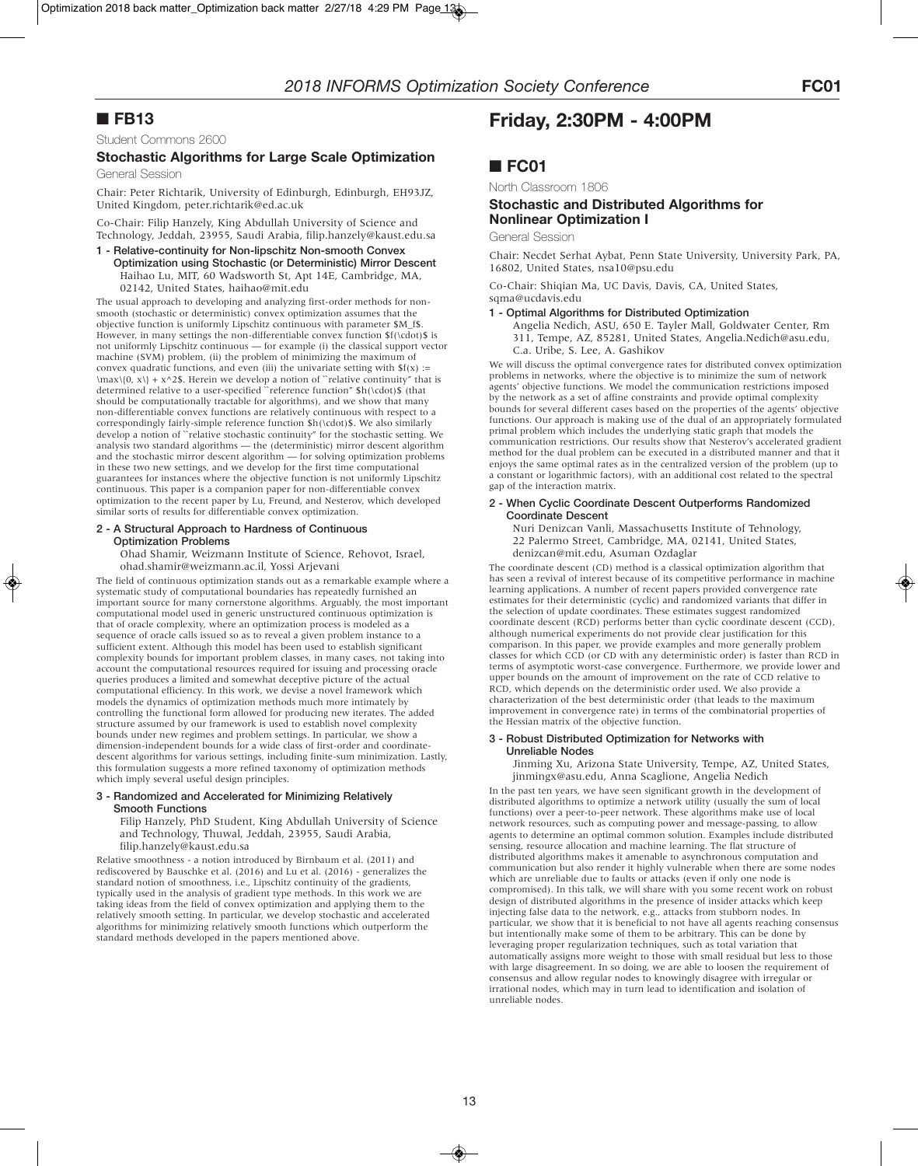# ■ **FB13**

Student Commons 2600

# **Stochastic Algorithms for Large Scale Optimization**

General Session

Chair: Peter Richtarik, University of Edinburgh, Edinburgh, EH93JZ, United Kingdom, peter.richtarik@ed.ac.uk

Co-Chair: Filip Hanzely, King Abdullah University of Science and Technology, Jeddah, 23955, Saudi Arabia, filip.hanzely@kaust.edu.sa

**1 - Relative-continuity for Non-lipschitz Non-smooth Convex Optimization using Stochastic (or Deterministic) Mirror Descent** Haihao Lu, MIT, 60 Wadsworth St, Apt 14E, Cambridge, MA, 02142, United States, haihao@mit.edu

The usual approach to developing and analyzing first-order methods for nonsmooth (stochastic or deterministic) convex optimization assumes that the objective function is uniformly Lipschitz continuous with parameter \$M\_f\$. However, in many settings the non-differentiable convex function  $f(\cdot)$  is not uniformly Lipschitz continuous — for example (i) the classical support vector machine (SVM) problem, (ii) the problem of minimizing the maximum of convex quadratic functions, and even (iii) the univariate setting with  $f(x)$  :=  $\max\{0, x\} + x^2$ . Herein we develop a notion of "relative continuity" that is determined relative to a user-specified `reference function"  $h(\cdot)$  (that should be computationally tractable for algorithms), and we show that many non-differentiable convex functions are relatively continuous with respect to a correspondingly fairly-simple reference function \$h(\cdot)\$. We also similarly develop a notion of ``relative stochastic continuity'' for the stochastic setting. We analysis two standard algorithms — the (deterministic) mirror descent algorithm and the stochastic mirror descent algorithm — for solving optimization problems in these two new settings, and we develop for the first time computational guarantees for instances where the objective function is not uniformly Lipschitz continuous. This paper is a companion paper for non-differentiable convex optimization to the recent paper by Lu, Freund, and Nesterov, which developed similar sorts of results for differentiable convex optimization.

### **2 - A Structural Approach to Hardness of Continuous Optimization Problems**

Ohad Shamir, Weizmann Institute of Science, Rehovot, Israel, ohad.shamir@weizmann.ac.il, Yossi Arjevani

The field of continuous optimization stands out as a remarkable example where a systematic study of computational boundaries has repeatedly furnished an important source for many cornerstone algorithms. Arguably, the most important computational model used in generic unstructured continuous optimization is that of oracle complexity, where an optimization process is modeled as a sequence of oracle calls issued so as to reveal a given problem instance to a sufficient extent. Although this model has been used to establish significant complexity bounds for important problem classes, in many cases, not taking into account the computational resources required for issuing and processing oracle queries produces a limited and somewhat deceptive picture of the actual computational efficiency. In this work, we devise a novel framework which models the dynamics of optimization methods much more intimately by controlling the functional form allowed for producing new iterates. The added structure assumed by our framework is used to establish novel complexity bounds under new regimes and problem settings. In particular, we show a dimension-independent bounds for a wide class of first-order and coordinatedescent algorithms for various settings, including finite-sum minimization. Lastly, this formulation suggests a more refined taxonomy of optimization methods which imply several useful design principles.

#### **3 - Randomized and Accelerated for Minimizing Relatively Smooth Functions**

Filip Hanzely, PhD Student, King Abdullah University of Science and Technology, Thuwal, Jeddah, 23955, Saudi Arabia, filip.hanzely@kaust.edu.sa

Relative smoothness - a notion introduced by Birnbaum et al. (2011) and rediscovered by Bauschke et al. (2016) and Lu et al. (2016) - generalizes the standard notion of smoothness, i.e., Lipschitz continuity of the gradients, typically used in the analysis of gradient type methods. In this work we are taking ideas from the field of convex optimization and applying them to the relatively smooth setting. In particular, we develop stochastic and accelerated algorithms for minimizing relatively smooth functions which outperform the standard methods developed in the papers mentioned above.

# **Friday, 2:30PM - 4:00PM**

# ■ **FC01**

North Classroom 1806

### **Stochastic and Distributed Algorithms for Nonlinear Optimization I**

General Session

Chair: Necdet Serhat Aybat, Penn State University, University Park, PA, 16802, United States, nsa10@psu.edu

Co-Chair: Shiqian Ma, UC Davis, Davis, CA, United States, sqma@ucdavis.edu

### **1 - Optimal Algorithms for Distributed Optimization**

Angelia Nedich, ASU, 650 E. Tayler Mall, Goldwater Center, Rm 311, Tempe, AZ, 85281, United States, Angelia.Nedich@asu.edu, C.a. Uribe, S. Lee, A. Gashikov

We will discuss the optimal convergence rates for distributed convex optimization problems in networks, where the objective is to minimize the sum of network agents' objective functions. We model the communication restrictions imposed by the network as a set of affine constraints and provide optimal complexity bounds for several different cases based on the properties of the agents' objective functions. Our approach is making use of the dual of an appropriately formulated primal problem which includes the underlying static graph that models the communication restrictions. Our results show that Nesterov's accelerated gradient method for the dual problem can be executed in a distributed manner and that it enjoys the same optimal rates as in the centralized version of the problem (up to a constant or logarithmic factors), with an additional cost related to the spectral gap of the interaction matrix.

### **2 - When Cyclic Coordinate Descent Outperforms Randomized Coordinate Descent**

Nuri Denizcan Vanli, Massachusetts Institute of Tehnology, 22 Palermo Street, Cambridge, MA, 02141, United States, denizcan@mit.edu, Asuman Ozdaglar

The coordinate descent (CD) method is a classical optimization algorithm that has seen a revival of interest because of its competitive performance in machine learning applications. A number of recent papers provided convergence rate estimates for their deterministic (cyclic) and randomized variants that differ in the selection of update coordinates. These estimates suggest randomized coordinate descent (RCD) performs better than cyclic coordinate descent (CCD), although numerical experiments do not provide clear justification for this comparison. In this paper, we provide examples and more generally problem classes for which CCD (or CD with any deterministic order) is faster than RCD in terms of asymptotic worst-case convergence. Furthermore, we provide lower and upper bounds on the amount of improvement on the rate of CCD relative to RCD, which depends on the deterministic order used. We also provide a characterization of the best deterministic order (that leads to the maximum improvement in convergence rate) in terms of the combinatorial properties of the Hessian matrix of the objective function.

#### **3 - Robust Distributed Optimization for Networks with Unreliable Nodes**

Jinming Xu, Arizona State University, Tempe, AZ, United States, jinmingx@asu.edu, Anna Scaglione, Angelia Nedich

In the past ten years, we have seen significant growth in the development of distributed algorithms to optimize a network utility (usually the sum of local functions) over a peer-to-peer network. These algorithms make use of local network resources, such as computing power and message-passing, to allow agents to determine an optimal common solution. Examples include distributed sensing, resource allocation and machine learning. The flat structure of distributed algorithms makes it amenable to asynchronous computation and communication but also render it highly vulnerable when there are some nodes which are unreliable due to faults or attacks (even if only one node is compromised). In this talk, we will share with you some recent work on robust design of distributed algorithms in the presence of insider attacks which keep injecting false data to the network, e.g., attacks from stubborn nodes. In particular, we show that it is beneficial to not have all agents reaching consensus but intentionally make some of them to be arbitrary. This can be done by leveraging proper regularization techniques, such as total variation that automatically assigns more weight to those with small residual but less to those with large disagreement. In so doing, we are able to loosen the requirement of consensus and allow regular nodes to knowingly disagree with irregular or irrational nodes, which may in turn lead to identification and isolation of unreliable nodes.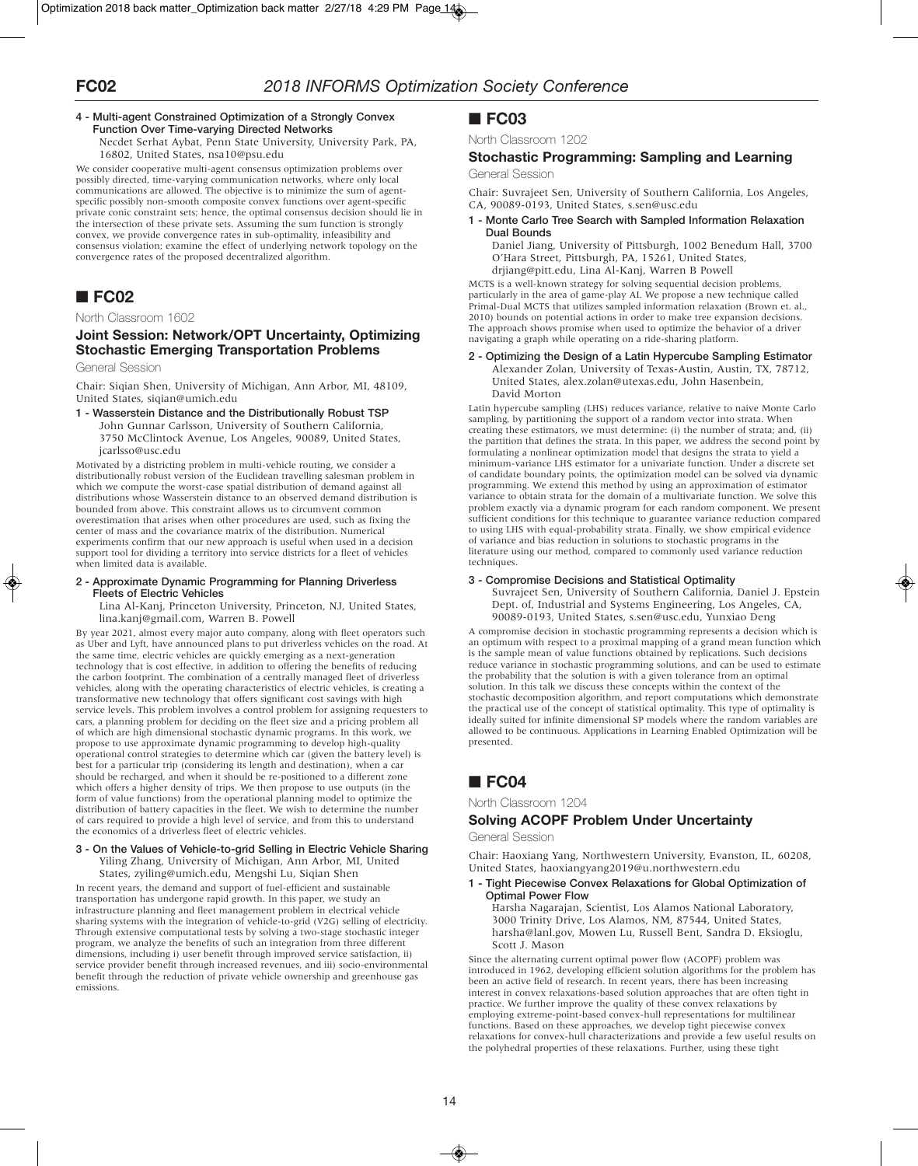### **4 - Multi-agent Constrained Optimization of a Strongly Convex Function Over Time-varying Directed Networks**

Necdet Serhat Aybat, Penn State University, University Park, PA, 16802, United States, nsa10@psu.edu

We consider cooperative multi-agent consensus optimization problems over possibly directed, time-varying communication networks, where only local communications are allowed. The objective is to minimize the sum of agentspecific possibly non-smooth composite convex functions over agent-specific private conic constraint sets; hence, the optimal consensus decision should lie in the intersection of these private sets. Assuming the sum function is strongly convex, we provide convergence rates in sub-optimality, infeasibility and consensus violation; examine the effect of underlying network topology on the convergence rates of the proposed decentralized algorithm.

# ■ **FC02**

### North Classroom 1602

## **Joint Session: Network/OPT Uncertainty, Optimizing Stochastic Emerging Transportation Problems**

General Session

Chair: Siqian Shen, University of Michigan, Ann Arbor, MI, 48109, United States, siqian@umich.edu

**1 - Wasserstein Distance and the Distributionally Robust TSP** John Gunnar Carlsson, University of Southern California, 3750 McClintock Avenue, Los Angeles, 90089, United States, jcarlsso@usc.edu

Motivated by a districting problem in multi-vehicle routing, we consider a distributionally robust version of the Euclidean travelling salesman problem in which we compute the worst-case spatial distribution of demand against all distributions whose Wasserstein distance to an observed demand distribution is bounded from above. This constraint allows us to circumvent common overestimation that arises when other procedures are used, such as fixing the center of mass and the covariance matrix of the distribution. Numerical experiments confirm that our new approach is useful when used in a decision support tool for dividing a territory into service districts for a fleet of vehicles when limited data is available.

#### **2 - Approximate Dynamic Programming for Planning Driverless Fleets of Electric Vehicles**

Lina Al-Kanj, Princeton University, Princeton, NJ, United States, lina.kanj@gmail.com, Warren B. Powell

By year 2021, almost every major auto company, along with fleet operators such as Uber and Lyft, have announced plans to put driverless vehicles on the road. At the same time, electric vehicles are quickly emerging as a next-generation technology that is cost effective, in addition to offering the benefits of reducing the carbon footprint. The combination of a centrally managed fleet of driverless vehicles, along with the operating characteristics of electric vehicles, is creating a transformative new technology that offers significant cost savings with high service levels. This problem involves a control problem for assigning requesters to cars, a planning problem for deciding on the fleet size and a pricing problem all of which are high dimensional stochastic dynamic programs. In this work, we propose to use approximate dynamic programming to develop high-quality operational control strategies to determine which car (given the battery level) is best for a particular trip (considering its length and destination), when a car should be recharged, and when it should be re-positioned to a different zone which offers a higher density of trips. We then propose to use outputs (in the form of value functions) from the operational planning model to optimize the distribution of battery capacities in the fleet. We wish to determine the number of cars required to provide a high level of service, and from this to understand the economics of a driverless fleet of electric vehicles.

#### **3 - On the Values of Vehicle-to-grid Selling in Electric Vehicle Sharing** Yiling Zhang, University of Michigan, Ann Arbor, MI, United States, zyiling@umich.edu, Mengshi Lu, Siqian Shen

In recent years, the demand and support of fuel-efficient and sustainable transportation has undergone rapid growth. In this paper, we study an infrastructure planning and fleet management problem in electrical vehicle sharing systems with the integration of vehicle-to-grid (V2G) selling of electricity. Through extensive computational tests by solving a two-stage stochastic integer program, we analyze the benefits of such an integration from three different dimensions, including i) user benefit through improved service satisfaction, ii) service provider benefit through increased revenues, and iii) socio-environmental benefit through the reduction of private vehicle ownership and greenhouse gas emissions.

## ■ **FC03**

North Classroom 1202

# **Stochastic Programming: Sampling and Learning**

General Session

Chair: Suvrajeet Sen, University of Southern California, Los Angeles, CA, 90089-0193, United States, s.sen@usc.edu

### **1 - Monte Carlo Tree Search with Sampled Information Relaxation Dual Bounds**

Daniel Jiang, University of Pittsburgh, 1002 Benedum Hall, 3700 O'Hara Street, Pittsburgh, PA, 15261, United States, drjiang@pitt.edu, Lina Al-Kanj, Warren B Powell

MCTS is a well-known strategy for solving sequential decision problems, particularly in the area of game-play AI. We propose a new technique called Primal-Dual MCTS that utilizes sampled information relaxation (Brown et. al., 2010) bounds on potential actions in order to make tree expansion decisions. The approach shows promise when used to optimize the behavior of a driver navigating a graph while operating on a ride-sharing platform.

### **2 - Optimizing the Design of a Latin Hypercube Sampling Estimator**

Alexander Zolan, University of Texas-Austin, Austin, TX, 78712, United States, alex.zolan@utexas.edu, John Hasenbein, David Morton

Latin hypercube sampling (LHS) reduces variance, relative to naive Monte Carlo sampling, by partitioning the support of a random vector into strata. When creating these estimators, we must determine: (i) the number of strata; and, (ii) the partition that defines the strata. In this paper, we address the second point by formulating a nonlinear optimization model that designs the strata to yield a minimum-variance LHS estimator for a univariate function. Under a discrete set of candidate boundary points, the optimization model can be solved via dynamic programming. We extend this method by using an approximation of estimator variance to obtain strata for the domain of a multivariate function. We solve this problem exactly via a dynamic program for each random component. We present sufficient conditions for this technique to guarantee variance reduction compared to using LHS with equal-probability strata. Finally, we show empirical evidence of variance and bias reduction in solutions to stochastic programs in the literature using our method, compared to commonly used variance reduction techniques.

### **3 - Compromise Decisions and Statistical Optimality**

Suvrajeet Sen, University of Southern California, Daniel J. Epstein Dept. of, Industrial and Systems Engineering, Los Angeles, CA, 90089-0193, United States, s.sen@usc.edu, Yunxiao Deng

A compromise decision in stochastic programming represents a decision which is an optimum with respect to a proximal mapping of a grand mean function which is the sample mean of value functions obtained by replications. Such decisions reduce variance in stochastic programming solutions, and can be used to estimate the probability that the solution is with a given tolerance from an optimal solution. In this talk we discuss these concepts within the context of the stochastic decomposition algorithm, and report computations which demonstrate the practical use of the concept of statistical optimality. This type of optimality is ideally suited for infinite dimensional SP models where the random variables are allowed to be continuous. Applications in Learning Enabled Optimization will be presented.

# ■ **FC04**

North Classroom 1204

# **Solving ACOPF Problem Under Uncertainty**

General Session

Chair: Haoxiang Yang, Northwestern University, Evanston, IL, 60208, United States, haoxiangyang2019@u.northwestern.edu

**1 - Tight Piecewise Convex Relaxations for Global Optimization of Optimal Power Flow**

Harsha Nagarajan, Scientist, Los Alamos National Laboratory, 3000 Trinity Drive, Los Alamos, NM, 87544, United States, harsha@lanl.gov, Mowen Lu, Russell Bent, Sandra D. Eksioglu, Scott J. Mason

Since the alternating current optimal power flow (ACOPF) problem was introduced in 1962, developing efficient solution algorithms for the problem has been an active field of research. In recent years, there has been increasing interest in convex relaxations-based solution approaches that are often tight in practice. We further improve the quality of these convex relaxations by employing extreme-point-based convex-hull representations for multilinear functions. Based on these approaches, we develop tight piecewise convex relaxations for convex-hull characterizations and provide a few useful results on the polyhedral properties of these relaxations. Further, using these tight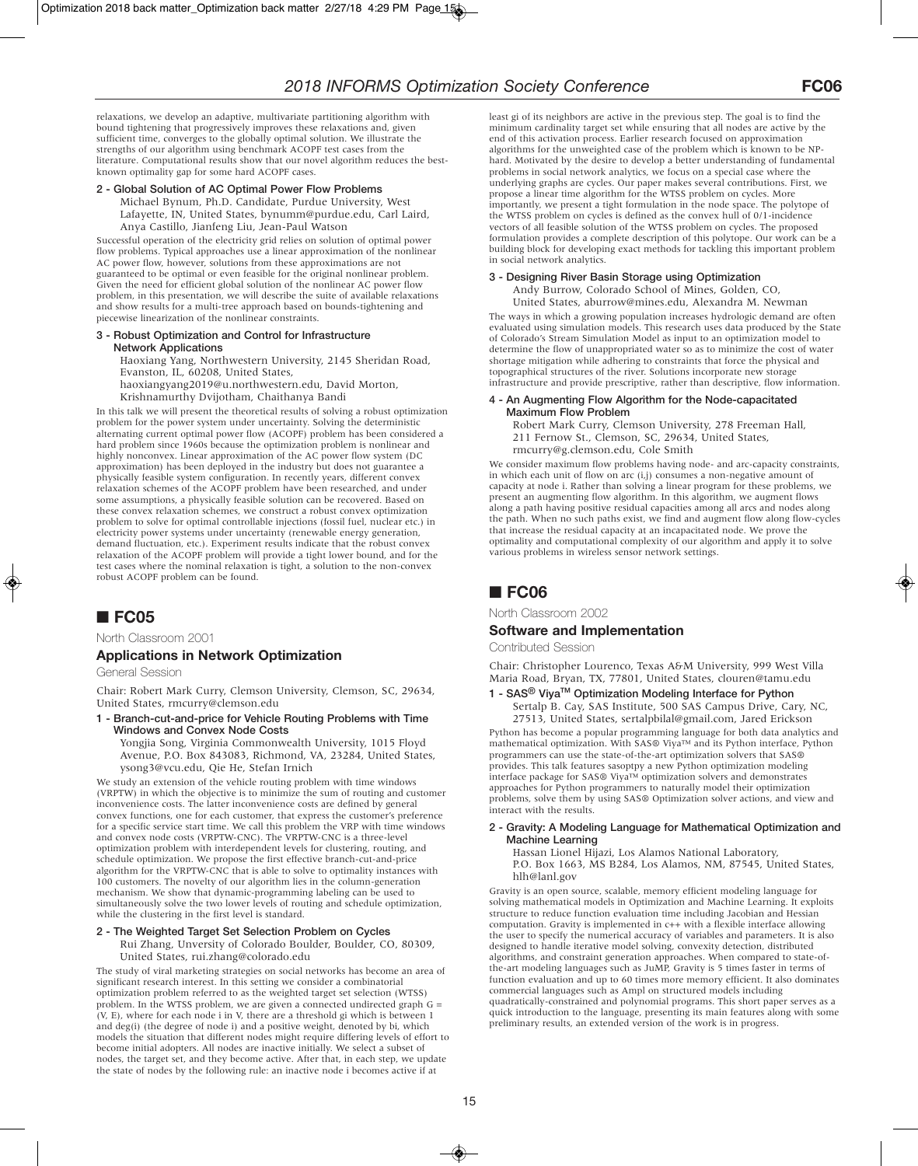relaxations, we develop an adaptive, multivariate partitioning algorithm with bound tightening that progressively improves these relaxations and, given sufficient time, converges to the globally optimal solution. We illustrate the strengths of our algorithm using benchmark ACOPF test cases from the literature. Computational results show that our novel algorithm reduces the bestknown optimality gap for some hard ACOPF cases.

### **2 - Global Solution of AC Optimal Power Flow Problems**

Michael Bynum, Ph.D. Candidate, Purdue University, West Lafayette, IN, United States, bynumm@purdue.edu, Carl Laird, Anya Castillo, Jianfeng Liu, Jean-Paul Watson

Successful operation of the electricity grid relies on solution of optimal power flow problems. Typical approaches use a linear approximation of the nonlinear AC power flow, however, solutions from these approximations are not guaranteed to be optimal or even feasible for the original nonlinear problem. Given the need for efficient global solution of the nonlinear AC power flow problem, in this presentation, we will describe the suite of available relaxations and show results for a multi-tree approach based on bounds-tightening and piecewise linearization of the nonlinear constraints.

#### **3 - Robust Optimization and Control for Infrastructure Network Applications**

Haoxiang Yang, Northwestern University, 2145 Sheridan Road, Evanston, IL, 60208, United States,

haoxiangyang2019@u.northwestern.edu, David Morton, Krishnamurthy Dvijotham, Chaithanya Bandi

In this talk we will present the theoretical results of solving a robust optimization problem for the power system under uncertainty. Solving the deterministic alternating current optimal power flow (ACOPF) problem has been considered a hard problem since 1960s because the optimization problem is nonlinear and highly nonconvex. Linear approximation of the AC power flow system (DC approximation) has been deployed in the industry but does not guarantee a physically feasible system configuration. In recently years, different convex relaxation schemes of the ACOPF problem have been researched, and under some assumptions, a physically feasible solution can be recovered. Based on these convex relaxation schemes, we construct a robust convex optimization problem to solve for optimal controllable injections (fossil fuel, nuclear etc.) in electricity power systems under uncertainty (renewable energy generation, demand fluctuation, etc.). Experiment results indicate that the robust convex relaxation of the ACOPF problem will provide a tight lower bound, and for the test cases where the nominal relaxation is tight, a solution to the non-convex robust ACOPF problem can be found.

# ■ **FC05**

North Classroom 2001

### **Applications in Network Optimization**

General Session

Chair: Robert Mark Curry, Clemson University, Clemson, SC, 29634, United States, rmcurry@clemson.edu

**1 - Branch-cut-and-price for Vehicle Routing Problems with Time Windows and Convex Node Costs**

Yongjia Song, Virginia Commonwealth University, 1015 Floyd Avenue, P.O. Box 843083, Richmond, VA, 23284, United States, ysong3@vcu.edu, Qie He, Stefan Irnich

We study an extension of the vehicle routing problem with time windows (VRPTW) in which the objective is to minimize the sum of routing and customer inconvenience costs. The latter inconvenience costs are defined by general convex functions, one for each customer, that express the customer's preference for a specific service start time. We call this problem the VRP with time windows and convex node costs (VRPTW-CNC). The VRPTW-CNC is a three-level optimization problem with interdependent levels for clustering, routing, and schedule optimization. We propose the first effective branch-cut-and-price algorithm for the VRPTW-CNC that is able to solve to optimality instances with 100 customers. The novelty of our algorithm lies in the column-generation mechanism. We show that dynamic-programming labeling can be used to simultaneously solve the two lower levels of routing and schedule optimization, while the clustering in the first level is standard.

### **2 - The Weighted Target Set Selection Problem on Cycles**

Rui Zhang, Unversity of Colorado Boulder, Boulder, CO, 80309, United States, rui.zhang@colorado.edu

The study of viral marketing strategies on social networks has become an area of significant research interest. In this setting we consider a combinatorial optimization problem referred to as the weighted target set selection (WTSS) problem. In the WTSS problem, we are given a connected undirected graph G = (V, E), where for each node i in V, there are a threshold gi which is between 1 and deg(i) (the degree of node i) and a positive weight, denoted by bi, which models the situation that different nodes might require differing levels of effort to become initial adopters. All nodes are inactive initially. We select a subset of nodes, the target set, and they become active. After that, in each step, we update the state of nodes by the following rule: an inactive node i becomes active if at

least gi of its neighbors are active in the previous step. The goal is to find the minimum cardinality target set while ensuring that all nodes are active by the end of this activation process. Earlier research focused on approximation algorithms for the unweighted case of the problem which is known to be NPhard. Motivated by the desire to develop a better understanding of fundamental problems in social network analytics, we focus on a special case where the underlying graphs are cycles. Our paper makes several contributions. First, we propose a linear time algorithm for the WTSS problem on cycles. More importantly, we present a tight formulation in the node space. The polytope of the WTSS problem on cycles is defined as the convex hull of 0/1-incidence vectors of all feasible solution of the WTSS problem on cycles. The proposed formulation provides a complete description of this polytope. Our work can be a building block for developing exact methods for tackling this important problem in social network analytics.

### **3 - Designing River Basin Storage using Optimization**

Andy Burrow, Colorado School of Mines, Golden, CO, United States, aburrow@mines.edu, Alexandra M. Newman

The ways in which a growing population increases hydrologic demand are often evaluated using simulation models. This research uses data produced by the State of Colorado's Stream Simulation Model as input to an optimization model to determine the flow of unappropriated water so as to minimize the cost of water shortage mitigation while adhering to constraints that force the physical and topographical structures of the river. Solutions incorporate new storage infrastructure and provide prescriptive, rather than descriptive, flow information.

#### **4 - An Augmenting Flow Algorithm for the Node-capacitated Maximum Flow Problem**

Robert Mark Curry, Clemson University, 278 Freeman Hall, 211 Fernow St., Clemson, SC, 29634, United States, rmcurry@g.clemson.edu, Cole Smith

We consider maximum flow problems having node- and arc-capacity constraints, in which each unit of flow on arc (i,j) consumes a non-negative amount of capacity at node i. Rather than solving a linear program for these problems, we present an augmenting flow algorithm. In this algorithm, we augment flows along a path having positive residual capacities among all arcs and nodes along the path. When no such paths exist, we find and augment flow along flow-cycles that increase the residual capacity at an incapacitated node. We prove the optimality and computational complexity of our algorithm and apply it to solve various problems in wireless sensor network settings.

# ■ **FC06**

North Classroom 2002

### **Software and Implementation**

Contributed Session

Chair: Christopher Lourenco, Texas A&M University, 999 West Villa Maria Road, Bryan, TX, 77801, United States, clouren@tamu.edu

## **1 - SAS® ViyaTM Optimization Modeling Interface for Python**

Sertalp B. Cay, SAS Institute, 500 SAS Campus Drive, Cary, NC, 27513, United States, sertalpbilal@gmail.com, Jared Erickson

Python has become a popular programming language for both data analytics and mathematical optimization. With SAS® Viya™ and its Python interface, Python programmers can use the state-of-the-art optimization solvers that SAS® provides. This talk features sasoptpy a new Python optimization modeling interface package for SAS® Viya™ optimization solvers and demonstrates approaches for Python programmers to naturally model their optimization problems, solve them by using SAS® Optimization solver actions, and view and interact with the results.

#### **2 - Gravity: A Modeling Language for Mathematical Optimization and Machine Learning**

Hassan Lionel Hijazi, Los Alamos National Laboratory, P.O. Box 1663, MS B284, Los Alamos, NM, 87545, United States, hlh@lanl.gov

Gravity is an open source, scalable, memory efficient modeling language for solving mathematical models in Optimization and Machine Learning. It exploits structure to reduce function evaluation time including Jacobian and Hessian computation. Gravity is implemented in c++ with a flexible interface allowing the user to specify the numerical accuracy of variables and parameters. It is also designed to handle iterative model solving, convexity detection, distributed algorithms, and constraint generation approaches. When compared to state-ofthe-art modeling languages such as JuMP, Gravity is 5 times faster in terms of function evaluation and up to 60 times more memory efficient. It also dominates commercial languages such as Ampl on structured models including quadratically-constrained and polynomial programs. This short paper serves as a quick introduction to the language, presenting its main features along with some preliminary results, an extended version of the work is in progress.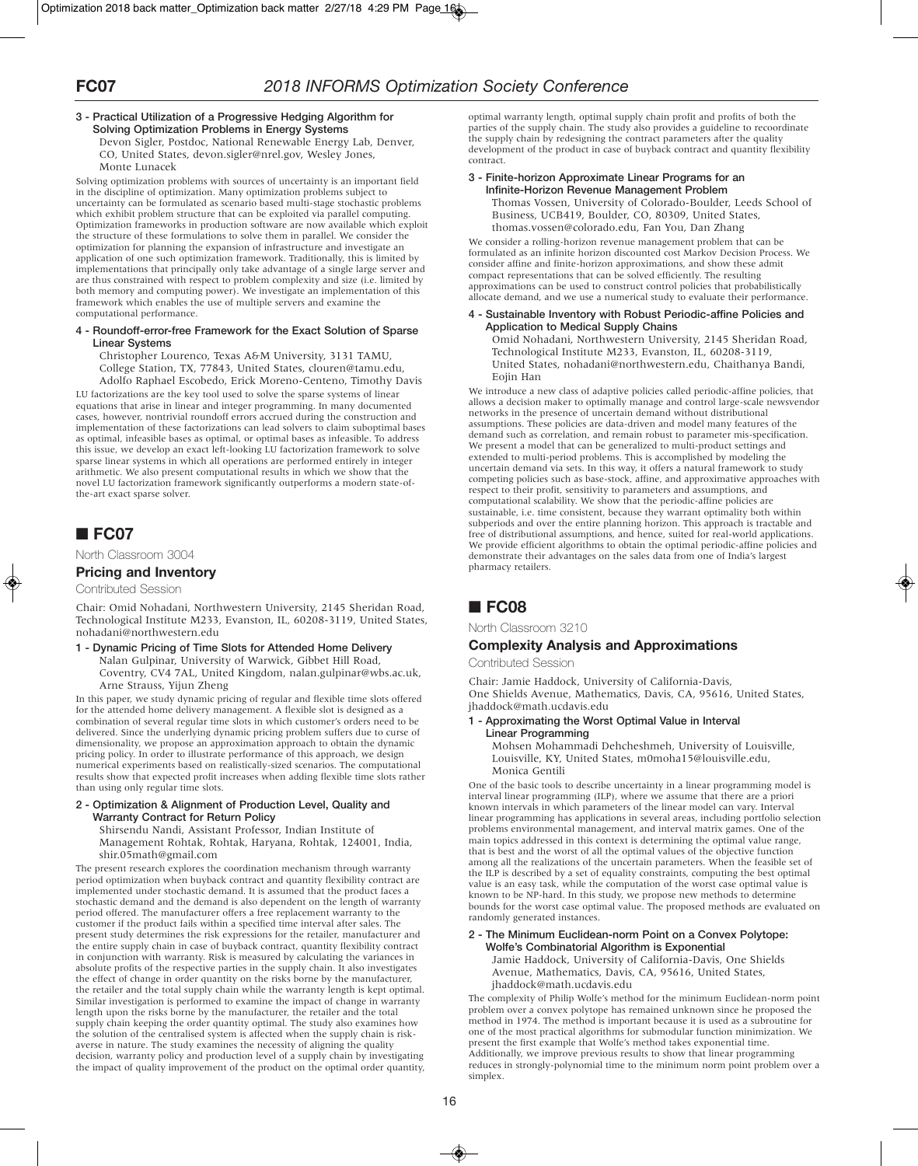#### **3 - Practical Utilization of a Progressive Hedging Algorithm for Solving Optimization Problems in Energy Systems** Devon Sigler, Postdoc, National Renewable Energy Lab, Denver,

CO, United States, devon.sigler@nrel.gov, Wesley Jones, Monte Lunacek

Solving optimization problems with sources of uncertainty is an important field in the discipline of optimization. Many optimization problems subject to uncertainty can be formulated as scenario based multi-stage stochastic problems which exhibit problem structure that can be exploited via parallel computing. Optimization frameworks in production software are now available which exploit the structure of these formulations to solve them in parallel. We consider the optimization for planning the expansion of infrastructure and investigate an application of one such optimization framework. Traditionally, this is limited by implementations that principally only take advantage of a single large server and are thus constrained with respect to problem complexity and size (i.e. limited by both memory and computing power). We investigate an implementation of this framework which enables the use of multiple servers and examine the computational performance.

#### **4 - Roundoff-error-free Framework for the Exact Solution of Sparse Linear Systems**

Christopher Lourenco, Texas A&M University, 3131 TAMU, College Station, TX, 77843, United States, clouren@tamu.edu, Adolfo Raphael Escobedo, Erick Moreno-Centeno, Timothy Davis

LU factorizations are the key tool used to solve the sparse systems of linear equations that arise in linear and integer programming. In many documented cases, however, nontrivial roundoff errors accrued during the construction and implementation of these factorizations can lead solvers to claim suboptimal bases as optimal, infeasible bases as optimal, or optimal bases as infeasible. To address this issue, we develop an exact left-looking LU factorization framework to solve sparse linear systems in which all operations are performed entirely in integer arithmetic. We also present computational results in which we show that the novel LU factorization framework significantly outperforms a modern state-ofthe-art exact sparse solver.

# ■ **FC07**

North Classroom 3004

### **Pricing and Inventory**

Contributed Session

Chair: Omid Nohadani, Northwestern University, 2145 Sheridan Road, Technological Institute M233, Evanston, IL, 60208-3119, United States, nohadani@northwestern.edu

**1 - Dynamic Pricing of Time Slots for Attended Home Delivery** Nalan Gulpinar, University of Warwick, Gibbet Hill Road, Coventry, CV4 7AL, United Kingdom, nalan.gulpinar@wbs.ac.uk, Arne Strauss, Yijun Zheng

In this paper, we study dynamic pricing of regular and flexible time slots offered for the attended home delivery management. A flexible slot is designed as a combination of several regular time slots in which customer's orders need to be delivered. Since the underlying dynamic pricing problem suffers due to curse of dimensionality, we propose an approximation approach to obtain the dynamic pricing policy. In order to illustrate performance of this approach, we design numerical experiments based on realistically-sized scenarios. The computational results show that expected profit increases when adding flexible time slots rather than using only regular time slots.

#### **2 - Optimization & Alignment of Production Level, Quality and Warranty Contract for Return Policy**

Shirsendu Nandi, Assistant Professor, Indian Institute of

Management Rohtak, Rohtak, Haryana, Rohtak, 124001, India, shir.05math@gmail.com

The present research explores the coordination mechanism through warranty period optimization when buyback contract and quantity flexibility contract are implemented under stochastic demand. It is assumed that the product faces a stochastic demand and the demand is also dependent on the length of warranty period offered. The manufacturer offers a free replacement warranty to the customer if the product fails within a specified time interval after sales. The present study determines the risk expressions for the retailer, manufacturer and the entire supply chain in case of buyback contract, quantity flexibility contract in conjunction with warranty. Risk is measured by calculating the variances in absolute profits of the respective parties in the supply chain. It also investigates the effect of change in order quantity on the risks borne by the manufacturer, the retailer and the total supply chain while the warranty length is kept optimal. Similar investigation is performed to examine the impact of change in warranty length upon the risks borne by the manufacturer, the retailer and the total supply chain keeping the order quantity optimal. The study also examines how the solution of the centralised system is affected when the supply chain is riskaverse in nature. The study examines the necessity of aligning the quality decision, warranty policy and production level of a supply chain by investigating the impact of quality improvement of the product on the optimal order quantity, optimal warranty length, optimal supply chain profit and profits of both the parties of the supply chain. The study also provides a guideline to recoordinate the supply chain by redesigning the contract parameters after the quality development of the product in case of buyback contract and quantity flexibility contract.

### **3 - Finite-horizon Approximate Linear Programs for an Infinite-Horizon Revenue Management Problem**

Thomas Vossen, University of Colorado-Boulder, Leeds School of Business, UCB419, Boulder, CO, 80309, United States, thomas.vossen@colorado.edu, Fan You, Dan Zhang

We consider a rolling-horizon revenue management problem that can be formulated as an infinite horizon discounted cost Markov Decision Process. We consider affine and finite-horizon approximations, and show these admit compact representations that can be solved efficiently. The resulting approximations can be used to construct control policies that probabilistically allocate demand, and we use a numerical study to evaluate their performance.

### **4 - Sustainable Inventory with Robust Periodic-affine Policies and Application to Medical Supply Chains**

Omid Nohadani, Northwestern University, 2145 Sheridan Road, Technological Institute M233, Evanston, IL, 60208-3119, United States, nohadani@northwestern.edu, Chaithanya Bandi, Eojin Han

We introduce a new class of adaptive policies called periodic-affine policies, that allows a decision maker to optimally manage and control large-scale newsvendor networks in the presence of uncertain demand without distributional assumptions. These policies are data-driven and model many features of the demand such as correlation, and remain robust to parameter mis-specification. We present a model that can be generalized to multi-product settings and extended to multi-period problems. This is accomplished by modeling the uncertain demand via sets. In this way, it offers a natural framework to study competing policies such as base-stock, affine, and approximative approaches with respect to their profit, sensitivity to parameters and assumptions, and computational scalability. We show that the periodic-affine policies are sustainable, i.e. time consistent, because they warrant optimality both within subperiods and over the entire planning horizon. This approach is tractable and free of distributional assumptions, and hence, suited for real-world applications. We provide efficient algorithms to obtain the optimal periodic-affine policies and demonstrate their advantages on the sales data from one of India's largest pharmacy retailers.

# ■ **FC08**

North Classroom 3210

### **Complexity Analysis and Approximations**

Contributed Session

Chair: Jamie Haddock, University of California-Davis, One Shields Avenue, Mathematics, Davis, CA, 95616, United States, jhaddock@math.ucdavis.edu

### **1 - Approximating the Worst Optimal Value in Interval Linear Programming**

Mohsen Mohammadi Dehcheshmeh, University of Louisville, Louisville, KY, United States, m0moha15@louisville.edu, Monica Gentili

One of the basic tools to describe uncertainty in a linear programming model is interval linear programming (ILP), where we assume that there are a priori known intervals in which parameters of the linear model can vary. Interval linear programming has applications in several areas, including portfolio selection problems environmental management, and interval matrix games. One of the main topics addressed in this context is determining the optimal value range, that is best and the worst of all the optimal values of the objective function among all the realizations of the uncertain parameters. When the feasible set of the ILP is described by a set of equality constraints, computing the best optimal value is an easy task, while the computation of the worst case optimal value is known to be NP-hard. In this study, we propose new methods to determine bounds for the worst case optimal value. The proposed methods are evaluated on randomly generated instances.

#### **2 - The Minimum Euclidean-norm Point on a Convex Polytope: Wolfe's Combinatorial Algorithm is Exponential**

Jamie Haddock, University of California-Davis, One Shields Avenue, Mathematics, Davis, CA, 95616, United States, jhaddock@math.ucdavis.edu

The complexity of Philip Wolfe's method for the minimum Euclidean-norm point problem over a convex polytope has remained unknown since he proposed the method in 1974. The method is important because it is used as a subroutine for one of the most practical algorithms for submodular function minimization. We present the first example that Wolfe's method takes exponential time. Additionally, we improve previous results to show that linear programming reduces in strongly-polynomial time to the minimum norm point problem over a simplex.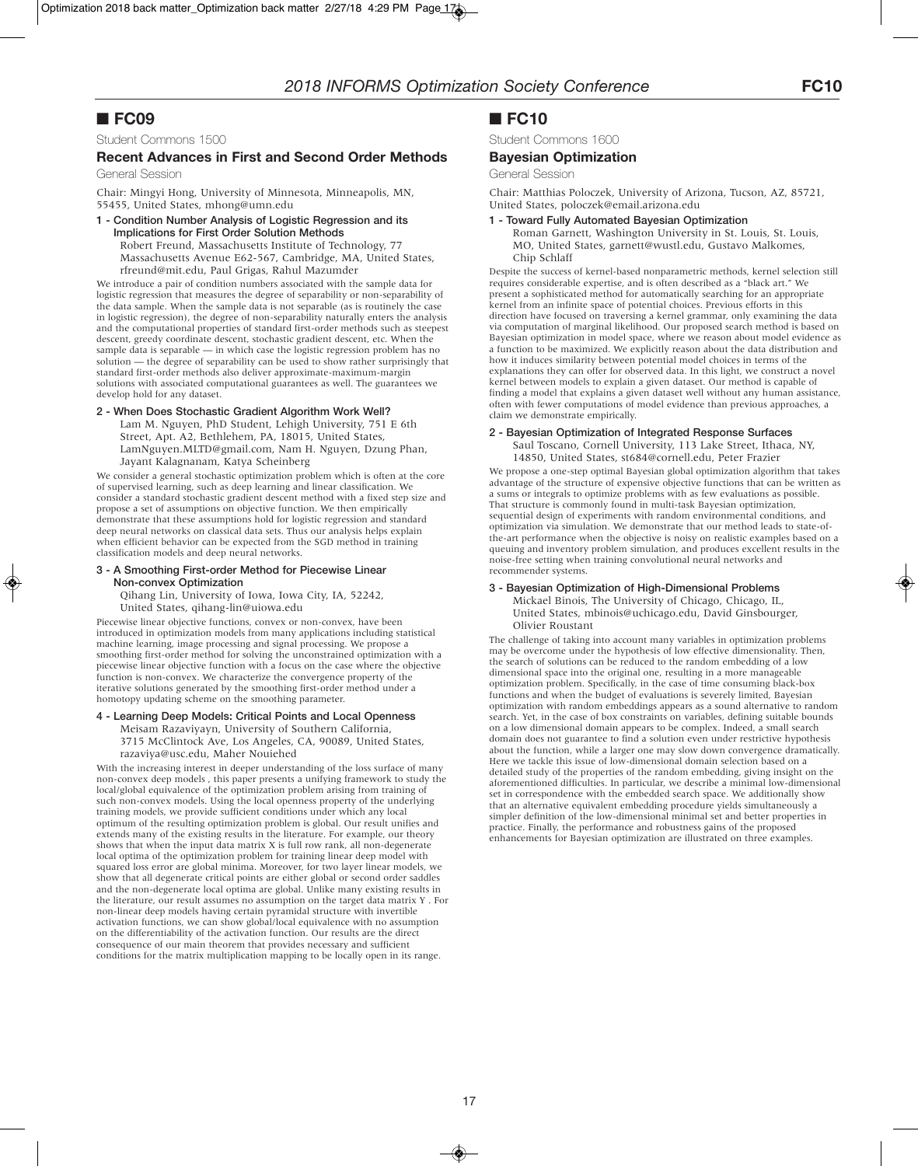# ■ **FC09**

Student Commons 1500

### **Recent Advances in First and Second Order Methods**

General Session

Chair: Mingyi Hong, University of Minnesota, Minneapolis, MN, 55455, United States, mhong@umn.edu

### **1 - Condition Number Analysis of Logistic Regression and its Implications for First Order Solution Methods** Robert Freund, Massachusetts Institute of Technology, 77

Massachusetts Avenue E62-567, Cambridge, MA, United States, rfreund@mit.edu, Paul Grigas, Rahul Mazumder

We introduce a pair of condition numbers associated with the sample data for logistic regression that measures the degree of separability or non-separability of the data sample. When the sample data is not separable (as is routinely the case in logistic regression), the degree of non-separability naturally enters the analysis and the computational properties of standard first-order methods such as steepest descent, greedy coordinate descent, stochastic gradient descent, etc. When the sample data is separable — in which case the logistic regression problem has no solution — the degree of separability can be used to show rather surprisingly that standard first-order methods also deliver approximate-maximum-margin solutions with associated computational guarantees as well. The guarantees we develop hold for any dataset.

### **2 - When Does Stochastic Gradient Algorithm Work Well?**

Lam M. Nguyen, PhD Student, Lehigh University, 751 E 6th Street, Apt. A2, Bethlehem, PA, 18015, United States, LamNguyen.MLTD@gmail.com, Nam H. Nguyen, Dzung Phan, Jayant Kalagnanam, Katya Scheinberg

We consider a general stochastic optimization problem which is often at the core of supervised learning, such as deep learning and linear classification. We consider a standard stochastic gradient descent method with a fixed step size and propose a set of assumptions on objective function. We then empirically demonstrate that these assumptions hold for logistic regression and standard deep neural networks on classical data sets. Thus our analysis helps explain when efficient behavior can be expected from the SGD method in training classification models and deep neural networks.

### **3 - A Smoothing First-order Method for Piecewise Linear Non-convex Optimization**

Qihang Lin, University of Iowa, Iowa City, IA, 52242, United States, qihang-lin@uiowa.edu

Piecewise linear objective functions, convex or non-convex, have been introduced in optimization models from many applications including statistical machine learning, image processing and signal processing. We propose a smoothing first-order method for solving the unconstrained optimization with a piecewise linear objective function with a focus on the case where the objective function is non-convex. We characterize the convergence property of the iterative solutions generated by the smoothing first-order method under a homotopy updating scheme on the smoothing parameter.

### **4 - Learning Deep Models: Critical Points and Local Openness** Meisam Razaviyayn, University of Southern California, 3715 McClintock Ave, Los Angeles, CA, 90089, United States, razaviya@usc.edu, Maher Nouiehed

With the increasing interest in deeper understanding of the loss surface of many non-convex deep models , this paper presents a unifying framework to study the local/global equivalence of the optimization problem arising from training of such non-convex models. Using the local openness property of the underlying training models, we provide sufficient conditions under which any local optimum of the resulting optimization problem is global. Our result unifies and extends many of the existing results in the literature. For example, our theory shows that when the input data matrix X is full row rank, all non-degenerate local optima of the optimization problem for training linear deep model with squared loss error are global minima. Moreover, for two layer linear models, we show that all degenerate critical points are either global or second order saddles and the non-degenerate local optima are global. Unlike many existing results in the literature, our result assumes no assumption on the target data matrix Y . For non-linear deep models having certain pyramidal structure with invertible activation functions, we can show global/local equivalence with no assumption on the differentiability of the activation function. Our results are the direct consequence of our main theorem that provides necessary and sufficient conditions for the matrix multiplication mapping to be locally open in its range.

# ■ **FC10**

Student Commons 1600

### **Bayesian Optimization**

### General Session

Chair: Matthias Poloczek, University of Arizona, Tucson, AZ, 85721, United States, poloczek@email.arizona.edu

### **1 - Toward Fully Automated Bayesian Optimization**

Roman Garnett, Washington University in St. Louis, St. Louis, MO, United States, garnett@wustl.edu, Gustavo Malkomes, Chip Schlaff

Despite the success of kernel-based nonparametric methods, kernel selection still requires considerable expertise, and is often described as a "black art." We present a sophisticated method for automatically searching for an appropriate kernel from an infinite space of potential choices. Previous efforts in this direction have focused on traversing a kernel grammar, only examining the data via computation of marginal likelihood. Our proposed search method is based on Bayesian optimization in model space, where we reason about model evidence as a function to be maximized. We explicitly reason about the data distribution and how it induces similarity between potential model choices in terms of the explanations they can offer for observed data. In this light, we construct a novel kernel between models to explain a given dataset. Our method is capable of finding a model that explains a given dataset well without any human assistance, often with fewer computations of model evidence than previous approaches, a claim we demonstrate empirically.

### **2 - Bayesian Optimization of Integrated Response Surfaces**

Saul Toscano, Cornell University, 113 Lake Street, Ithaca, NY, 14850, United States, st684@cornell.edu, Peter Frazier

We propose a one-step optimal Bayesian global optimization algorithm that takes advantage of the structure of expensive objective functions that can be written as a sums or integrals to optimize problems with as few evaluations as possible. That structure is commonly found in multi-task Bayesian optimization, sequential design of experiments with random environmental conditions, and optimization via simulation. We demonstrate that our method leads to state-ofthe-art performance when the objective is noisy on realistic examples based on a queuing and inventory problem simulation, and produces excellent results in the noise-free setting when training convolutional neural networks and recommender systems.

### **3 - Bayesian Optimization of High-Dimensional Problems**

Mickael Binois, The University of Chicago, Chicago, IL, United States, mbinois@uchicago.edu, David Ginsbourger, Olivier Roustant

The challenge of taking into account many variables in optimization problems may be overcome under the hypothesis of low effective dimensionality. Then, the search of solutions can be reduced to the random embedding of a low dimensional space into the original one, resulting in a more manageable optimization problem. Specifically, in the case of time consuming black-box functions and when the budget of evaluations is severely limited, Bayesian optimization with random embeddings appears as a sound alternative to random search. Yet, in the case of box constraints on variables, defining suitable bounds on a low dimensional domain appears to be complex. Indeed, a small search domain does not guarantee to find a solution even under restrictive hypothesis about the function, while a larger one may slow down convergence dramatically. Here we tackle this issue of low-dimensional domain selection based on a detailed study of the properties of the random embedding, giving insight on the aforementioned difficulties. In particular, we describe a minimal low-dimensional set in correspondence with the embedded search space. We additionally show that an alternative equivalent embedding procedure yields simultaneously a simpler definition of the low-dimensional minimal set and better properties in practice. Finally, the performance and robustness gains of the proposed enhancements for Bayesian optimization are illustrated on three examples.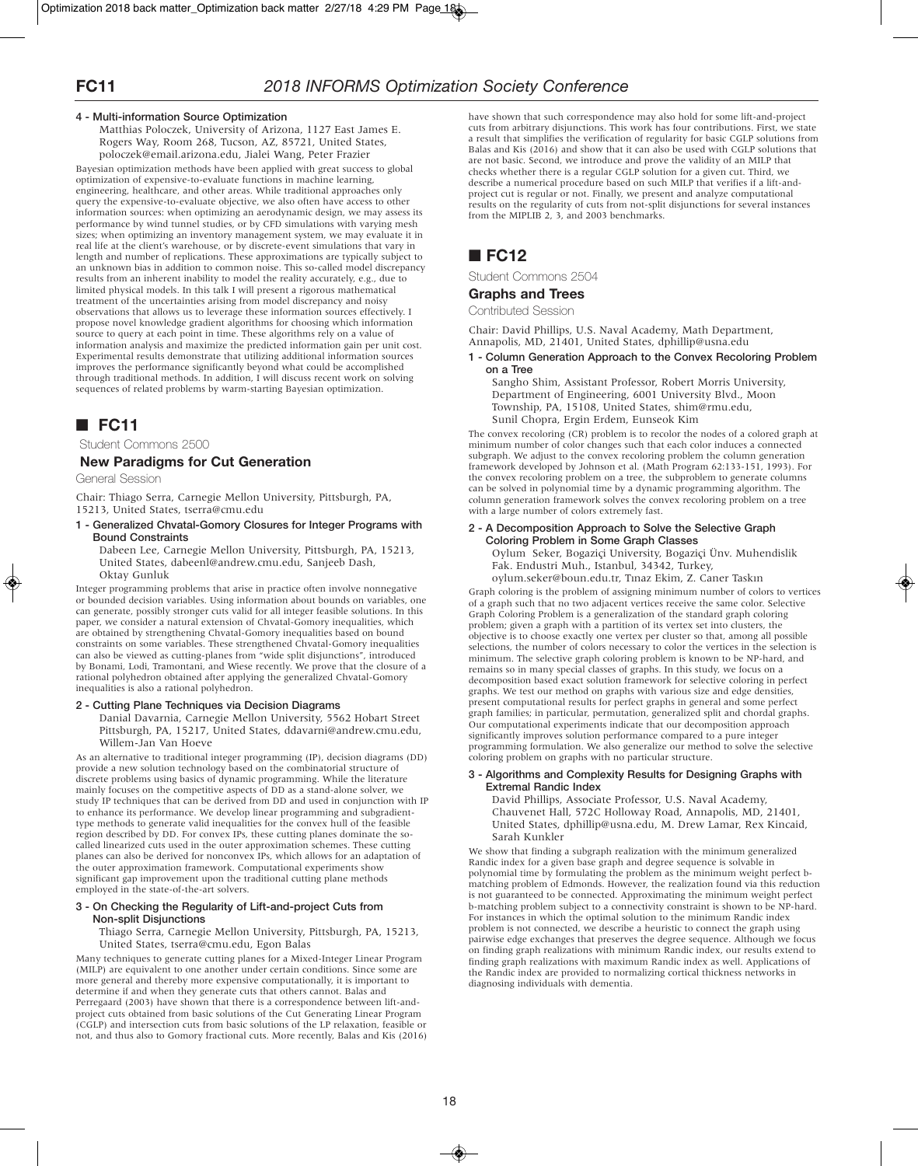### **4 - Multi-information Source Optimization**

Matthias Poloczek, University of Arizona, 1127 East James E. Rogers Way, Room 268, Tucson, AZ, 85721, United States, poloczek@email.arizona.edu, Jialei Wang, Peter Frazier

Bayesian optimization methods have been applied with great success to global optimization of expensive-to-evaluate functions in machine learning, engineering, healthcare, and other areas. While traditional approaches only query the expensive-to-evaluate objective, we also often have access to other information sources: when optimizing an aerodynamic design, we may assess its performance by wind tunnel studies, or by CFD simulations with varying mesh sizes; when optimizing an inventory management system, we may evaluate it in real life at the client's warehouse, or by discrete-event simulations that vary in length and number of replications. These approximations are typically subject to an unknown bias in addition to common noise. This so-called model discrepancy results from an inherent inability to model the reality accurately, e.g., due to limited physical models. In this talk I will present a rigorous mathematical treatment of the uncertainties arising from model discrepancy and noisy observations that allows us to leverage these information sources effectively. I propose novel knowledge gradient algorithms for choosing which information source to query at each point in time. These algorithms rely on a value of information analysis and maximize the predicted information gain per unit cost. Experimental results demonstrate that utilizing additional information sources improves the performance significantly beyond what could be accomplished through traditional methods. In addition, I will discuss recent work on solving sequences of related problems by warm-starting Bayesian optimization.

# ■ **FC11**

Student Commons 2500

### **New Paradigms for Cut Generation**

General Session

Chair: Thiago Serra, Carnegie Mellon University, Pittsburgh, PA, 15213, United States, tserra@cmu.edu

**1 - Generalized Chvatal-Gomory Closures for Integer Programs with Bound Constraints**

Dabeen Lee, Carnegie Mellon University, Pittsburgh, PA, 15213, United States, dabeenl@andrew.cmu.edu, Sanjeeb Dash, Oktay Gunluk

Integer programming problems that arise in practice often involve nonnegative or bounded decision variables. Using information about bounds on variables, one can generate, possibly stronger cuts valid for all integer feasible solutions. In this paper, we consider a natural extension of Chvatal-Gomory inequalities, which are obtained by strengthening Chvatal-Gomory inequalities based on bound constraints on some variables. These strengthened Chvatal-Gomory inequalities can also be viewed as cutting-planes from "wide split disjunctions", introduced by Bonami, Lodi, Tramontani, and Wiese recently. We prove that the closure of a rational polyhedron obtained after applying the generalized Chvatal-Gomory inequalities is also a rational polyhedron.

### **2 - Cutting Plane Techniques via Decision Diagrams**

Danial Davarnia, Carnegie Mellon University, 5562 Hobart Street Pittsburgh, PA, 15217, United States, ddavarni@andrew.cmu.edu, Willem-Jan Van Hoeve

As an alternative to traditional integer programming (IP), decision diagrams (DD) provide a new solution technology based on the combinatorial structure of discrete problems using basics of dynamic programming. While the literature mainly focuses on the competitive aspects of DD as a stand-alone solver, we study IP techniques that can be derived from DD and used in conjunction with IP to enhance its performance. We develop linear programming and subgradienttype methods to generate valid inequalities for the convex hull of the feasible region described by DD. For convex IPs, these cutting planes dominate the socalled linearized cuts used in the outer approximation schemes. These cutting planes can also be derived for nonconvex IPs, which allows for an adaptation of the outer approximation framework. Computational experiments show significant gap improvement upon the traditional cutting plane methods employed in the state-of-the-art solvers.

#### **3 - On Checking the Regularity of Lift-and-project Cuts from Non-split Disjunctions**

Thiago Serra, Carnegie Mellon University, Pittsburgh, PA, 15213, United States, tserra@cmu.edu, Egon Balas

Many techniques to generate cutting planes for a Mixed-Integer Linear Program (MILP) are equivalent to one another under certain conditions. Since some are more general and thereby more expensive computationally, it is important to determine if and when they generate cuts that others cannot. Balas and Perregaard (2003) have shown that there is a correspondence between lift-andproject cuts obtained from basic solutions of the Cut Generating Linear Program (CGLP) and intersection cuts from basic solutions of the LP relaxation, feasible or not, and thus also to Gomory fractional cuts. More recently, Balas and Kis (2016) have shown that such correspondence may also hold for some lift-and-project cuts from arbitrary disjunctions. This work has four contributions. First, we state a result that simplifies the verification of regularity for basic CGLP solutions from Balas and Kis (2016) and show that it can also be used with CGLP solutions that are not basic. Second, we introduce and prove the validity of an MILP that checks whether there is a regular CGLP solution for a given cut. Third, we describe a numerical procedure based on such MILP that verifies if a lift-andproject cut is regular or not. Finally, we present and analyze computational results on the regularity of cuts from not-split disjunctions for several instances from the MIPLIB 2, 3, and 2003 benchmarks.

# ■ **FC12**

Student Commons 2504

### **Graphs and Trees**

Contributed Session

Chair: David Phillips, U.S. Naval Academy, Math Department, Annapolis, MD, 21401, United States, dphillip@usna.edu

**1 - Column Generation Approach to the Convex Recoloring Problem on a Tree**

Sangho Shim, Assistant Professor, Robert Morris University, Department of Engineering, 6001 University Blvd., Moon Township, PA, 15108, United States, shim@rmu.edu, Sunil Chopra, Ergin Erdem, Eunseok Kim

The convex recoloring (CR) problem is to recolor the nodes of a colored graph at minimum number of color changes such that each color induces a connected subgraph. We adjust to the convex recoloring problem the column generation framework developed by Johnson et al. (Math Program 62:133-151, 1993). For the convex recoloring problem on a tree, the subproblem to generate columns can be solved in polynomial time by a dynamic programming algorithm. The column generation framework solves the convex recoloring problem on a tree with a large number of colors extremely fast.

### **2 - A Decomposition Approach to Solve the Selective Graph Coloring Problem in Some Graph Classes**

Oylum Seker, Bogaziçi University, Bogaziçi Ünv. Muhendislik Fak. Endustri Muh., Istanbul, 34342, Turkey,

oylum.seker@boun.edu.tr, Tınaz Ekim, Z. Caner Taskın

Graph coloring is the problem of assigning minimum number of colors to vertices of a graph such that no two adjacent vertices receive the same color. Selective Graph Coloring Problem is a generalization of the standard graph coloring problem; given a graph with a partition of its vertex set into clusters, the objective is to choose exactly one vertex per cluster so that, among all possible selections, the number of colors necessary to color the vertices in the selection is minimum. The selective graph coloring problem is known to be NP-hard, and remains so in many special classes of graphs. In this study, we focus on a decomposition based exact solution framework for selective coloring in perfect graphs. We test our method on graphs with various size and edge densities, present computational results for perfect graphs in general and some perfect graph families; in particular, permutation, generalized split and chordal graphs. Our computational experiments indicate that our decomposition approach significantly improves solution performance compared to a pure integer programming formulation. We also generalize our method to solve the selective coloring problem on graphs with no particular structure.

#### **3 - Algorithms and Complexity Results for Designing Graphs with Extremal Randic Index**

David Phillips, Associate Professor, U.S. Naval Academy, Chauvenet Hall, 572C Holloway Road, Annapolis, MD, 21401, United States, dphillip@usna.edu, M. Drew Lamar, Rex Kincaid, Sarah Kunkler

We show that finding a subgraph realization with the minimum generalized Randic index for a given base graph and degree sequence is solvable in polynomial time by formulating the problem as the minimum weight perfect bmatching problem of Edmonds. However, the realization found via this reduction is not guaranteed to be connected. Approximating the minimum weight perfect b-matching problem subject to a connectivity constraint is shown to be NP-hard. For instances in which the optimal solution to the minimum Randic index problem is not connected, we describe a heuristic to connect the graph using pairwise edge exchanges that preserves the degree sequence. Although we focus on finding graph realizations with minimum Randic index, our results extend to finding graph realizations with maximum Randic index as well. Applications of the Randic index are provided to normalizing cortical thickness networks in diagnosing individuals with dementia.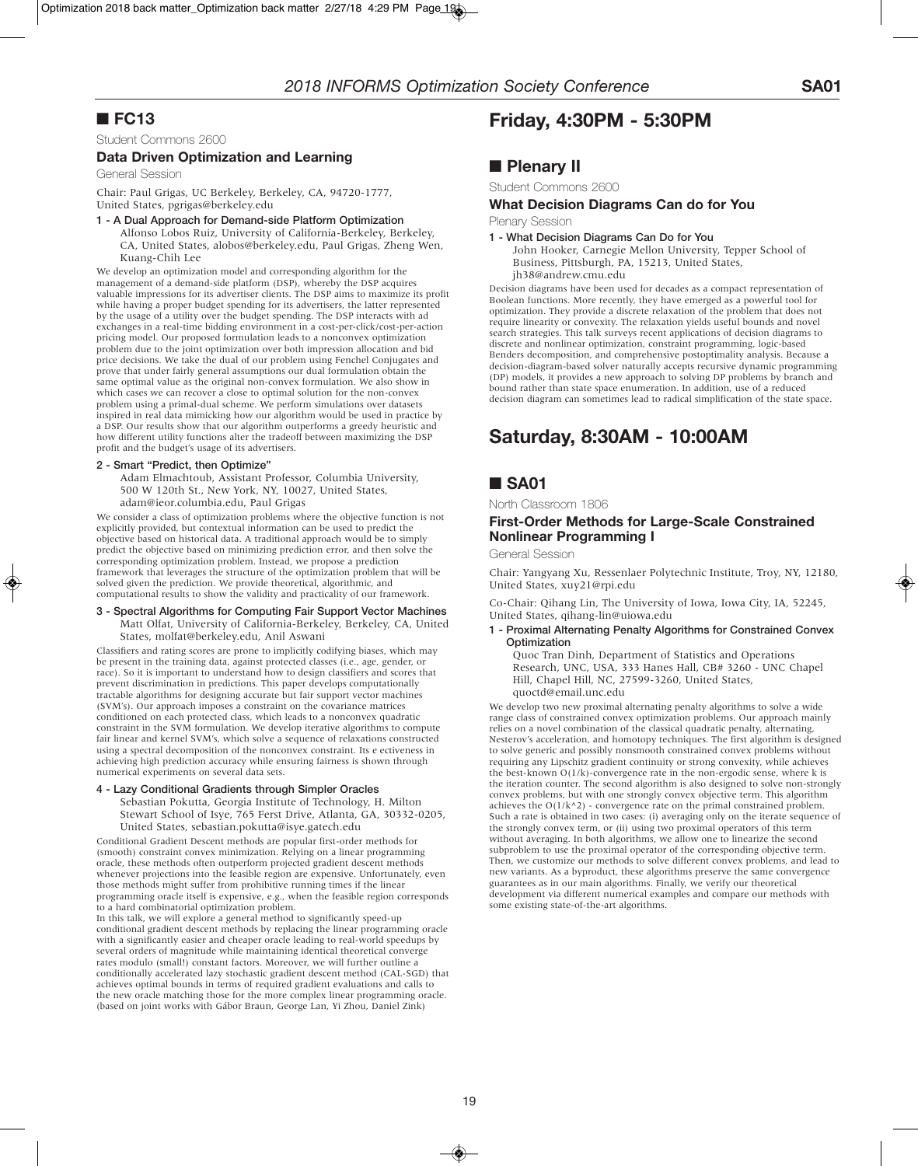# ■ **FC13**

Student Commons 2600

### **Data Driven Optimization and Learning**

General Session

Chair: Paul Grigas, UC Berkeley, Berkeley, CA, 94720-1777, United States, pgrigas@berkeley.edu

### **1 - A Dual Approach for Demand-side Platform Optimization**

Alfonso Lobos Ruiz, University of California-Berkeley, Berkeley, CA, United States, alobos@berkeley.edu, Paul Grigas, Zheng Wen, Kuang-Chih Lee

We develop an optimization model and corresponding algorithm for the management of a demand-side platform (DSP), whereby the DSP acquires valuable impressions for its advertiser clients. The DSP aims to maximize its profit while having a proper budget spending for its advertisers, the latter represented by the usage of a utility over the budget spending. The DSP interacts with ad exchanges in a real-time bidding environment in a cost-per-click/cost-per-action pricing model. Our proposed formulation leads to a nonconvex optimization problem due to the joint optimization over both impression allocation and bid price decisions. We take the dual of our problem using Fenchel Conjugates and prove that under fairly general assumptions our dual formulation obtain the same optimal value as the original non-convex formulation. We also show in which cases we can recover a close to optimal solution for the non-convex problem using a primal-dual scheme. We perform simulations over datasets inspired in real data mimicking how our algorithm would be used in practice by a DSP. Our results show that our algorithm outperforms a greedy heuristic and how different utility functions alter the tradeoff between maximizing the DSP profit and the budget's usage of its advertisers.

### **2 - Smart "Predict, then Optimize"**

Adam Elmachtoub, Assistant Professor, Columbia University, 500 W 120th St., New York, NY, 10027, United States, adam@ieor.columbia.edu, Paul Grigas

We consider a class of optimization problems where the objective function is not explicitly provided, but contextual information can be used to predict the objective based on historical data. A traditional approach would be to simply predict the objective based on minimizing prediction error, and then solve the corresponding optimization problem. Instead, we propose a prediction framework that leverages the structure of the optimization problem that will be solved given the prediction. We provide theoretical, algorithmic, and computational results to show the validity and practicality of our framework.

#### **3 - Spectral Algorithms for Computing Fair Support Vector Machines** Matt Olfat, University of California-Berkeley, Berkeley, CA, United States, molfat@berkeley.edu, Anil Aswani

Classifiers and rating scores are prone to implicitly codifying biases, which may be present in the training data, against protected classes (i.e., age, gender, or race). So it is important to understand how to design classifiers and scores that prevent discrimination in predictions. This paper develops computationally tractable algorithms for designing accurate but fair support vector machines (SVM's). Our approach imposes a constraint on the covariance matrices conditioned on each protected class, which leads to a nonconvex quadratic constraint in the SVM formulation. We develop iterative algorithms to compute fair linear and kernel SVM's, which solve a sequence of relaxations constructed using a spectral decomposition of the nonconvex constraint. Its e ectiveness in achieving high prediction accuracy while ensuring fairness is shown through numerical experiments on several data sets.

#### **4 - Lazy Conditional Gradients through Simpler Oracles**

Sebastian Pokutta, Georgia Institute of Technology, H. Milton Stewart School of Isye, 765 Ferst Drive, Atlanta, GA, 30332-0205, United States, sebastian.pokutta@isye.gatech.edu

Conditional Gradient Descent methods are popular first-order methods for (smooth) constraint convex minimization. Relying on a linear programming oracle, these methods often outperform projected gradient descent methods whenever projections into the feasible region are expensive. Unfortunately, even those methods might suffer from prohibitive running times if the linear programming oracle itself is expensive, e.g., when the feasible region corresponds to a hard combinatorial optimization problem.

In this talk, we will explore a general method to significantly speed-up conditional gradient descent methods by replacing the linear programming oracle with a significantly easier and cheaper oracle leading to real-world speedups by several orders of magnitude while maintaining identical theoretical converge rates modulo (small!) constant factors. Moreover, we will further outline a conditionally accelerated lazy stochastic gradient descent method (CAL-SGD) that achieves optimal bounds in terms of required gradient evaluations and calls to the new oracle matching those for the more complex linear programming oracle. (based on joint works with Gábor Braun, George Lan, Yi Zhou, Daniel Zink)

# **Friday, 4:30PM - 5:30PM**

# ■ **Plenary** II

Student Commons 2600

### **What Decision Diagrams Can do for You**

Plenary Session

#### **1 - What Decision Diagrams Can Do for You** John Hooker, Carnegie Mellon University, Tepper School of Business, Pittsburgh, PA, 15213, United States, jh38@andrew.cmu.edu

Decision diagrams have been used for decades as a compact representation of Boolean functions. More recently, they have emerged as a powerful tool for optimization. They provide a discrete relaxation of the problem that does not require linearity or convexity. The relaxation yields useful bounds and novel search strategies. This talk surveys recent applications of decision diagrams to discrete and nonlinear optimization, constraint programming, logic-based Benders decomposition, and comprehensive postoptimality analysis. Because a decision-diagram-based solver naturally accepts recursive dynamic programming (DP) models, it provides a new approach to solving DP problems by branch and bound rather than state space enumeration. In addition, use of a reduced decision diagram can sometimes lead to radical simplification of the state space.

# **Saturday, 8:30AM - 10:00AM**

# ■ **SA01**

North Classroom 1806

### **First-Order Methods for Large-Scale Constrained Nonlinear Programming I**

General Session

Chair: Yangyang Xu, Ressenlaer Polytechnic Institute, Troy, NY, 12180, United States, xuy21@rpi.edu

Co-Chair: Qihang Lin, The University of Iowa, Iowa City, IA, 52245, United States, qihang-lin@uiowa.edu

### **1 - Proximal Alternating Penalty Algorithms for Constrained Convex Optimization**

Quoc Tran Dinh, Department of Statistics and Operations Research, UNC, USA, 333 Hanes Hall, CB# 3260 - UNC Chapel Hill, Chapel Hill, NC, 27599-3260, United States, quoctd@email.unc.edu

We develop two new proximal alternating penalty algorithms to solve a wide range class of constrained convex optimization problems. Our approach mainly relies on a novel combination of the classical quadratic penalty, alternating, Nesterov's acceleration, and homotopy techniques. The first algorithm is designed to solve generic and possibly nonsmooth constrained convex problems without requiring any Lipschitz gradient continuity or strong convexity, while achieves the best-known  $O(1/k)$ -convergence rate in the non-ergodic sense, where k is the iteration counter. The second algorithm is also designed to solve non-strongly convex problems, but with one strongly convex objective term. This algorithm achieves the  $O(1/k^2)$  - convergence rate on the primal constrained problem. Such a rate is obtained in two cases: (i) averaging only on the iterate sequence of the strongly convex term, or (ii) using two proximal operators of this term without averaging. In both algorithms, we allow one to linearize the second subproblem to use the proximal operator of the corresponding objective term. Then, we customize our methods to solve different convex problems, and lead to new variants. As a byproduct, these algorithms preserve the same convergence guarantees as in our main algorithms. Finally, we verify our theoretical development via different numerical examples and compare our methods with some existing state-of-the-art algorithms.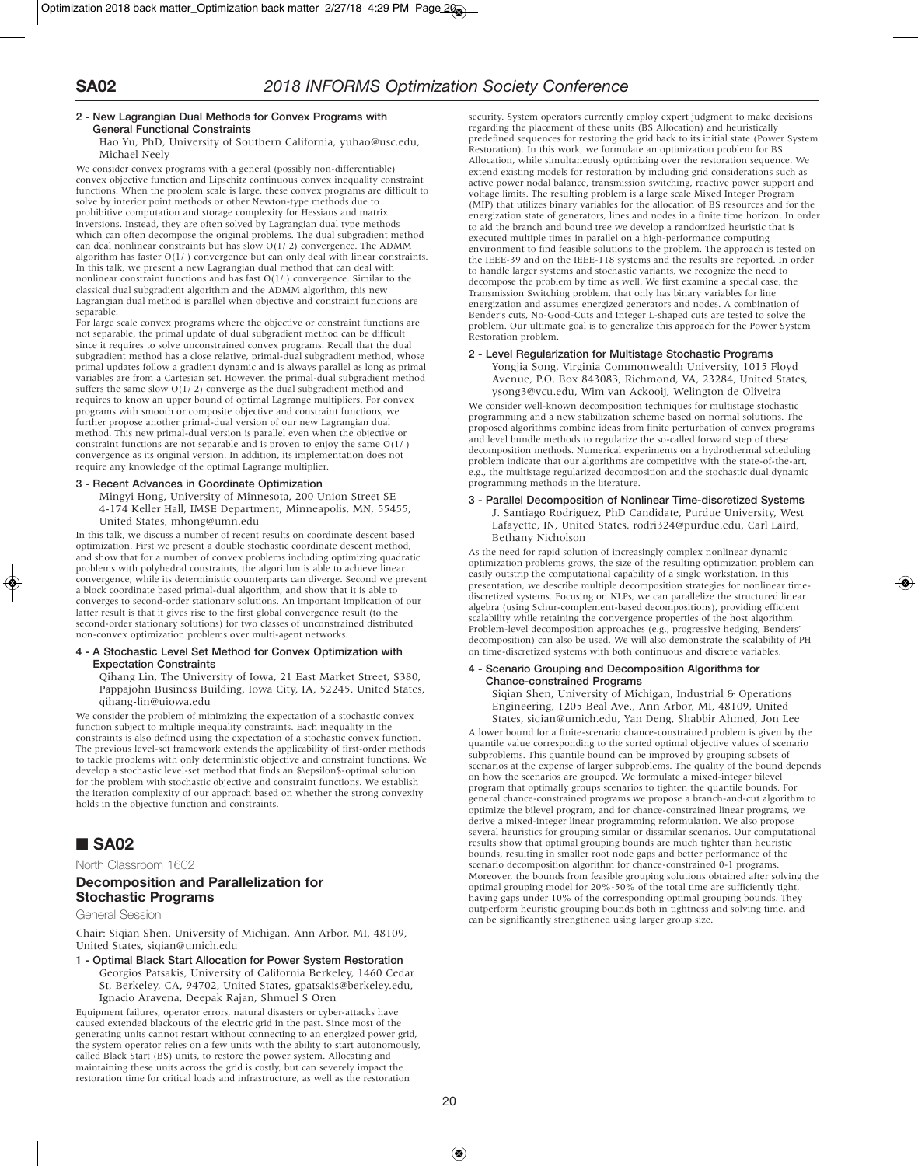### **2 - New Lagrangian Dual Methods for Convex Programs with General Functional Constraints**

Hao Yu, PhD, University of Southern California, yuhao@usc.edu, Michael Neely

We consider convex programs with a general (possibly non-differentiable) convex objective function and Lipschitz continuous convex inequality constraint functions. When the problem scale is large, these convex programs are difficult to solve by interior point methods or other Newton-type methods due to prohibitive computation and storage complexity for Hessians and matrix inversions. Instead, they are often solved by Lagrangian dual type methods which can often decompose the original problems. The dual subgradient method can deal nonlinear constraints but has slow O(1/ 2) convergence. The ADMM algorithm has faster  $O(1/$  ) convergence but can only deal with linear constraints. In this talk, we present a new Lagrangian dual method that can deal with nonlinear constraint functions and has fast O(1/ ) convergence. Similar to the classical dual subgradient algorithm and the ADMM algorithm, this new Lagrangian dual method is parallel when objective and constraint functions are separable.

For large scale convex programs where the objective or constraint functions are not separable, the primal update of dual subgradient method can be difficult since it requires to solve unconstrained convex programs. Recall that the dual subgradient method has a close relative, primal-dual subgradient method, whose primal updates follow a gradient dynamic and is always parallel as long as primal variables are from a Cartesian set. However, the primal-dual subgradient method suffers the same slow O(1/ 2) converge as the dual subgradient method and requires to know an upper bound of optimal Lagrange multipliers. For convex programs with smooth or composite objective and constraint functions, we further propose another primal-dual version of our new Lagrangian dual method. This new primal-dual version is parallel even when the objective or constraint functions are not separable and is proven to enjoy the same  $O(1/$  ) convergence as its original version. In addition, its implementation does not require any knowledge of the optimal Lagrange multiplier.

### **3 - Recent Advances in Coordinate Optimization**

Mingyi Hong, University of Minnesota, 200 Union Street SE 4-174 Keller Hall, IMSE Department, Minneapolis, MN, 55455, United States, mhong@umn.edu

In this talk, we discuss a number of recent results on coordinate descent based optimization. First we present a double stochastic coordinate descent method, and show that for a number of convex problems including optimizing quadratic problems with polyhedral constraints, the algorithm is able to achieve linear convergence, while its deterministic counterparts can diverge. Second we present a block coordinate based primal-dual algorithm, and show that it is able to converges to second-order stationary solutions. An important implication of our latter result is that it gives rise to the first global convergence result (to the second-order stationary solutions) for two classes of unconstrained distributed non-convex optimization problems over multi-agent networks.

#### **4 - A Stochastic Level Set Method for Convex Optimization with Expectation Constraints**

Qihang Lin, The University of Iowa, 21 East Market Street, S380, Pappajohn Business Building, Iowa City, IA, 52245, United States, qihang-lin@uiowa.edu

We consider the problem of minimizing the expectation of a stochastic convex function subject to multiple inequality constraints. Each inequality in the constraints is also defined using the expectation of a stochastic convex function. The previous level-set framework extends the applicability of first-order methods to tackle problems with only deterministic objective and constraint functions. We develop a stochastic level-set method that finds an \$\epsilon\$-optimal solution for the problem with stochastic objective and constraint functions. We establish the iteration complexity of our approach based on whether the strong convexity holds in the objective function and constraints.

# ■ **SA02**

North Classroom 1602

### **Decomposition and Parallelization for Stochastic Programs**

General Session

Chair: Siqian Shen, University of Michigan, Ann Arbor, MI, 48109, United States, siqian@umich.edu

**1 - Optimal Black Start Allocation for Power System Restoration** Georgios Patsakis, University of California Berkeley, 1460 Cedar St, Berkeley, CA, 94702, United States, gpatsakis@berkeley.edu, Ignacio Aravena, Deepak Rajan, Shmuel S Oren

Equipment failures, operator errors, natural disasters or cyber-attacks have caused extended blackouts of the electric grid in the past. Since most of the generating units cannot restart without connecting to an energized power grid, the system operator relies on a few units with the ability to start autonomously, called Black Start (BS) units, to restore the power system. Allocating and maintaining these units across the grid is costly, but can severely impact the restoration time for critical loads and infrastructure, as well as the restoration

security. System operators currently employ expert judgment to make decisions regarding the placement of these units (BS Allocation) and heuristically predefined sequences for restoring the grid back to its initial state (Power System Restoration). In this work, we formulate an optimization problem for BS Allocation, while simultaneously optimizing over the restoration sequence. We extend existing models for restoration by including grid considerations such as active power nodal balance, transmission switching, reactive power support and voltage limits. The resulting problem is a large scale Mixed Integer Program (MIP) that utilizes binary variables for the allocation of BS resources and for the energization state of generators, lines and nodes in a finite time horizon. In order to aid the branch and bound tree we develop a randomized heuristic that is executed multiple times in parallel on a high-performance computing environment to find feasible solutions to the problem. The approach is tested on the IEEE-39 and on the IEEE-118 systems and the results are reported. In order to handle larger systems and stochastic variants, we recognize the need to decompose the problem by time as well. We first examine a special case, the Transmission Switching problem, that only has binary variables for line energization and assumes energized generators and nodes. A combination of Bender's cuts, No-Good-Cuts and Integer L-shaped cuts are tested to solve the problem. Our ultimate goal is to generalize this approach for the Power System Restoration problem.

### **2 - Level Regularization for Multistage Stochastic Programs**

Yongjia Song, Virginia Commonwealth University, 1015 Floyd Avenue, P.O. Box 843083, Richmond, VA, 23284, United States, ysong3@vcu.edu, Wim van Ackooij, Welington de Oliveira

We consider well-known decomposition techniques for multistage stochastic programming and a new stabilization scheme based on normal solutions. The proposed algorithms combine ideas from finite perturbation of convex programs and level bundle methods to regularize the so-called forward step of these decomposition methods. Numerical experiments on a hydrothermal scheduling problem indicate that our algorithms are competitive with the state-of-the-art, e.g., the multistage regularized decomposition and the stochastic dual dynamic programming methods in the literature.

## **3 - Parallel Decomposition of Nonlinear Time-discretized Systems** J. Santiago Rodriguez, PhD Candidate, Purdue University, West

Lafayette, IN, United States, rodri324@purdue.edu, Carl Laird, Bethany Nicholson

As the need for rapid solution of increasingly complex nonlinear dynamic optimization problems grows, the size of the resulting optimization problem can easily outstrip the computational capability of a single workstation. In this presentation, we describe multiple decomposition strategies for nonlinear timediscretized systems. Focusing on NLPs, we can parallelize the structured linear algebra (using Schur-complement-based decompositions), providing efficient scalability while retaining the convergence properties of the host algorithm. Problem-level decomposition approaches (e.g., progressive hedging, Benders' decomposition) can also be used. We will also demonstrate the scalability of PH on time-discretized systems with both continuous and discrete variables.

#### **4 - Scenario Grouping and Decomposition Algorithms for Chance-constrained Programs**

Siqian Shen, University of Michigan, Industrial & Operations Engineering, 1205 Beal Ave., Ann Arbor, MI, 48109, United States, siqian@umich.edu, Yan Deng, Shabbir Ahmed, Jon Lee

A lower bound for a finite-scenario chance-constrained problem is given by the quantile value corresponding to the sorted optimal objective values of scenario subproblems. This quantile bound can be improved by grouping subsets of scenarios at the expense of larger subproblems. The quality of the bound depends on how the scenarios are grouped. We formulate a mixed-integer bilevel program that optimally groups scenarios to tighten the quantile bounds. For general chance-constrained programs we propose a branch-and-cut algorithm to optimize the bilevel program, and for chance-constrained linear programs, we derive a mixed-integer linear programming reformulation. We also propose several heuristics for grouping similar or dissimilar scenarios. Our computational results show that optimal grouping bounds are much tighter than heuristic bounds, resulting in smaller root node gaps and better performance of the scenario decomposition algorithm for chance-constrained 0-1 programs. Moreover, the bounds from feasible grouping solutions obtained after solving the optimal grouping model for 20%-50% of the total time are sufficiently tight, having gaps under 10% of the corresponding optimal grouping bounds. They outperform heuristic grouping bounds both in tightness and solving time, and can be significantly strengthened using larger group size.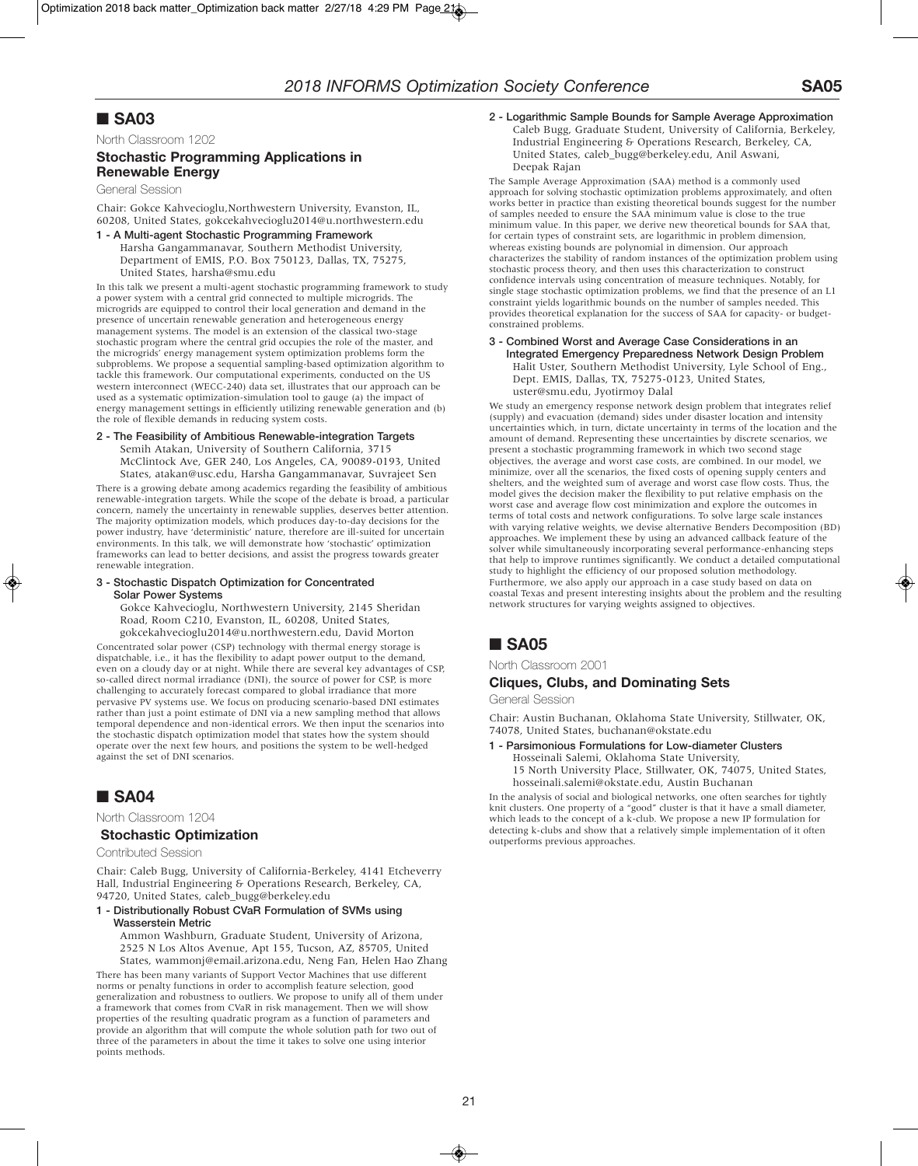# ■ **SA03**

North Classroom 1202

# **Stochastic Programming Applications in Renewable Energy**

General Session

Chair: Gokce Kahvecioglu,Northwestern University, Evanston, IL, 60208, United States, gokcekahvecioglu2014@u.northwestern.edu

**1 - A Multi-agent Stochastic Programming Framework** Harsha Gangammanavar, Southern Methodist University, Department of EMIS, P.O. Box 750123, Dallas, TX, 75275, United States, harsha@smu.edu

In this talk we present a multi-agent stochastic programming framework to study a power system with a central grid connected to multiple microgrids. The microgrids are equipped to control their local generation and demand in the presence of uncertain renewable generation and heterogeneous energy management systems. The model is an extension of the classical two-stage stochastic program where the central grid occupies the role of the master, and the microgrids' energy management system optimization problems form the subproblems. We propose a sequential sampling-based optimization algorithm to tackle this framework. Our computational experiments, conducted on the US western interconnect (WECC-240) data set, illustrates that our approach can be used as a systematic optimization-simulation tool to gauge (a) the impact of energy management settings in efficiently utilizing renewable generation and (b) the role of flexible demands in reducing system costs.

**2 - The Feasibility of Ambitious Renewable-integration Targets** Semih Atakan, University of Southern California, 3715 McClintock Ave, GER 240, Los Angeles, CA, 90089-0193, United States, atakan@usc.edu, Harsha Gangammanavar, Suvrajeet Sen

There is a growing debate among academics regarding the feasibility of ambitious renewable-integration targets. While the scope of the debate is broad, a particular concern, namely the uncertainty in renewable supplies, deserves better attention. The majority optimization models, which produces day-to-day decisions for the power industry, have 'deterministic' nature, therefore are ill-suited for uncertain environments. In this talk, we will demonstrate how 'stochastic' optimization frameworks can lead to better decisions, and assist the progress towards greater renewable integration.

**3 - Stochastic Dispatch Optimization for Concentrated Solar Power Systems**

Gokce Kahvecioglu, Northwestern University, 2145 Sheridan Road, Room C210, Evanston, IL, 60208, United States, gokcekahvecioglu2014@u.northwestern.edu, David Morton

Concentrated solar power (CSP) technology with thermal energy storage is dispatchable, i.e., it has the flexibility to adapt power output to the demand, even on a cloudy day or at night. While there are several key advantages of CSP, so-called direct normal irradiance (DNI), the source of power for CSP, is more challenging to accurately forecast compared to global irradiance that more pervasive PV systems use. We focus on producing scenario-based DNI estimates rather than just a point estimate of DNI via a new sampling method that allows temporal dependence and non-identical errors. We then input the scenarios into the stochastic dispatch optimization model that states how the system should operate over the next few hours, and positions the system to be well-hedged against the set of DNI scenarios.

# ■ **SA04**

North Classroom 1204

## **Stochastic Optimization**

Contributed Session

Chair: Caleb Bugg, University of California-Berkeley, 4141 Etcheverry Hall, Industrial Engineering & Operations Research, Berkeley, CA, 94720, United States, caleb\_bugg@berkeley.edu

### **1 - Distributionally Robust CVaR Formulation of SVMs using Wasserstein Metric**

Ammon Washburn, Graduate Student, University of Arizona, 2525 N Los Altos Avenue, Apt 155, Tucson, AZ, 85705, United States, wammonj@email.arizona.edu, Neng Fan, Helen Hao Zhang

There has been many variants of Support Vector Machines that use different norms or penalty functions in order to accomplish feature selection, good generalization and robustness to outliers. We propose to unify all of them under a framework that comes from CVaR in risk management. Then we will show properties of the resulting quadratic program as a function of parameters and provide an algorithm that will compute the whole solution path for two out of three of the parameters in about the time it takes to solve one using interior points methods.

### **2 - Logarithmic Sample Bounds for Sample Average Approximation** Caleb Bugg, Graduate Student, University of California, Berkeley, Industrial Engineering & Operations Research, Berkeley, CA, United States, caleb\_bugg@berkeley.edu, Anil Aswani, Deepak Rajan

The Sample Average Approximation (SAA) method is a commonly used approach for solving stochastic optimization problems approximately, and often works better in practice than existing theoretical bounds suggest for the number of samples needed to ensure the SAA minimum value is close to the true minimum value. In this paper, we derive new theoretical bounds for SAA that, for certain types of constraint sets, are logarithmic in problem dimension, whereas existing bounds are polynomial in dimension. Our approach characterizes the stability of random instances of the optimization problem using stochastic process theory, and then uses this characterization to construct confidence intervals using concentration of measure techniques. Notably, for single stage stochastic optimization problems, we find that the presence of an L1 constraint yields logarithmic bounds on the number of samples needed. This provides theoretical explanation for the success of SAA for capacity- or budgetconstrained problems.

**3 - Combined Worst and Average Case Considerations in an Integrated Emergency Preparedness Network Design Problem** Halit Uster, Southern Methodist University, Lyle School of Eng., Dept. EMIS, Dallas, TX, 75275-0123, United States, uster@smu.edu, Jyotirmoy Dalal

We study an emergency response network design problem that integrates relief (supply) and evacuation (demand) sides under disaster location and intensity uncertainties which, in turn, dictate uncertainty in terms of the location and the amount of demand. Representing these uncertainties by discrete scenarios, we present a stochastic programming framework in which two second stage objectives, the average and worst case costs, are combined. In our model, we minimize, over all the scenarios, the fixed costs of opening supply centers and shelters, and the weighted sum of average and worst case flow costs. Thus, the model gives the decision maker the flexibility to put relative emphasis on the worst case and average flow cost minimization and explore the outcomes in terms of total costs and network configurations. To solve large scale instances with varying relative weights, we devise alternative Benders Decomposition (BD) approaches. We implement these by using an advanced callback feature of the solver while simultaneously incorporating several performance-enhancing steps that help to improve runtimes significantly. We conduct a detailed computational study to highlight the efficiency of our proposed solution methodology. Furthermore, we also apply our approach in a case study based on data on coastal Texas and present interesting insights about the problem and the resulting network structures for varying weights assigned to objectives.

# ■ **SA05**

North Classroom 2001

# **Cliques, Clubs, and Dominating Sets**

General Session

Chair: Austin Buchanan, Oklahoma State University, Stillwater, OK, 74078, United States, buchanan@okstate.edu

- **1 - Parsimonious Formulations for Low-diameter Clusters** Hosseinali Salemi, Oklahoma State University,
	- 15 North University Place, Stillwater, OK, 74075, United States, hosseinali.salemi@okstate.edu, Austin Buchanan

In the analysis of social and biological networks, one often searches for tightly knit clusters. One property of a "good" cluster is that it have a small diameter, which leads to the concept of a k-club. We propose a new IP formulation for detecting k-clubs and show that a relatively simple implementation of it often outperforms previous approaches.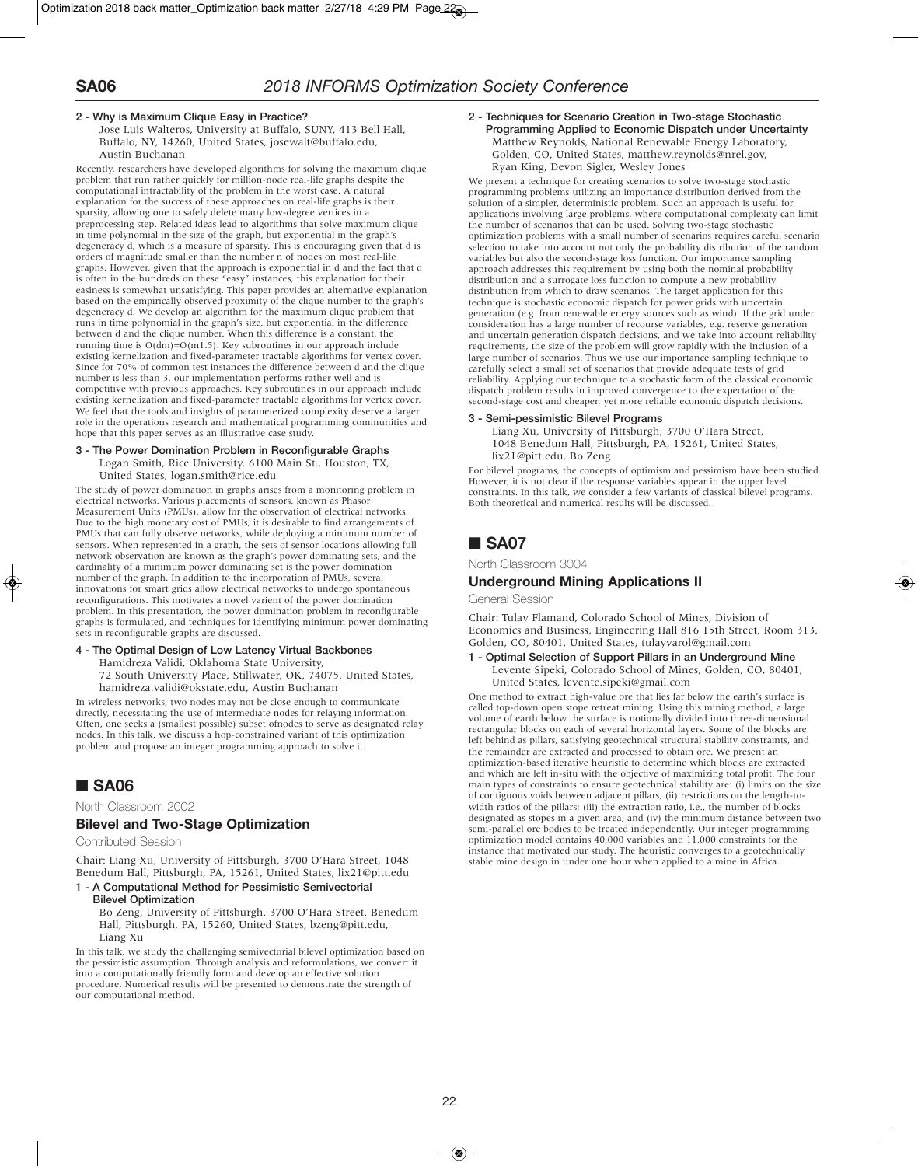### **2 - Why is Maximum Clique Easy in Practice?**

Jose Luis Walteros, University at Buffalo, SUNY, 413 Bell Hall, Buffalo, NY, 14260, United States, josewalt@buffalo.edu, Austin Buchanan

Recently, researchers have developed algorithms for solving the maximum clique problem that run rather quickly for million-node real-life graphs despite the computational intractability of the problem in the worst case. A natural explanation for the success of these approaches on real-life graphs is their sparsity, allowing one to safely delete many low-degree vertices in a preprocessing step. Related ideas lead to algorithms that solve maximum clique in time polynomial in the size of the graph, but exponential in the graph's degeneracy d, which is a measure of sparsity. This is encouraging given that d is orders of magnitude smaller than the number n of nodes on most real-life graphs. However, given that the approach is exponential in d and the fact that d is often in the hundreds on these "easy'' instances, this explanation for their easiness is somewhat unsatisfying. This paper provides an alternative explanation based on the empirically observed proximity of the clique number to the graph's degeneracy d. We develop an algorithm for the maximum clique problem that runs in time polynomial in the graph's size, but exponential in the difference between d and the clique number. When this difference is a constant, the running time is  $O(dm)=O(m1.5)$ . Key subroutines in our approach include existing kernelization and fixed-parameter tractable algorithms for vertex cover. Since for 70% of common test instances the difference between d and the clique number is less than 3, our implementation performs rather well and is competitive with previous approaches. Key subroutines in our approach include existing kernelization and fixed-parameter tractable algorithms for vertex cover. We feel that the tools and insights of parameterized complexity deserve a larger role in the operations research and mathematical programming communities and hope that this paper serves as an illustrative case study.

#### **3 - The Power Domination Problem in Reconfigurable Graphs**

Logan Smith, Rice University, 6100 Main St., Houston, TX,

United States, logan.smith@rice.edu The study of power domination in graphs arises from a monitoring problem in electrical networks. Various placements of sensors, known as Phasor Measurement Units (PMUs), allow for the observation of electrical networks. Due to the high monetary cost of PMUs, it is desirable to find arrangements of PMUs that can fully observe networks, while deploying a minimum number of sensors. When represented in a graph, the sets of sensor locations allowing full network observation are known as the graph's power dominating sets, and the cardinality of a minimum power dominating set is the power domination number of the graph. In addition to the incorporation of PMUs, several innovations for smart grids allow electrical networks to undergo spontaneous reconfigurations. This motivates a novel varient of the power domination problem. In this presentation, the power domination problem in reconfigurable graphs is formulated, and techniques for identifying minimum power dominating sets in reconfigurable graphs are discussed.

### **4 - The Optimal Design of Low Latency Virtual Backbones**

Hamidreza Validi, Oklahoma State University,

72 South University Place, Stillwater, OK, 74075, United States, hamidreza.validi@okstate.edu, Austin Buchanan

In wireless networks, two nodes may not be close enough to communicate directly, necessitating the use of intermediate nodes for relaying information. Often, one seeks a (smallest possible) subset ofnodes to serve as designated relay nodes. In this talk, we discuss a hop-constrained variant of this optimization problem and propose an integer programming approach to solve it.

## ■ **SA06**

North Classroom 2002

### **Bilevel and Two-Stage Optimization**

Contributed Session

Chair: Liang Xu, University of Pittsburgh, 3700 O'Hara Street, 1048 Benedum Hall, Pittsburgh, PA, 15261, United States, lix21@pitt.edu

### **1 - A Computational Method for Pessimistic Semivectorial Bilevel Optimization**

Bo Zeng, University of Pittsburgh, 3700 O'Hara Street, Benedum Hall, Pittsburgh, PA, 15260, United States, bzeng@pitt.edu, Liang Xu

In this talk, we study the challenging semivectorial bilevel optimization based on the pessimistic assumption. Through analysis and reformulations, we convert it into a computationally friendly form and develop an effective solution procedure. Numerical results will be presented to demonstrate the strength of our computational method.

### **2 - Techniques for Scenario Creation in Two-stage Stochastic Programming Applied to Economic Dispatch under Uncertainty** Matthew Reynolds, National Renewable Energy Laboratory, Golden, CO, United States, matthew.reynolds@nrel.gov,

Ryan King, Devon Sigler, Wesley Jones We present a technique for creating scenarios to solve two-stage stochastic programming problems utilizing an importance distribution derived from the solution of a simpler, deterministic problem. Such an approach is useful for applications involving large problems, where computational complexity can limit the number of scenarios that can be used. Solving two-stage stochastic optimization problems with a small number of scenarios requires careful scenario selection to take into account not only the probability distribution of the random variables but also the second-stage loss function. Our importance sampling approach addresses this requirement by using both the nominal probability distribution and a surrogate loss function to compute a new probability distribution from which to draw scenarios. The target application for this technique is stochastic economic dispatch for power grids with uncertain generation (e.g. from renewable energy sources such as wind). If the grid under consideration has a large number of recourse variables, e.g. reserve generation and uncertain generation dispatch decisions, and we take into account reliability requirements, the size of the problem will grow rapidly with the inclusion of a large number of scenarios. Thus we use our importance sampling technique to carefully select a small set of scenarios that provide adequate tests of grid reliability. Applying our technique to a stochastic form of the classical economic dispatch problem results in improved convergence to the expectation of the second-stage cost and cheaper, yet more reliable economic dispatch decisions.

### **3 - Semi-pessimistic Bilevel Programs**

Liang Xu, University of Pittsburgh, 3700 O'Hara Street, 1048 Benedum Hall, Pittsburgh, PA, 15261, United States, lix21@pitt.edu, Bo Zeng

For bilevel programs, the concepts of optimism and pessimism have been studied. However, it is not clear if the response variables appear in the upper level constraints. In this talk, we consider a few variants of classical bilevel programs. Both theoretical and numerical results will be discussed.

# ■ **SA07**

North Classroom 3004

### **Underground Mining Applications II**

General Session

Chair: Tulay Flamand, Colorado School of Mines, Division of Economics and Business, Engineering Hall 816 15th Street, Room 313, Golden, CO, 80401, United States, tulayvarol@gmail.com

#### **1 - Optimal Selection of Support Pillars in an Underground Mine** Levente Sipeki, Colorado School of Mines, Golden, CO, 80401, United States, levente.sipeki@gmail.com

One method to extract high-value ore that lies far below the earth's surface is called top-down open stope retreat mining. Using this mining method, a large volume of earth below the surface is notionally divided into three-dimensional rectangular blocks on each of several horizontal layers. Some of the blocks are left behind as pillars, satisfying geotechnical structural stability constraints, and the remainder are extracted and processed to obtain ore. We present an optimization-based iterative heuristic to determine which blocks are extracted and which are left in-situ with the objective of maximizing total profit. The four main types of constraints to ensure geotechnical stability are: (i) limits on the size of contiguous voids between adjacent pillars, (ii) restrictions on the length-towidth ratios of the pillars; (iii) the extraction ratio, i.e., the number of blocks designated as stopes in a given area; and (iv) the minimum distance between two semi-parallel ore bodies to be treated independently. Our integer programming optimization model contains 40,000 variables and 11,000 constraints for the instance that motivated our study. The heuristic converges to a geotechnically stable mine design in under one hour when applied to a mine in Africa.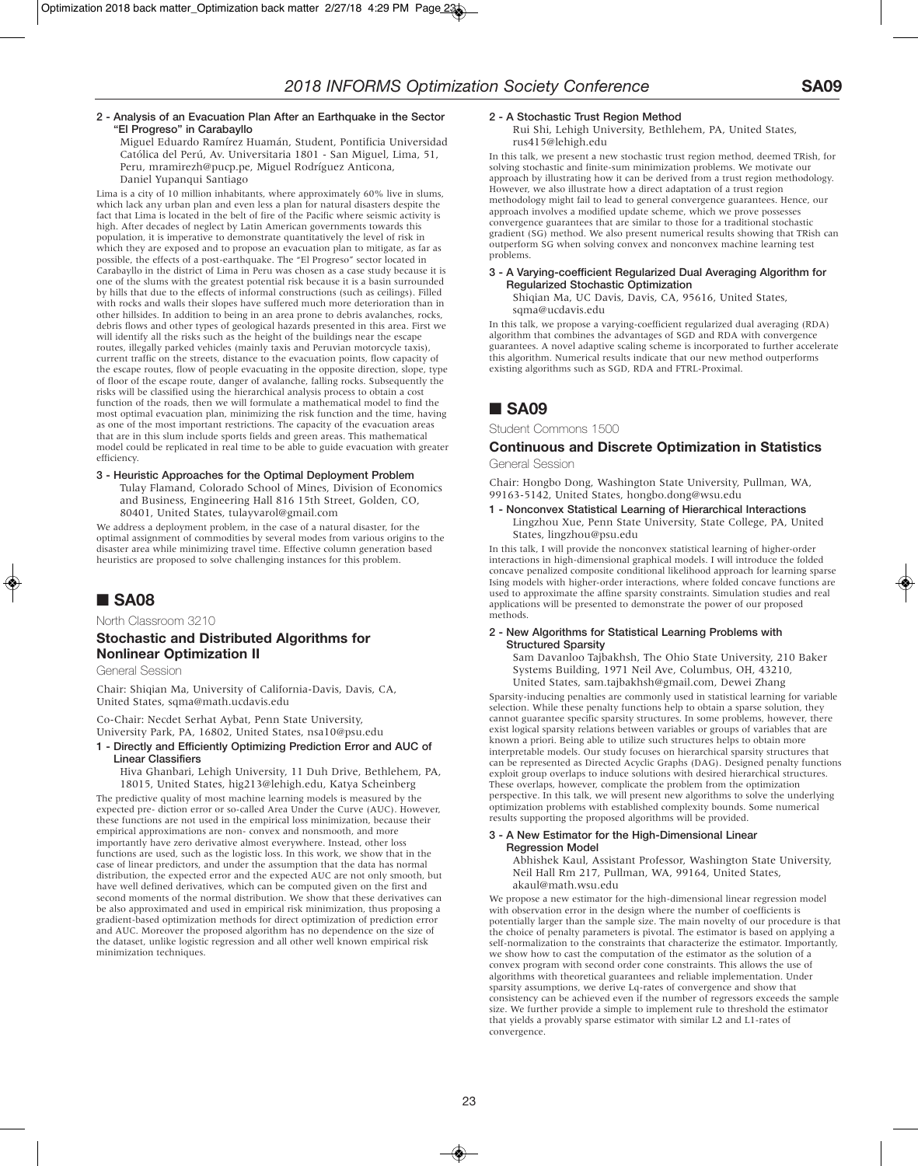### **2 - Analysis of an Evacuation Plan After an Earthquake in the Sector "El Progreso" in Carabayllo**

Miguel Eduardo Ramírez Huamán, Student, Pontificia Universidad Católica del Perú, Av. Universitaria 1801 - San Miguel, Lima, 51, Peru, mramirezh@pucp.pe, Miguel Rodríguez Anticona, Daniel Yupanqui Santiago

Lima is a city of 10 million inhabitants, where approximately 60% live in slums, which lack any urban plan and even less a plan for natural disasters despite the fact that Lima is located in the belt of fire of the Pacific where seismic activity is high. After decades of neglect by Latin American governments towards this population, it is imperative to demonstrate quantitatively the level of risk in which they are exposed and to propose an evacuation plan to mitigate, as far as possible, the effects of a post-earthquake. The "El Progreso" sector located in Carabayllo in the district of Lima in Peru was chosen as a case study because it is one of the slums with the greatest potential risk because it is a basin surrounded by hills that due to the effects of informal constructions (such as ceilings). Filled with rocks and walls their slopes have suffered much more deterioration than in other hillsides. In addition to being in an area prone to debris avalanches, rocks, debris flows and other types of geological hazards presented in this area. First we will identify all the risks such as the height of the buildings near the escape routes, illegally parked vehicles (mainly taxis and Peruvian motorcycle taxis), current traffic on the streets, distance to the evacuation points, flow capacity of the escape routes, flow of people evacuating in the opposite direction, slope, type of floor of the escape route, danger of avalanche, falling rocks. Subsequently the risks will be classified using the hierarchical analysis process to obtain a cost function of the roads, then we will formulate a mathematical model to find the most optimal evacuation plan, minimizing the risk function and the time, having as one of the most important restrictions. The capacity of the evacuation areas that are in this slum include sports fields and green areas. This mathematical model could be replicated in real time to be able to guide evacuation with greater efficiency.

### **3 - Heuristic Approaches for the Optimal Deployment Problem** Tulay Flamand, Colorado School of Mines, Division of Economics and Business, Engineering Hall 816 15th Street, Golden, CO, 80401, United States, tulayvarol@gmail.com

We address a deployment problem, in the case of a natural disaster, for the optimal assignment of commodities by several modes from various origins to the disaster area while minimizing travel time. Effective column generation based heuristics are proposed to solve challenging instances for this problem.

# ■ **SA08**

North Classroom 3210

## **Stochastic and Distributed Algorithms for Nonlinear Optimization II**

General Session

Chair: Shiqian Ma, University of California-Davis, Davis, CA, United States, sqma@math.ucdavis.edu

Co-Chair: Necdet Serhat Aybat, Penn State University, University Park, PA, 16802, United States, nsa10@psu.edu

**1 - Directly and Efficiently Optimizing Prediction Error and AUC of Linear Classifiers**

Hiva Ghanbari, Lehigh University, 11 Duh Drive, Bethlehem, PA, 18015, United States, hig213@lehigh.edu, Katya Scheinberg

The predictive quality of most machine learning models is measured by the expected pre- diction error or so-called Area Under the Curve (AUC). However, these functions are not used in the empirical loss minimization, because their empirical approximations are non- convex and nonsmooth, and more importantly have zero derivative almost everywhere. Instead, other loss functions are used, such as the logistic loss. In this work, we show that in the case of linear predictors, and under the assumption that the data has normal distribution, the expected error and the expected AUC are not only smooth, but have well defined derivatives, which can be computed given on the first and second moments of the normal distribution. We show that these derivatives can be also approximated and used in empirical risk minimization, thus proposing a gradient-based optimization methods for direct optimization of prediction error and AUC. Moreover the proposed algorithm has no dependence on the size of the dataset, unlike logistic regression and all other well known empirical risk minimization techniques.

### **2 - A Stochastic Trust Region Method**

Rui Shi, Lehigh University, Bethlehem, PA, United States, rus415@lehigh.edu

In this talk, we present a new stochastic trust region method, deemed TRish, for solving stochastic and finite-sum minimization problems. We motivate our approach by illustrating how it can be derived from a trust region methodology. However, we also illustrate how a direct adaptation of a trust region methodology might fail to lead to general convergence guarantees. Hence, our approach involves a modified update scheme, which we prove possesses convergence guarantees that are similar to those for a traditional stochastic gradient (SG) method. We also present numerical results showing that TRish can outperform SG when solving convex and nonconvex machine learning test problems.

### **3 - A Varying-coefficient Regularized Dual Averaging Algorithm for Regularized Stochastic Optimization**

Shiqian Ma, UC Davis, Davis, CA, 95616, United States, sqma@ucdavis.edu

In this talk, we propose a varying-coefficient regularized dual averaging (RDA) algorithm that combines the advantages of SGD and RDA with convergence guarantees. A novel adaptive scaling scheme is incorporated to further accelerate this algorithm. Numerical results indicate that our new method outperforms existing algorithms such as SGD, RDA and FTRL-Proximal.

# ■ **SA09**

Student Commons 1500

### **Continuous and Discrete Optimization in Statistics** General Session

Chair: Hongbo Dong, Washington State University, Pullman, WA, 99163-5142, United States, hongbo.dong@wsu.edu

### **1 - Nonconvex Statistical Learning of Hierarchical Interactions** Lingzhou Xue, Penn State University, State College, PA, United States, lingzhou@psu.edu

In this talk, I will provide the nonconvex statistical learning of higher-order interactions in high-dimensional graphical models. I will introduce the folded concave penalized composite conditional likelihood approach for learning sparse Ising models with higher-order interactions, where folded concave functions are used to approximate the affine sparsity constraints. Simulation studies and real applications will be presented to demonstrate the power of our proposed methods.

#### **2 - New Algorithms for Statistical Learning Problems with Structured Sparsity**

Sam Davanloo Tajbakhsh, The Ohio State University, 210 Baker Systems Building, 1971 Neil Ave, Columbus, OH, 43210, United States, sam.tajbakhsh@gmail.com, Dewei Zhang

Sparsity-inducing penalties are commonly used in statistical learning for variable selection. While these penalty functions help to obtain a sparse solution, they cannot guarantee specific sparsity structures. In some problems, however, there exist logical sparsity relations between variables or groups of variables that are known a priori. Being able to utilize such structures helps to obtain more interpretable models. Our study focuses on hierarchical sparsity structures that can be represented as Directed Acyclic Graphs (DAG). Designed penalty functions exploit group overlaps to induce solutions with desired hierarchical structures. These overlaps, however, complicate the problem from the optimization perspective. In this talk, we will present new algorithms to solve the underlying optimization problems with established complexity bounds. Some numerical results supporting the proposed algorithms will be provided.

### **3 - A New Estimator for the High-Dimensional Linear Regression Model**

Abhishek Kaul, Assistant Professor, Washington State University, Neil Hall Rm 217, Pullman, WA, 99164, United States, akaul@math.wsu.edu

We propose a new estimator for the high-dimensional linear regression model with observation error in the design where the number of coefficients is potentially larger than the sample size. The main novelty of our procedure is that the choice of penalty parameters is pivotal. The estimator is based on applying a self-normalization to the constraints that characterize the estimator. Importantly, we show how to cast the computation of the estimator as the solution of a convex program with second order cone constraints. This allows the use of algorithms with theoretical guarantees and reliable implementation. Under sparsity assumptions, we derive Lq-rates of convergence and show that consistency can be achieved even if the number of regressors exceeds the sample size. We further provide a simple to implement rule to threshold the estimator that yields a provably sparse estimator with similar L2 and L1-rates of convergence.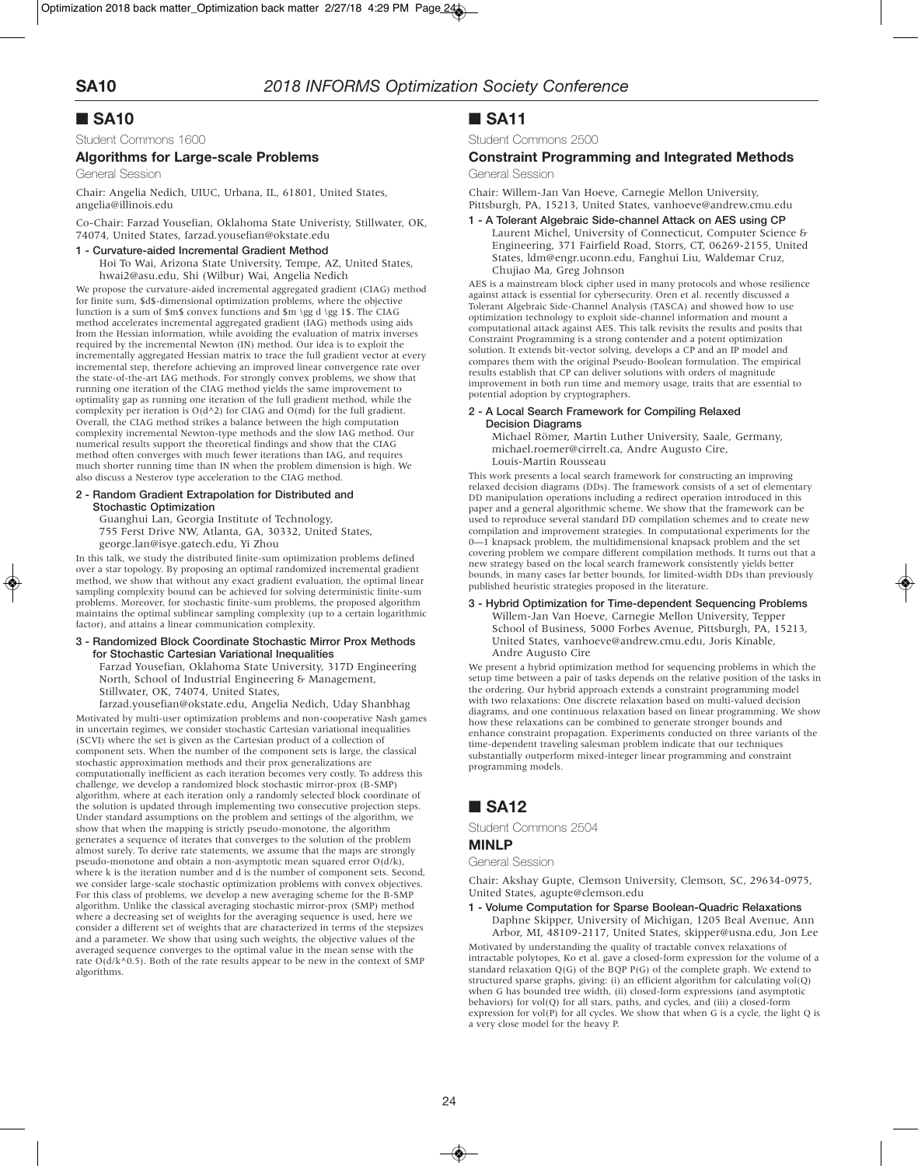# ■ **SA10**

Student Commons 1600

### **Algorithms for Large-scale Problems**

General Session

Chair: Angelia Nedich, UIUC, Urbana, IL, 61801, United States, angelia@illinois.edu

Co-Chair: Farzad Yousefian, Oklahoma State Univeristy, Stillwater, OK, 74074, United States, farzad.yousefian@okstate.edu

### **1 - Curvature-aided Incremental Gradient Method**

Hoi To Wai, Arizona State University, Tempe, AZ, United States, hwai2@asu.edu, Shi (Wilbur) Wai, Angelia Nedich

We propose the curvature-aided incremental aggregated gradient (CIAG) method for finite sum, \$d\$-dimensional optimization problems, where the objective function is a sum of \$m\$ convex functions and \$m \gg d \gg 1\$. The CIAG method accelerates incremental aggregated gradient (IAG) methods using aids from the Hessian information, while avoiding the evaluation of matrix inverses required by the incremental Newton (IN) method. Our idea is to exploit the incrementally aggregated Hessian matrix to trace the full gradient vector at every incremental step, therefore achieving an improved linear convergence rate over the state-of-the-art IAG methods. For strongly convex problems, we show that running one iteration of the CIAG method yields the same improvement to optimality gap as running one iteration of the full gradient method, while the complexity per iteration is  $O(d^2)$  for CIAG and  $O(md)$  for the full gradient. Overall, the CIAG method strikes a balance between the high computation complexity incremental Newton-type methods and the slow IAG method. Our numerical results support the theoretical findings and show that the CIAG method often converges with much fewer iterations than IAG, and requires much shorter running time than IN when the problem dimension is high. We also discuss a Nesterov type acceleration to the CIAG method.

#### **2 - Random Gradient Extrapolation for Distributed and Stochastic Optimization**

Guanghui Lan, Georgia Institute of Technology,

755 Ferst Drive NW, Atlanta, GA, 30332, United States, george.lan@isye.gatech.edu, Yi Zhou

In this talk, we study the distributed finite-sum optimization problems defined over a star topology. By proposing an optimal randomized incremental gradient method, we show that without any exact gradient evaluation, the optimal linear sampling complexity bound can be achieved for solving deterministic finite-sum problems. Moreover, for stochastic finite-sum problems, the proposed algorithm maintains the optimal sublinear sampling complexity (up to a certain logarithmic factor), and attains a linear communication complexity.

### **3 - Randomized Block Coordinate Stochastic Mirror Prox Methods for Stochastic Cartesian Variational Inequalities**

Farzad Yousefian, Oklahoma State University, 317D Engineering North, School of Industrial Engineering & Management, Stillwater, OK, 74074, United States,

farzad.yousefian@okstate.edu, Angelia Nedich, Uday Shanbhag Motivated by multi-user optimization problems and non-cooperative Nash games in uncertain regimes, we consider stochastic Cartesian variational inequalities (SCVI) where the set is given as the Cartesian product of a collection of component sets. When the number of the component sets is large, the classical stochastic approximation methods and their prox generalizations are computationally inefficient as each iteration becomes very costly. To address this challenge, we develop a randomized block stochastic mirror-prox (B-SMP) algorithm, where at each iteration only a randomly selected block coordinate of the solution is updated through implementing two consecutive projection steps. Under standard assumptions on the problem and settings of the algorithm, we show that when the mapping is strictly pseudo-monotone, the algorithm generates a sequence of iterates that converges to the solution of the problem almost surely. To derive rate statements, we assume that the maps are strongly pseudo-monotone and obtain a non-asymptotic mean squared error O(d/k), where k is the iteration number and d is the number of component sets. Second, we consider large-scale stochastic optimization problems with convex objectives. For this class of problems, we develop a new averaging scheme for the B-SMP algorithm. Unlike the classical averaging stochastic mirror-prox (SMP) method where a decreasing set of weights for the averaging sequence is used, here we consider a different set of weights that are characterized in terms of the stepsizes and a parameter. We show that using such weights, the objective values of the averaged sequence converges to the optimal value in the mean sense with the rate  $O(d/k^20.5)$ . Both of the rate results appear to be new in the context of SMP algorithms.

# ■ **SA11**

Student Commons 2500

# **Constraint Programming and Integrated Methods**

General Session

Chair: Willem-Jan Van Hoeve, Carnegie Mellon University, Pittsburgh, PA, 15213, United States, vanhoeve@andrew.cmu.edu

**1 - A Tolerant Algebraic Side-channel Attack on AES using CP** Laurent Michel, University of Connecticut, Computer Science & Engineering, 371 Fairfield Road, Storrs, CT, 06269-2155, United States, ldm@engr.uconn.edu, Fanghui Liu, Waldemar Cruz, Chujiao Ma, Greg Johnson

AES is a mainstream block cipher used in many protocols and whose resilience against attack is essential for cybersecurity. Oren et al. recently discussed a Tolerant Algebraic Side-Channel Analysis (TASCA) and showed how to use optimization technology to exploit side-channel information and mount a computational attack against AES. This talk revisits the results and posits that Constraint Programming is a strong contender and a potent optimization solution. It extends bit-vector solving, develops a CP and an IP model and compares them with the original Pseudo-Boolean formulation. The empirical results establish that CP can deliver solutions with orders of magnitude improvement in both run time and memory usage, traits that are essential to potential adoption by cryptographers.

### **2 - A Local Search Framework for Compiling Relaxed Decision Diagrams**

Michael Römer, Martin Luther University, Saale, Germany, michael.roemer@cirrelt.ca, Andre Augusto Cire, Louis-Martin Rousseau

This work presents a local search framework for constructing an improving relaxed decision diagrams (DDs). The framework consists of a set of elementary DD manipulation operations including a redirect operation introduced in this paper and a general algorithmic scheme. We show that the framework can be used to reproduce several standard DD compilation schemes and to create new compilation and improvement strategies. In computational experiments for the 0—1 knapsack problem, the multidimensional knapsack problem and the set covering problem we compare different compilation methods. It turns out that a new strategy based on the local search framework consistently yields better bounds, in many cases far better bounds, for limited-width DDs than previously published heuristic strategies proposed in the literature.

### **3 - Hybrid Optimization for Time-dependent Sequencing Problems**

Willem-Jan Van Hoeve, Carnegie Mellon University, Tepper School of Business, 5000 Forbes Avenue, Pittsburgh, PA, 15213, United States, vanhoeve@andrew.cmu.edu, Joris Kinable, Andre Augusto Cire

We present a hybrid optimization method for sequencing problems in which the setup time between a pair of tasks depends on the relative position of the tasks in the ordering. Our hybrid approach extends a constraint programming model with two relaxations: One discrete relaxation based on multi-valued decision diagrams, and one continuous relaxation based on linear programming. We show how these relaxations can be combined to generate stronger bounds and enhance constraint propagation. Experiments conducted on three variants of the time-dependent traveling salesman problem indicate that our techniques substantially outperform mixed-integer linear programming and constraint programming models.

# ■ **SA12**

Student Commons 2504

### **MINLP**

General Session

Chair: Akshay Gupte, Clemson University, Clemson, SC, 29634-0975, United States, agupte@clemson.edu

### **1 - Volume Computation for Sparse Boolean-Quadric Relaxations**

Daphne Skipper, University of Michigan, 1205 Beal Avenue, Ann Arbor, MI, 48109-2117, United States, skipper@usna.edu, Jon Lee Motivated by understanding the quality of tractable convex relaxations of intractable polytopes, Ko et al. gave a closed-form expression for the volume of a standard relaxation  $Q(G)$  of the BQP  $P(G)$  of the complete graph. We extend to structured sparse graphs, giving: (i) an efficient algorithm for calculating vol(Q) when G has bounded tree width, (ii) closed-form expressions (and asymptotic behaviors) for vol(Q) for all stars, paths, and cycles, and (iii) a closed-form expression for  $vol(P)$  for all cycles. We show that when G is a cycle, the light Q is a very close model for the heavy P.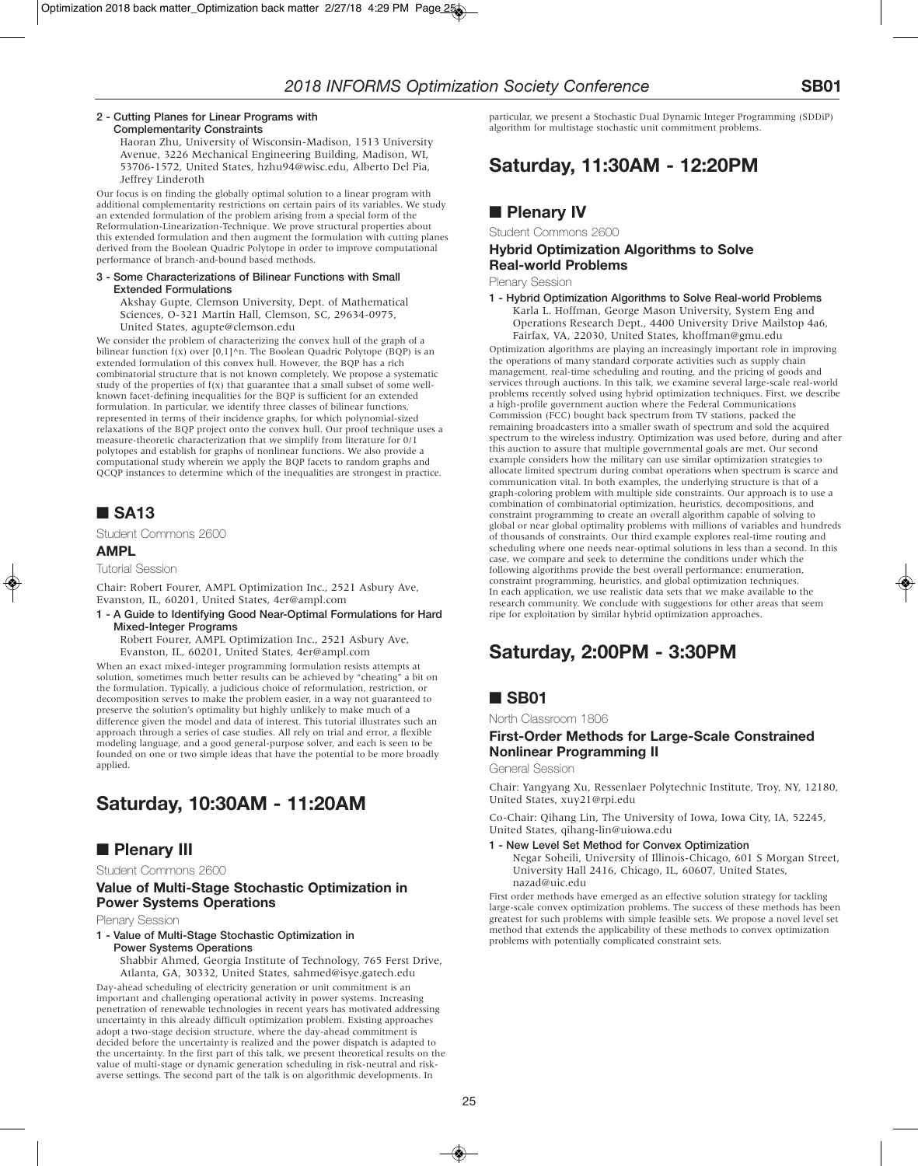#### **2 - Cutting Planes for Linear Programs with Complementarity Constraints**

Haoran Zhu, University of Wisconsin-Madison, 1513 University Avenue, 3226 Mechanical Engineering Building, Madison, WI, 53706-1572, United States, hzhu94@wisc.edu, Alberto Del Pia, Jeffrey Linderoth

Our focus is on finding the globally optimal solution to a linear program with additional complementarity restrictions on certain pairs of its variables. We study an extended formulation of the problem arising from a special form of the Reformulation-Linearization-Technique. We prove structural properties about this extended formulation and then augment the formulation with cutting planes derived from the Boolean Quadric Polytope in order to improve computational performance of branch-and-bound based methods.

#### **3 - Some Characterizations of Bilinear Functions with Small Extended Formulations**

Akshay Gupte, Clemson University, Dept. of Mathematical Sciences, O-321 Martin Hall, Clemson, SC, 29634-0975, United States, agupte@clemson.edu

We consider the problem of characterizing the convex hull of the graph of a bilinear function f(x) over [0,1]^n. The Boolean Quadric Polytope (BQP) is an extended formulation of this convex hull. However, the BQP has a rich combinatorial structure that is not known completely. We propose a systematic study of the properties of  $f(x)$  that guarantee that a small subset of some wellknown facet-defining inequalities for the BQP is sufficient for an extended formulation. In particular, we identify three classes of bilinear functions, represented in terms of their incidence graphs, for which polynomial-sized relaxations of the BQP project onto the convex hull. Our proof technique uses a measure-theoretic characterization that we simplify from literature for 0/1 polytopes and establish for graphs of nonlinear functions. We also provide a computational study wherein we apply the BQP facets to random graphs and QCQP instances to determine which of the inequalities are strongest in practice.

# ■ **SA13**

Student Commons 2600

### **AMPL**

Tutorial Session

Chair: Robert Fourer, AMPL Optimization Inc., 2521 Asbury Ave, Evanston, IL, 60201, United States, 4er@ampl.com

#### **1 - A Guide to Identifying Good Near-Optimal Formulations for Hard Mixed-Integer Programs**

Robert Fourer, AMPL Optimization Inc., 2521 Asbury Ave, Evanston, IL, 60201, United States, 4er@ampl.com

When an exact mixed-integer programming formulation resists attempts at solution, sometimes much better results can be achieved by "cheating" a bit on the formulation. Typically, a judicious choice of reformulation, restriction, or decomposition serves to make the problem easier, in a way not guaranteed to preserve the solution's optimality but highly unlikely to make much of a difference given the model and data of interest. This tutorial illustrates such an approach through a series of case studies. All rely on trial and error, a flexible modeling language, and a good general-purpose solver, and each is seen to be founded on one or two simple ideas that have the potential to be more broadly applied.

# **Saturday, 10:30AM - 11:20AM**

# ■ **Plenary III**

Student Commons 2600

### **Value of Multi-Stage Stochastic Optimization in Power Systems Operations**

Plenary Session

#### **1 - Value of Multi-Stage Stochastic Optimization in Power Systems Operations**

Shabbir Ahmed, Georgia Institute of Technology, 765 Ferst Drive, Atlanta, GA, 30332, United States, sahmed@isye.gatech.edu

Day-ahead scheduling of electricity generation or unit commitment is an important and challenging operational activity in power systems. Increasing penetration of renewable technologies in recent years has motivated addressing uncertainty in this already difficult optimization problem. Existing approaches adopt a two-stage decision structure, where the day-ahead commitment is decided before the uncertainty is realized and the power dispatch is adapted to the uncertainty. In the first part of this talk, we present theoretical results on the value of multi-stage or dynamic generation scheduling in risk-neutral and riskaverse settings. The second part of the talk is on algorithmic developments. In

particular, we present a Stochastic Dual Dynamic Integer Programming (SDDiP) algorithm for multistage stochastic unit commitment problems.

# **Saturday, 11:30AM - 12:20PM**

# ■ **Plenary IV**

Student Commons 2600

### **Hybrid Optimization Algorithms to Solve Real-world Problems**

Plenary Session

**1 - Hybrid Optimization Algorithms to Solve Real-world Problems** Karla L. Hoffman, George Mason University, System Eng and Operations Research Dept., 4400 University Drive Mailstop 4a6, Fairfax, VA, 22030, United States, khoffman@gmu.edu

Optimization algorithms are playing an increasingly important role in improving the operations of many standard corporate activities such as supply chain management, real-time scheduling and routing, and the pricing of goods and services through auctions. In this talk, we examine several large-scale real-world problems recently solved using hybrid optimization techniques. First, we describe a high-profile government auction where the Federal Communications Commission (FCC) bought back spectrum from TV stations, packed the remaining broadcasters into a smaller swath of spectrum and sold the acquired spectrum to the wireless industry. Optimization was used before, during and after this auction to assure that multiple governmental goals are met. Our second example considers how the military can use similar optimization strategies to allocate limited spectrum during combat operations when spectrum is scarce and communication vital. In both examples, the underlying structure is that of a graph-coloring problem with multiple side constraints. Our approach is to use a combination of combinatorial optimization, heuristics, decompositions, and constraint programming to create an overall algorithm capable of solving to global or near global optimality problems with millions of variables and hundreds of thousands of constraints. Our third example explores real-time routing and scheduling where one needs near-optimal solutions in less than a second. In this case, we compare and seek to determine the conditions under which the following algorithms provide the best overall performance: enumeration, constraint programming, heuristics, and global optimization techniques. In each application, we use realistic data sets that we make available to the research community. We conclude with suggestions for other areas that seem ripe for exploitation by similar hybrid optimization approaches.

# **Saturday, 2:00PM - 3:30PM**

# ■ **SB01**

North Classroom 1806

### **First-Order Methods for Large-Scale Constrained Nonlinear Programming II**

General Session

Chair: Yangyang Xu, Ressenlaer Polytechnic Institute, Troy, NY, 12180, United States, xuy21@rpi.edu

Co-Chair: Qihang Lin, The University of Iowa, Iowa City, IA, 52245, United States, qihang-lin@uiowa.edu

#### **1 - New Level Set Method for Convex Optimization**

Negar Soheili, University of Illinois-Chicago, 601 S Morgan Street, University Hall 2416, Chicago, IL, 60607, United States, nazad@uic.edu

First order methods have emerged as an effective solution strategy for tackling large-scale convex optimization problems. The success of these methods has been greatest for such problems with simple feasible sets. We propose a novel level set method that extends the applicability of these methods to convex optimization problems with potentially complicated constraint sets.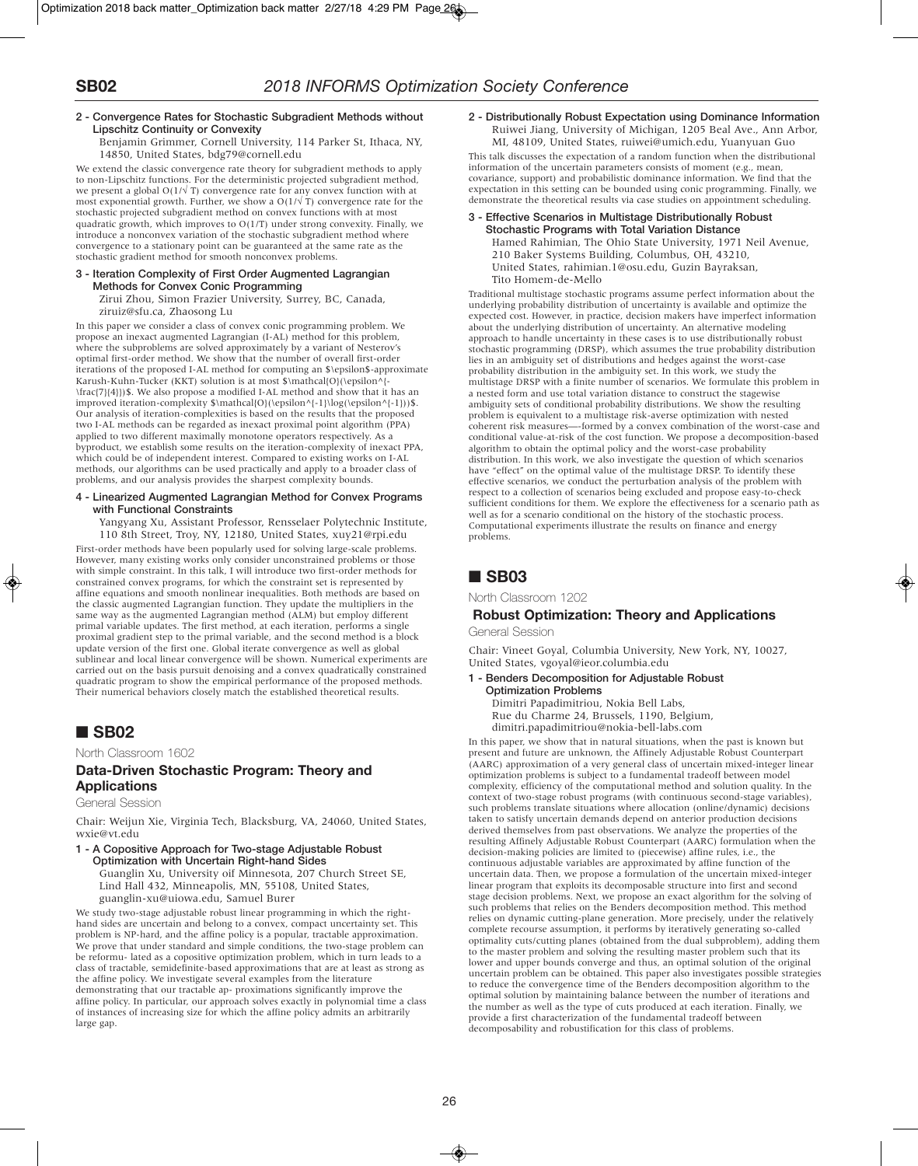### **2 - Convergence Rates for Stochastic Subgradient Methods without Lipschitz Continuity or Convexity**

Benjamin Grimmer, Cornell University, 114 Parker St, Ithaca, NY, 14850, United States, bdg79@cornell.edu

We extend the classic convergence rate theory for subgradient methods to apply to non-Lipschitz functions. For the deterministic projected subgradient method, we present a global  $O(1/\sqrt{T})$  convergence rate for any convex function with at most exponential growth. Further, we show a  $O(1/\sqrt{T})$  convergence rate for the stochastic projected subgradient method on convex functions with at most quadratic growth, which improves to  $O(1/T)$  under strong convexity. Finally, we introduce a nonconvex variation of the stochastic subgradient method where convergence to a stationary point can be guaranteed at the same rate as the stochastic gradient method for smooth nonconvex problems.

#### **3 - Iteration Complexity of First Order Augmented Lagrangian Methods for Convex Conic Programming**

Zirui Zhou, Simon Frazier University, Surrey, BC, Canada, ziruiz@sfu.ca, Zhaosong Lu

In this paper we consider a class of convex conic programming problem. We propose an inexact augmented Lagrangian (I-AL) method for this problem, where the subproblems are solved approximately by a variant of Nesterov's optimal first-order method. We show that the number of overall first-order iterations of the proposed I-AL method for computing an \$\epsilon\$-approximate Karush-Kuhn-Tucker (KKT) solution is at most \$\mathcal{O}(\epsilon^{- \frac{7}{4}})\$. We also propose a modified I-AL method and show that it has an improved iteration-complexity \$\mathcal{O}(\epsilon^{-1}\log(\epsilon^{-1}))\$. Our analysis of iteration-complexities is based on the results that the proposed two I-AL methods can be regarded as inexact proximal point algorithm (PPA) applied to two different maximally monotone operators respectively. As a byproduct, we establish some results on the iteration-complexity of inexact PPA, which could be of independent interest. Compared to existing works on I-AL methods, our algorithms can be used practically and apply to a broader class of problems, and our analysis provides the sharpest complexity bounds.

### **4 - Linearized Augmented Lagrangian Method for Convex Programs with Functional Constraints**

Yangyang Xu, Assistant Professor, Rensselaer Polytechnic Institute, 110 8th Street, Troy, NY, 12180, United States, xuy21@rpi.edu

First-order methods have been popularly used for solving large-scale problems. However, many existing works only consider unconstrained problems or those with simple constraint. In this talk, I will introduce two first-order methods for constrained convex programs, for which the constraint set is represented by affine equations and smooth nonlinear inequalities. Both methods are based on the classic augmented Lagrangian function. They update the multipliers in the same way as the augmented Lagrangian method (ALM) but employ different primal variable updates. The first method, at each iteration, performs a single proximal gradient step to the primal variable, and the second method is a block update version of the first one. Global iterate convergence as well as global sublinear and local linear convergence will be shown. Numerical experiments are carried out on the basis pursuit denoising and a convex quadratically constrained quadratic program to show the empirical performance of the proposed methods. Their numerical behaviors closely match the established theoretical results.

# ■ **SB02**

North Classroom 1602

### **Data-Driven Stochastic Program: Theory and Applications**

General Session

Chair: Weijun Xie, Virginia Tech, Blacksburg, VA, 24060, United States, wxie@vt.edu

**1 - A Copositive Approach for Two-stage Adjustable Robust Optimization with Uncertain Right-hand Sides** Guanglin Xu, University oif Minnesota, 207 Church Street SE,

Lind Hall 432, Minneapolis, MN, 55108, United States, guanglin-xu@uiowa.edu, Samuel Burer

We study two-stage adjustable robust linear programming in which the righthand sides are uncertain and belong to a convex, compact uncertainty set. This problem is NP-hard, and the affine policy is a popular, tractable approximation. We prove that under standard and simple conditions, the two-stage problem can be reformu- lated as a copositive optimization problem, which in turn leads to a class of tractable, semidefinite-based approximations that are at least as strong as the affine policy. We investigate several examples from the literature demonstrating that our tractable ap- proximations significantly improve the affine policy. In particular, our approach solves exactly in polynomial time a class of instances of increasing size for which the affine policy admits an arbitrarily large gap.

**2 - Distributionally Robust Expectation using Dominance Information** Ruiwei Jiang, University of Michigan, 1205 Beal Ave., Ann Arbor, MI, 48109, United States, ruiwei@umich.edu, Yuanyuan Guo This talk discusses the expectation of a random function when the distributional information of the uncertain parameters consists of moment (e.g., mean, covariance, support) and probabilistic dominance information. We find that the expectation in this setting can be bounded using conic programming. Finally, we

demonstrate the theoretical results via case studies on appointment scheduling. **3 - Effective Scenarios in Multistage Distributionally Robust Stochastic Programs with Total Variation Distance** Hamed Rahimian, The Ohio State University, 1971 Neil Avenue, 210 Baker Systems Building, Columbus, OH, 43210, United States, rahimian.1@osu.edu, Guzin Bayraksan, Tito Homem-de-Mello

Traditional multistage stochastic programs assume perfect information about the underlying probability distribution of uncertainty is available and optimize the expected cost. However, in practice, decision makers have imperfect information about the underlying distribution of uncertainty. An alternative modeling approach to handle uncertainty in these cases is to use distributionally robust stochastic programming (DRSP), which assumes the true probability distribution lies in an ambiguity set of distributions and hedges against the worst-case probability distribution in the ambiguity set. In this work, we study the multistage DRSP with a finite number of scenarios. We formulate this problem in a nested form and use total variation distance to construct the stagewise ambiguity sets of conditional probability distributions. We show the resulting problem is equivalent to a multistage risk-averse optimization with nested coherent risk measures—-formed by a convex combination of the worst-case and conditional value-at-risk of the cost function. We propose a decomposition-based algorithm to obtain the optimal policy and the worst-case probability distribution. In this work, we also investigate the question of which scenarios have "effect" on the optimal value of the multistage DRSP. To identify these effective scenarios, we conduct the perturbation analysis of the problem with respect to a collection of scenarios being excluded and propose easy-to-check sufficient conditions for them. We explore the effectiveness for a scenario path as well as for a scenario conditional on the history of the stochastic process. Computational experiments illustrate the results on finance and energy problems.

# ■ **SB03**

North Classroom 1202

# **Robust Optimization: Theory and Applications**

General Session

Chair: Vineet Goyal, Columbia University, New York, NY, 10027, United States, vgoyal@ieor.columbia.edu

### **1 - Benders Decomposition for Adjustable Robust**

**Optimization Problems** Dimitri Papadimitriou, Nokia Bell Labs, Rue du Charme 24, Brussels, 1190, Belgium, dimitri.papadimitriou@nokia-bell-labs.com

In this paper, we show that in natural situations, when the past is known but present and future are unknown, the Affinely Adjustable Robust Counterpart (AARC) approximation of a very general class of uncertain mixed-integer linear optimization problems is subject to a fundamental tradeoff between model complexity, efficiency of the computational method and solution quality. In the context of two-stage robust programs (with continuous second-stage variables), such problems translate situations where allocation (online/dynamic) decisions taken to satisfy uncertain demands depend on anterior production decisions derived themselves from past observations. We analyze the properties of the resulting Affinely Adjustable Robust Counterpart (AARC) formulation when the decision-making policies are limited to (piecewise) affine rules, i.e., the continuous adjustable variables are approximated by affine function of the uncertain data. Then, we propose a formulation of the uncertain mixed-integer linear program that exploits its decomposable structure into first and second stage decision problems. Next, we propose an exact algorithm for the solving of such problems that relies on the Benders decomposition method. This method relies on dynamic cutting-plane generation. More precisely, under the relatively complete recourse assumption, it performs by iteratively generating so-called optimality cuts/cutting planes (obtained from the dual subproblem), adding them to the master problem and solving the resulting master problem such that its lower and upper bounds converge and thus, an optimal solution of the original uncertain problem can be obtained. This paper also investigates possible strategies to reduce the convergence time of the Benders decomposition algorithm to the optimal solution by maintaining balance between the number of iterations and the number as well as the type of cuts produced at each iteration. Finally, we provide a first characterization of the fundamental tradeoff between decomposability and robustification for this class of problems.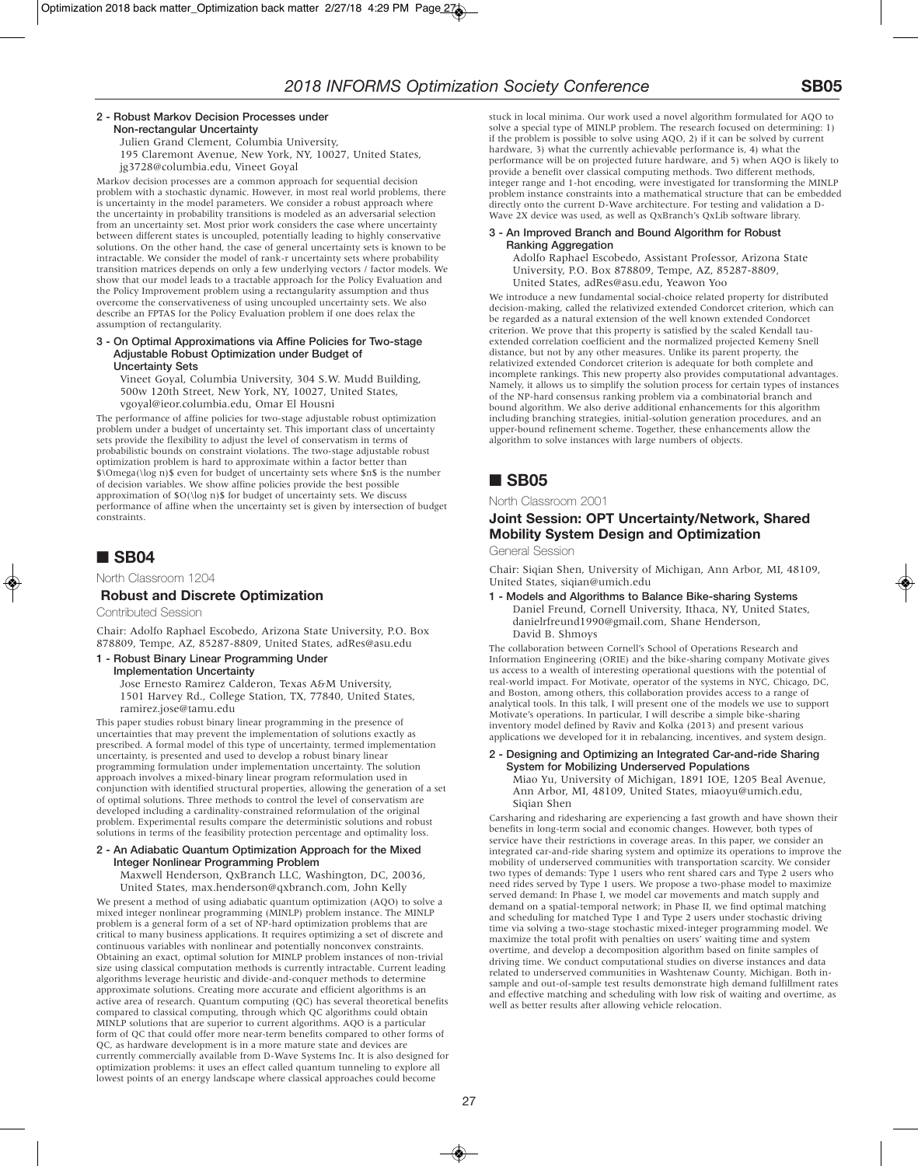### **2 - Robust Markov Decision Processes under Non-rectangular Uncertainty**

Julien Grand Clement, Columbia University, 195 Claremont Avenue, New York, NY, 10027, United States, jg3728@columbia.edu, Vineet Goyal

Markov decision processes are a common approach for sequential decision problem with a stochastic dynamic. However, in most real world problems, there is uncertainty in the model parameters. We consider a robust approach where the uncertainty in probability transitions is modeled as an adversarial selection from an uncertainty set. Most prior work considers the case where uncertainty between different states is uncoupled, potentially leading to highly conservative solutions. On the other hand, the case of general uncertainty sets is known to be intractable. We consider the model of rank-r uncertainty sets where probability transition matrices depends on only a few underlying vectors / factor models. We show that our model leads to a tractable approach for the Policy Evaluation and the Policy Improvement problem using a rectangularity assumption and thus overcome the conservativeness of using uncoupled uncertainty sets. We also describe an FPTAS for the Policy Evaluation problem if one does relax the assumption of rectangularity.

#### **3 - On Optimal Approximations via Affine Policies for Two-stage Adjustable Robust Optimization under Budget of Uncertainty Sets**

Vineet Goyal, Columbia University, 304 S.W. Mudd Building, 500w 120th Street, New York, NY, 10027, United States, vgoyal@ieor.columbia.edu, Omar El Housni

The performance of affine policies for two-stage adjustable robust optimization problem under a budget of uncertainty set. This important class of uncertainty sets provide the flexibility to adjust the level of conservatism in terms of probabilistic bounds on constraint violations. The two-stage adjustable robust optimization problem is hard to approximate within a factor better than \$\Omega(\log n)\$ even for budget of uncertainty sets where \$n\$ is the number of decision variables. We show affine policies provide the best possible approximation of \$O(\log n)\$ for budget of uncertainty sets. We discuss performance of affine when the uncertainty set is given by intersection of budget constraints.

# ■ **SB04**

North Classroom 1204

### **Robust and Discrete Optimization**

Contributed Session

Chair: Adolfo Raphael Escobedo, Arizona State University, P.O. Box 878809, Tempe, AZ, 85287-8809, United States, adRes@asu.edu

### **1 - Robust Binary Linear Programming Under**

**Implementation Uncertainty**

Jose Ernesto Ramirez Calderon, Texas A&M University, 1501 Harvey Rd., College Station, TX, 77840, United States, ramirez.jose@tamu.edu

This paper studies robust binary linear programming in the presence of uncertainties that may prevent the implementation of solutions exactly as prescribed. A formal model of this type of uncertainty, termed implementation uncertainty, is presented and used to develop a robust binary linear programming formulation under implementation uncertainty. The solution approach involves a mixed-binary linear program reformulation used in conjunction with identified structural properties, allowing the generation of a set of optimal solutions. Three methods to control the level of conservatism are developed including a cardinality-constrained reformulation of the original problem. Experimental results compare the deterministic solutions and robust solutions in terms of the feasibility protection percentage and optimality loss.

### **2 - An Adiabatic Quantum Optimization Approach for the Mixed Integer Nonlinear Programming Problem**

Maxwell Henderson, QxBranch LLC, Washington, DC, 20036, United States, max.henderson@qxbranch.com, John Kelly

We present a method of using adiabatic quantum optimization (AQO) to solve a mixed integer nonlinear programming (MINLP) problem instance. The MINLP problem is a general form of a set of NP-hard optimization problems that are critical to many business applications. It requires optimizing a set of discrete and continuous variables with nonlinear and potentially nonconvex constraints. Obtaining an exact, optimal solution for MINLP problem instances of non-trivial size using classical computation methods is currently intractable. Current leading algorithms leverage heuristic and divide-and-conquer methods to determine approximate solutions. Creating more accurate and efficient algorithms is an active area of research. Quantum computing (QC) has several theoretical benefits compared to classical computing, through which QC algorithms could obtain MINLP solutions that are superior to current algorithms. AQO is a particular form of QC that could offer more near-term benefits compared to other forms of QC, as hardware development is in a more mature state and devices are currently commercially available from D-Wave Systems Inc. It is also designed for optimization problems: it uses an effect called quantum tunneling to explore all lowest points of an energy landscape where classical approaches could become

stuck in local minima. Our work used a novel algorithm formulated for AQO to solve a special type of MINLP problem. The research focused on determining: 1) if the problem is possible to solve using AQO, 2) if it can be solved by current hardware, 3) what the currently achievable performance is, 4) what the performance will be on projected future hardware, and 5) when AQO is likely to provide a benefit over classical computing methods. Two different methods, integer range and 1-hot encoding, were investigated for transforming the MINLP problem instance constraints into a mathematical structure that can be embedded directly onto the current D-Wave architecture. For testing and validation a D-Wave 2X device was used, as well as QxBranch's QxLib software library.

### **3 - An Improved Branch and Bound Algorithm for Robust Ranking Aggregation**

Adolfo Raphael Escobedo, Assistant Professor, Arizona State University, P.O. Box 878809, Tempe, AZ, 85287-8809, United States, adRes@asu.edu, Yeawon Yoo

We introduce a new fundamental social-choice related property for distributed decision-making, called the relativized extended Condorcet criterion, which can be regarded as a natural extension of the well known extended Condorcet criterion. We prove that this property is satisfied by the scaled Kendall tauextended correlation coefficient and the normalized projected Kemeny Snell distance, but not by any other measures. Unlike its parent property, the relativized extended Condorcet criterion is adequate for both complete and incomplete rankings. This new property also provides computational advantages. Namely, it allows us to simplify the solution process for certain types of instances of the NP-hard consensus ranking problem via a combinatorial branch and bound algorithm. We also derive additional enhancements for this algorithm including branching strategies, initial-solution generation procedures, and an upper-bound refinement scheme. Together, these enhancements allow the algorithm to solve instances with large numbers of objects.

# ■ **SB05**

### North Classroom 2001

## **Joint Session: OPT Uncertainty/Network, Shared Mobility System Design and Optimization**

General Session

Chair: Siqian Shen, University of Michigan, Ann Arbor, MI, 48109, United States, siqian@umich.edu

**1 - Models and Algorithms to Balance Bike-sharing Systems** Daniel Freund, Cornell University, Ithaca, NY, United States, danielrfreund1990@gmail.com, Shane Henderson, David B. Shmoys

The collaboration between Cornell's School of Operations Research and Information Engineering (ORIE) and the bike-sharing company Motivate gives us access to a wealth of interesting operational questions with the potential of real-world impact. For Motivate, operator of the systems in NYC, Chicago, DC, and Boston, among others, this collaboration provides access to a range of analytical tools. In this talk, I will present one of the models we use to support Motivate's operations. In particular, I will describe a simple bike-sharing inventory model defined by Raviv and Kolka (2013) and present various applications we developed for it in rebalancing, incentives, and system design.

#### **2 - Designing and Optimizing an Integrated Car-and-ride Sharing System for Mobilizing Underserved Populations**

Miao Yu, University of Michigan, 1891 IOE, 1205 Beal Avenue, Ann Arbor, MI, 48109, United States, miaoyu@umich.edu, Siqian Shen

Carsharing and ridesharing are experiencing a fast growth and have shown their benefits in long-term social and economic changes. However, both types of service have their restrictions in coverage areas. In this paper, we consider an integrated car-and-ride sharing system and optimize its operations to improve the mobility of underserved communities with transportation scarcity. We consider two types of demands: Type 1 users who rent shared cars and Type 2 users who need rides served by Type 1 users. We propose a two-phase model to maximize served demand: In Phase I, we model car movements and match supply and demand on a spatial-temporal network; in Phase II, we find optimal matching and scheduling for matched Type 1 and Type 2 users under stochastic driving time via solving a two-stage stochastic mixed-integer programming model. We maximize the total profit with penalties on users' waiting time and system overtime, and develop a decomposition algorithm based on finite samples of driving time. We conduct computational studies on diverse instances and data related to underserved communities in Washtenaw County, Michigan. Both insample and out-of-sample test results demonstrate high demand fulfillment rates and effective matching and scheduling with low risk of waiting and overtime, as well as better results after allowing vehicle relocation.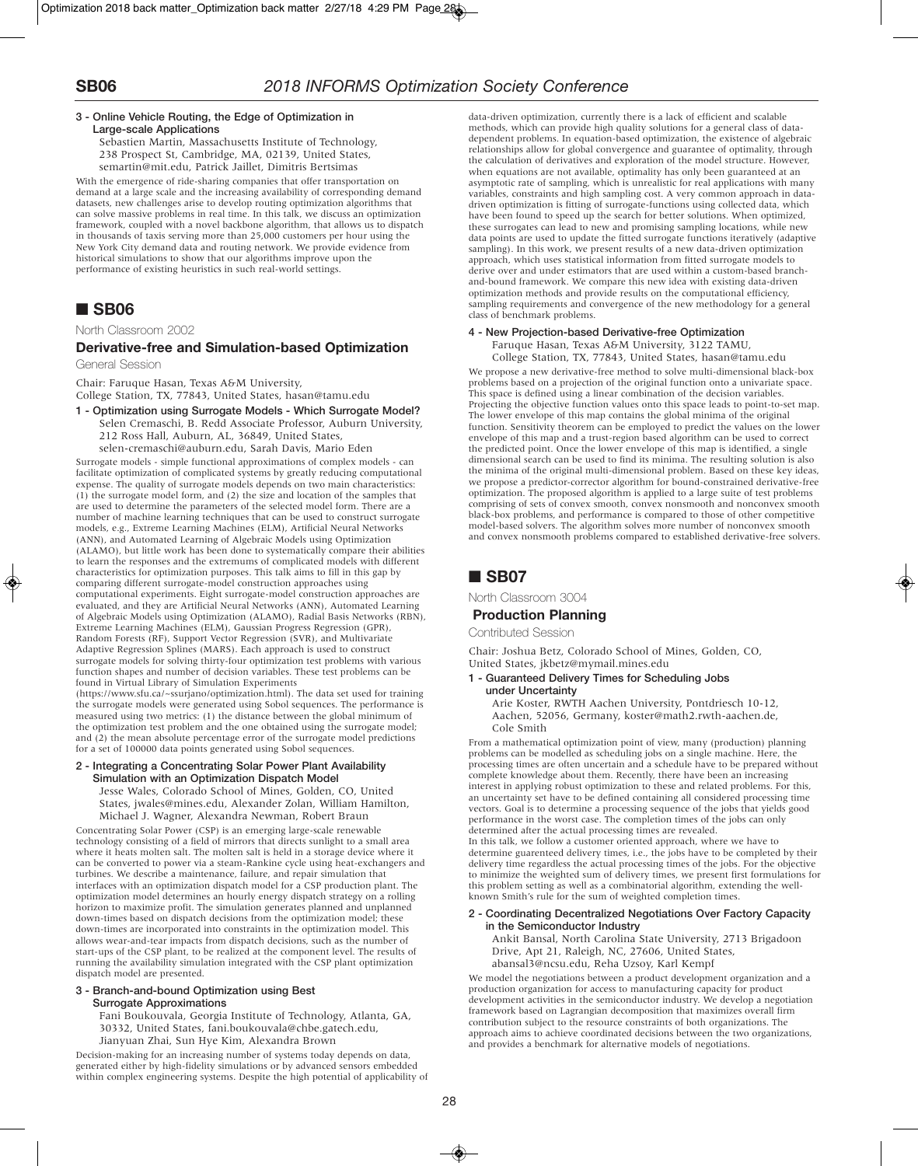### **3 - Online Vehicle Routing, the Edge of Optimization in Large-scale Applications**

Sebastien Martin, Massachusetts Institute of Technology, 238 Prospect St, Cambridge, MA, 02139, United States, semartin@mit.edu, Patrick Jaillet, Dimitris Bertsimas

With the emergence of ride-sharing companies that offer transportation on demand at a large scale and the increasing availability of corresponding demand datasets, new challenges arise to develop routing optimization algorithms that can solve massive problems in real time. In this talk, we discuss an optimization framework, coupled with a novel backbone algorithm, that allows us to dispatch in thousands of taxis serving more than 25,000 customers per hour using the New York City demand data and routing network. We provide evidence from historical simulations to show that our algorithms improve upon the performance of existing heuristics in such real-world settings.

# ■ **SB06**

North Classroom 2002

### **Derivative-free and Simulation-based Optimization**

General Session

Chair: Faruque Hasan, Texas A&M University, College Station, TX, 77843, United States, hasan@tamu.edu

**1 - Optimization using Surrogate Models - Which Surrogate Model?** Selen Cremaschi, B. Redd Associate Professor, Auburn University, 212 Ross Hall, Auburn, AL, 36849, United States, selen-cremaschi@auburn.edu, Sarah Davis, Mario Eden

Surrogate models - simple functional approximations of complex models - can facilitate optimization of complicated systems by greatly reducing computational expense. The quality of surrogate models depends on two main characteristics: (1) the surrogate model form, and (2) the size and location of the samples that are used to determine the parameters of the selected model form. There are a number of machine learning techniques that can be used to construct surrogate models, e.g., Extreme Learning Machines (ELM), Artificial Neural Networks (ANN), and Automated Learning of Algebraic Models using Optimization (ALAMO), but little work has been done to systematically compare their abilities to learn the responses and the extremums of complicated models with different characteristics for optimization purposes. This talk aims to fill in this gap by comparing different surrogate-model construction approaches using computational experiments. Eight surrogate-model construction approaches are evaluated, and they are Artificial Neural Networks (ANN), Automated Learning of Algebraic Models using Optimization (ALAMO), Radial Basis Networks (RBN), Extreme Learning Machines (ELM), Gaussian Progress Regression (GPR), Random Forests (RF), Support Vector Regression (SVR), and Multivariate Adaptive Regression Splines (MARS). Each approach is used to construct surrogate models for solving thirty-four optimization test problems with various function shapes and number of decision variables. These test problems can be found in Virtual Library of Simulation Experiments

(https://www.sfu.ca/~ssurjano/optimization.html). The data set used for training the surrogate models were generated using Sobol sequences. The performance is measured using two metrics: (1) the distance between the global minimum of the optimization test problem and the one obtained using the surrogate model; and (2) the mean absolute percentage error of the surrogate model predictions for a set of 100000 data points generated using Sobol sequences.

### **2 - Integrating a Concentrating Solar Power Plant Availability Simulation with an Optimization Dispatch Model**

Jesse Wales, Colorado School of Mines, Golden, CO, United States, jwales@mines.edu, Alexander Zolan, William Hamilton, Michael J. Wagner, Alexandra Newman, Robert Braun

Concentrating Solar Power (CSP) is an emerging large-scale renewable technology consisting of a field of mirrors that directs sunlight to a small area where it heats molten salt. The molten salt is held in a storage device where it can be converted to power via a steam-Rankine cycle using heat-exchangers and turbines. We describe a maintenance, failure, and repair simulation that interfaces with an optimization dispatch model for a CSP production plant. The optimization model determines an hourly energy dispatch strategy on a rolling horizon to maximize profit. The simulation generates planned and unplanned down-times based on dispatch decisions from the optimization model; these down-times are incorporated into constraints in the optimization model. This allows wear-and-tear impacts from dispatch decisions, such as the number of start-ups of the CSP plant, to be realized at the component level. The results of running the availability simulation integrated with the CSP plant optimization dispatch model are presented.

#### **3 - Branch-and-bound Optimization using Best Surrogate Approximations**

Fani Boukouvala, Georgia Institute of Technology, Atlanta, GA, 30332, United States, fani.boukouvala@chbe.gatech.edu, Jianyuan Zhai, Sun Hye Kim, Alexandra Brown

Decision-making for an increasing number of systems today depends on data, generated either by high-fidelity simulations or by advanced sensors embedded within complex engineering systems. Despite the high potential of applicability of data-driven optimization, currently there is a lack of efficient and scalable methods, which can provide high quality solutions for a general class of datadependent problems. In equation-based optimization, the existence of algebraic relationships allow for global convergence and guarantee of optimality, through the calculation of derivatives and exploration of the model structure. However, when equations are not available, optimality has only been guaranteed at an asymptotic rate of sampling, which is unrealistic for real applications with many variables, constraints and high sampling cost. A very common approach in datadriven optimization is fitting of surrogate-functions using collected data, which have been found to speed up the search for better solutions. When optimized, these surrogates can lead to new and promising sampling locations, while new data points are used to update the fitted surrogate functions iteratively (adaptive sampling). In this work, we present results of a new data-driven optimization approach, which uses statistical information from fitted surrogate models to derive over and under estimators that are used within a custom-based branchand-bound framework. We compare this new idea with existing data-driven optimization methods and provide results on the computational efficiency, sampling requirements and convergence of the new methodology for a general class of benchmark problems.

### **4 - New Projection-based Derivative-free Optimization**

Faruque Hasan, Texas A&M University, 3122 TAMU,

College Station, TX, 77843, United States, hasan@tamu.edu

We propose a new derivative-free method to solve multi-dimensional black-box problems based on a projection of the original function onto a univariate space. This space is defined using a linear combination of the decision variables. Projecting the objective function values onto this space leads to point-to-set map. The lower envelope of this map contains the global minima of the original function. Sensitivity theorem can be employed to predict the values on the lower envelope of this map and a trust-region based algorithm can be used to correct the predicted point. Once the lower envelope of this map is identified, a single dimensional search can be used to find its minima. The resulting solution is also the minima of the original multi-dimensional problem. Based on these key ideas, we propose a predictor-corrector algorithm for bound-constrained derivative-free optimization. The proposed algorithm is applied to a large suite of test problems comprising of sets of convex smooth, convex nonsmooth and nonconvex smooth black-box problems, and performance is compared to those of other competitive model-based solvers. The algorithm solves more number of nonconvex smooth and convex nonsmooth problems compared to established derivative-free solvers.

# ■ **SB07**

North Classroom 3004

### **Production Planning**

Contributed Session

Chair: Joshua Betz, Colorado School of Mines, Golden, CO, United States, jkbetz@mymail.mines.edu

#### **1 - Guaranteed Delivery Times for Scheduling Jobs under Uncertainty**

Arie Koster, RWTH Aachen University, Pontdriesch 10-12, Aachen, 52056, Germany, koster@math2.rwth-aachen.de, Cole Smith

From a mathematical optimization point of view, many (production) planning problems can be modelled as scheduling jobs on a single machine. Here, the processing times are often uncertain and a schedule have to be prepared without complete knowledge about them. Recently, there have been an increasing interest in applying robust optimization to these and related problems. For this, an uncertainty set have to be defined containing all considered processing time vectors. Goal is to determine a processing sequence of the jobs that yields good performance in the worst case. The completion times of the jobs can only determined after the actual processing times are revealed. In this talk, we follow a customer oriented approach, where we have to determine guarenteed delivery times, i.e., the jobs have to be completed by their delivery time regardless the actual processing times of the jobs. For the objective to minimize the weighted sum of delivery times, we present first formulations for this problem setting as well as a combinatorial algorithm, extending the well-

### **2 - Coordinating Decentralized Negotiations Over Factory Capacity in the Semiconductor Industry**

known Smith's rule for the sum of weighted completion times.

Ankit Bansal, North Carolina State University, 2713 Brigadoon Drive, Apt 21, Raleigh, NC, 27606, United States, abansal3@ncsu.edu, Reha Uzsoy, Karl Kempf

We model the negotiations between a product development organization and a production organization for access to manufacturing capacity for product development activities in the semiconductor industry. We develop a negotiation framework based on Lagrangian decomposition that maximizes overall firm contribution subject to the resource constraints of both organizations. The approach aims to achieve coordinated decisions between the two organizations, and provides a benchmark for alternative models of negotiations.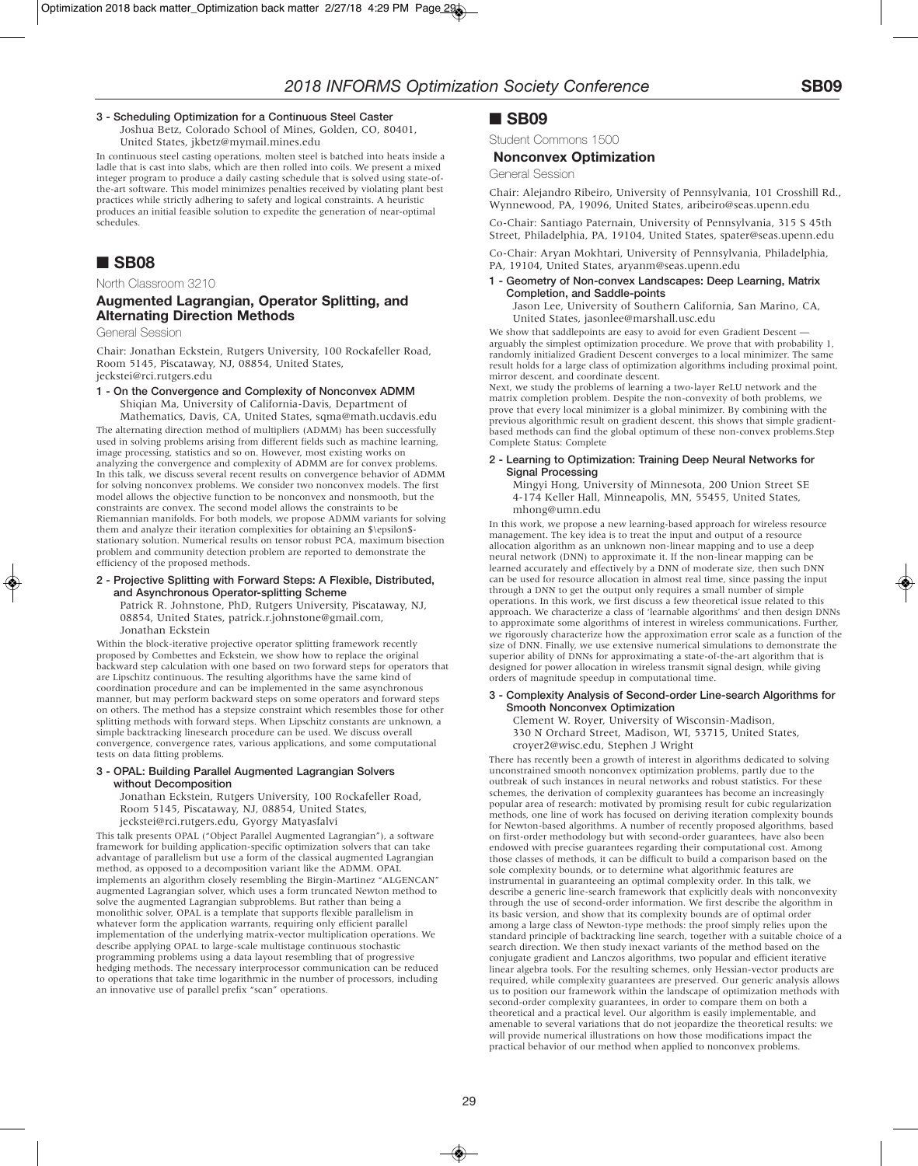### **3 - Scheduling Optimization for a Continuous Steel Caster**

Joshua Betz, Colorado School of Mines, Golden, CO, 80401, United States, jkbetz@mymail.mines.edu

In continuous steel casting operations, molten steel is batched into heats inside a ladle that is cast into slabs, which are then rolled into coils. We present a mixed integer program to produce a daily casting schedule that is solved using state-ofthe-art software. This model minimizes penalties received by violating plant best practices while strictly adhering to safety and logical constraints. A heuristic produces an initial feasible solution to expedite the generation of near-optimal schedules.

## ■ **SB08**

North Classroom 3210

### **Augmented Lagrangian, Operator Splitting, and Alternating Direction Methods**

General Session

Chair: Jonathan Eckstein, Rutgers University, 100 Rockafeller Road, Room 5145, Piscataway, NJ, 08854, United States, jeckstei@rci.rutgers.edu

**1 - On the Convergence and Complexity of Nonconvex ADMM** Shiqian Ma, University of California-Davis, Department of Mathematics, Davis, CA, United States, sqma@math.ucdavis.edu

The alternating direction method of multipliers (ADMM) has been successfully used in solving problems arising from different fields such as machine learning, image processing, statistics and so on. However, most existing works on analyzing the convergence and complexity of ADMM are for convex problems. In this talk, we discuss several recent results on convergence behavior of ADMM for solving nonconvex problems. We consider two nonconvex models. The first model allows the objective function to be nonconvex and nonsmooth, but the constraints are convex. The second model allows the constraints to be Riemannian manifolds. For both models, we propose ADMM variants for solving them and analyze their iteration complexities for obtaining an \$\epsilon\$ stationary solution. Numerical results on tensor robust PCA, maximum bisection problem and community detection problem are reported to demonstrate the efficiency of the proposed methods.

**2 - Projective Splitting with Forward Steps: A Flexible, Distributed, and Asynchronous Operator-splitting Scheme** Patrick R. Johnstone, PhD, Rutgers University, Piscataway, NJ,

08854, United States, patrick.r.johnstone@gmail.com, Jonathan Eckstein

Within the block-iterative projective operator splitting framework recently proposed by Combettes and Eckstein, we show how to replace the original backward step calculation with one based on two forward steps for operators that are Lipschitz continuous. The resulting algorithms have the same kind of coordination procedure and can be implemented in the same asynchronous manner, but may perform backward steps on some operators and forward steps on others. The method has a stepsize constraint which resembles those for other splitting methods with forward steps. When Lipschitz constants are unknown, a simple backtracking linesearch procedure can be used. We discuss overall convergence, convergence rates, various applications, and some computational tests on data fitting problems.

#### **3 - OPAL: Building Parallel Augmented Lagrangian Solvers without Decomposition**

Jonathan Eckstein, Rutgers University, 100 Rockafeller Road, Room 5145, Piscataway, NJ, 08854, United States,

jeckstei@rci.rutgers.edu, Gyorgy Matyasfalvi

This talk presents OPAL ("Object Parallel Augmented Lagrangian"), a software framework for building application-specific optimization solvers that can take advantage of parallelism but use a form of the classical augmented Lagrangian method, as opposed to a decomposition variant like the ADMM. OPAL implements an algorithm closely resembling the Birgin-Martinez "ALGENCAN" augmented Lagrangian solver, which uses a form truncated Newton method to solve the augmented Lagrangian subproblems. But rather than being a monolithic solver, OPAL is a template that supports flexible parallelism in whatever form the application warrants, requiring only efficient parallel implementation of the underlying matrix-vector multiplication operations. We describe applying OPAL to large-scale multistage continuous stochastic programming problems using a data layout resembling that of progressive hedging methods. The necessary interprocessor communication can be reduced to operations that take time logarithmic in the number of processors, including an innovative use of parallel prefix "scan" operations.

### ■ **SB09**

Student Commons 1500

### **Nonconvex Optimization**

General Session

Chair: Alejandro Ribeiro, University of Pennsylvania, 101 Crosshill Rd., Wynnewood, PA, 19096, United States, aribeiro@seas.upenn.edu

Co-Chair: Santiago Paternain, University of Pennsylvania, 315 S 45th Street, Philadelphia, PA, 19104, United States, spater@seas.upenn.edu

Co-Chair: Aryan Mokhtari, University of Pennsylvania, Philadelphia, PA, 19104, United States, aryanm@seas.upenn.edu

### **1 - Geometry of Non-convex Landscapes: Deep Learning, Matrix Completion, and Saddle-points**

Jason Lee, University of Southern California, San Marino, CA, United States, jasonlee@marshall.usc.edu

We show that saddlepoints are easy to avoid for even Gradient Descent arguably the simplest optimization procedure. We prove that with probability 1, randomly initialized Gradient Descent converges to a local minimizer. The same result holds for a large class of optimization algorithms including proximal point, mirror descent, and coordinate descent.

Next, we study the problems of learning a two-layer ReLU network and the matrix completion problem. Despite the non-convexity of both problems, we prove that every local minimizer is a global minimizer. By combining with the previous algorithmic result on gradient descent, this shows that simple gradientbased methods can find the global optimum of these non-convex problems.Step Complete Status: Complete

### **2 - Learning to Optimization: Training Deep Neural Networks for Signal Processing**

Mingyi Hong, University of Minnesota, 200 Union Street SE 4-174 Keller Hall, Minneapolis, MN, 55455, United States, mhong@umn.edu

In this work, we propose a new learning-based approach for wireless resource management. The key idea is to treat the input and output of a resource allocation algorithm as an unknown non-linear mapping and to use a deep neural network (DNN) to approximate it. If the non-linear mapping can be learned accurately and effectively by a DNN of moderate size, then such DNN can be used for resource allocation in almost real time, since passing the input through a DNN to get the output only requires a small number of simple operations. In this work, we first discuss a few theoretical issue related to this approach. We characterize a class of 'learnable algorithms' and then design DNNs to approximate some algorithms of interest in wireless communications. Further, we rigorously characterize how the approximation error scale as a function of the size of DNN. Finally, we use extensive numerical simulations to demonstrate the superior ability of DNNs for approximating a state-of-the-art algorithm that is designed for power allocation in wireless transmit signal design, while giving orders of magnitude speedup in computational time.

### **3 - Complexity Analysis of Second-order Line-search Algorithms for Smooth Nonconvex Optimization**

Clement W. Royer, University of Wisconsin-Madison, 330 N Orchard Street, Madison, WI, 53715, United States, croyer2@wisc.edu, Stephen J Wright

There has recently been a growth of interest in algorithms dedicated to solving unconstrained smooth nonconvex optimization problems, partly due to the outbreak of such instances in neural networks and robust statistics. For these schemes, the derivation of complexity guarantees has become an increasingly popular area of research: motivated by promising result for cubic regularization methods, one line of work has focused on deriving iteration complexity bounds for Newton-based algorithms. A number of recently proposed algorithms, based on first-order methodology but with second-order guarantees, have also been endowed with precise guarantees regarding their computational cost. Among those classes of methods, it can be difficult to build a comparison based on the sole complexity bounds, or to determine what algorithmic features are instrumental in guaranteeing an optimal complexity order. In this talk, we describe a generic line-search framework that explicitly deals with nonconvexity through the use of second-order information. We first describe the algorithm in its basic version, and show that its complexity bounds are of optimal order among a large class of Newton-type methods: the proof simply relies upon the standard principle of backtracking line search, together with a suitable choice of a search direction. We then study inexact variants of the method based on the conjugate gradient and Lanczos algorithms, two popular and efficient iterative linear algebra tools. For the resulting schemes, only Hessian-vector products are required, while complexity guarantees are preserved. Our generic analysis allows us to position our framework within the landscape of optimization methods with second-order complexity guarantees, in order to compare them on both a theoretical and a practical level. Our algorithm is easily implementable, and amenable to several variations that do not jeopardize the theoretical results: we will provide numerical illustrations on how those modifications impact the practical behavior of our method when applied to nonconvex problems.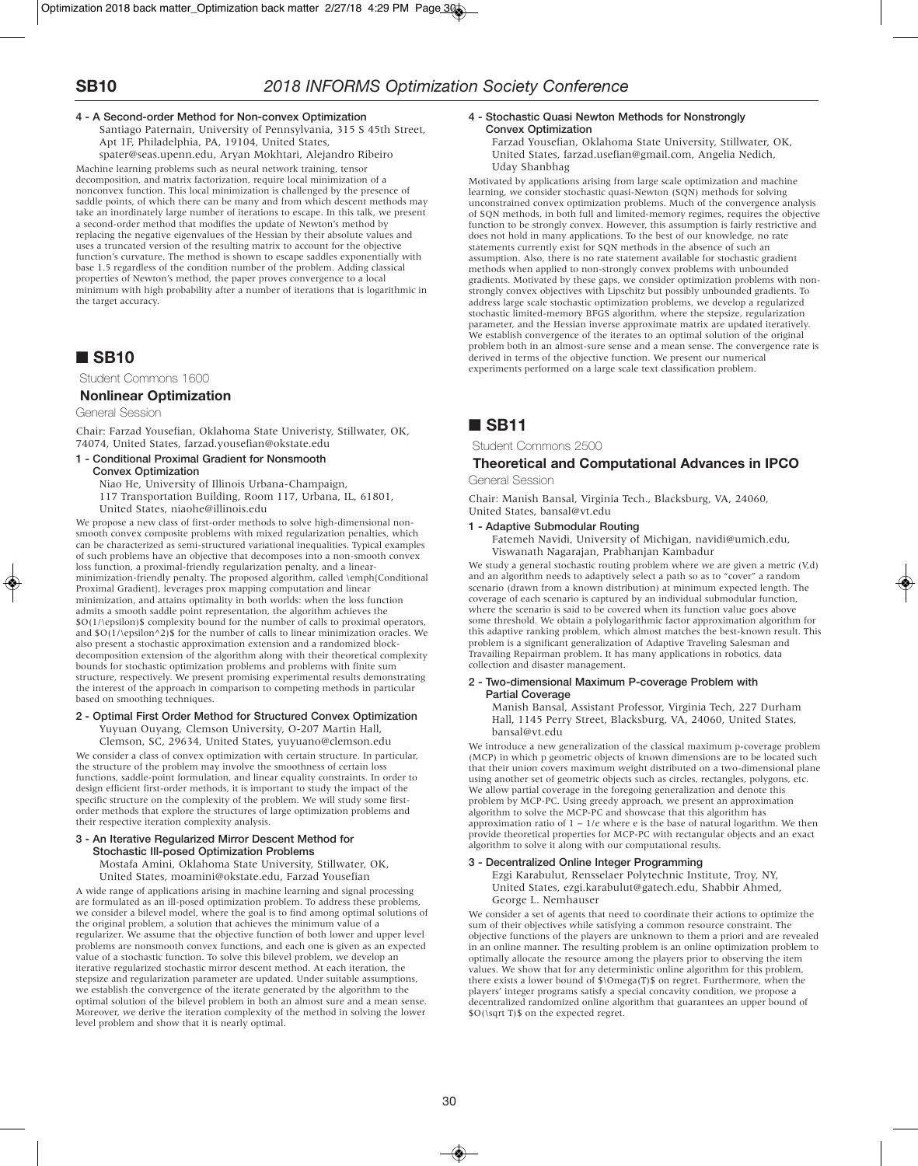### **4 - A Second-order Method for Non-convex Optimization**

Santiago Paternain, University of Pennsylvania, 315 S 45th Street, Apt 1F, Philadelphia, PA, 19104, United States, spater@seas.upenn.edu, Aryan Mokhtari, Alejandro Ribeiro

Machine learning problems such as neural network training, tensor decomposition, and matrix factorization, require local minimization of a nonconvex function. This local minimization is challenged by the presence of saddle points, of which there can be many and from which descent methods may take an inordinately large number of iterations to escape. In this talk, we present a second-order method that modifies the update of Newton's method by replacing the negative eigenvalues of the Hessian by their absolute values and uses a truncated version of the resulting matrix to account for the objective function's curvature. The method is shown to escape saddles exponentially with base 1.5 regardless of the condition number of the problem. Adding classical properties of Newton's method, the paper proves convergence to a local minimum with high probability after a number of iterations that is logarithmic in the target accuracy.

# ■ **SB10**

Student Commons 1600

### **Nonlinear Optimization**

General Session

Chair: Farzad Yousefian, Oklahoma State Univeristy, Stillwater, OK, 74074, United States, farzad.yousefian@okstate.edu

### **1 - Conditional Proximal Gradient for Nonsmooth**

**Convex Optimization**

Niao He, University of Illinois Urbana-Champaign,

117 Transportation Building, Room 117, Urbana, IL, 61801,

United States, niaohe@illinois.edu

We propose a new class of first-order methods to solve high-dimensional nonsmooth convex composite problems with mixed regularization penalties, which can be characterized as semi-structured variational inequalities. Typical examples of such problems have an objective that decomposes into a non-smooth convex loss function, a proximal-friendly regularization penalty, and a linearminimization-friendly penalty. The proposed algorithm, called \emph{Conditional Proximal Gradient}, leverages prox mapping computation and linear minimization, and attains optimality in both worlds: when the loss function admits a smooth saddle point representation, the algorithm achieves the \$O(1/\epsilon)\$ complexity bound for the number of calls to proximal operators, and  $O(1/\epsilon)$  for the number of calls to linear minimization oracles. We also present a stochastic approximation extension and a randomized blockdecomposition extension of the algorithm along with their theoretical complexity bounds for stochastic optimization problems and problems with finite sum structure, respectively. We present promising experimental results demonstrating the interest of the approach in comparison to competing methods in particular based on smoothing techniques.

#### **2 - Optimal First Order Method for Structured Convex Optimization** Yuyuan Ouyang, Clemson University, O-207 Martin Hall,

Clemson, SC, 29634, United States, yuyuano@clemson.edu

We consider a class of convex optimization with certain structure. In particular, the structure of the problem may involve the smoothness of certain loss functions, saddle-point formulation, and linear equality constraints. In order to design efficient first-order methods, it is important to study the impact of the specific structure on the complexity of the problem. We will study some firstorder methods that explore the structures of large optimization problems and their respective iteration complexity analysis.

### **3 - An Iterative Regularized Mirror Descent Method for Stochastic Ill-posed Optimization Problems**

Mostafa Amini, Oklahoma State University, Stillwater, OK, United States, moamini@okstate.edu, Farzad Yousefian

A wide range of applications arising in machine learning and signal processing are formulated as an ill-posed optimization problem. To address these problems, we consider a bilevel model, where the goal is to find among optimal solutions of the original problem, a solution that achieves the minimum value of a regularizer. We assume that the objective function of both lower and upper level problems are nonsmooth convex functions, and each one is given as an expected value of a stochastic function. To solve this bilevel problem, we develop an iterative regularized stochastic mirror descent method. At each iteration, the stepsize and regularization parameter are updated. Under suitable assumptions, we establish the convergence of the iterate generated by the algorithm to the optimal solution of the bilevel problem in both an almost sure and a mean sense. Moreover, we derive the iteration complexity of the method in solving the lower level problem and show that it is nearly optimal.

### **4 - Stochastic Quasi Newton Methods for Nonstrongly Convex Optimization**

Farzad Yousefian, Oklahoma State University, Stillwater, OK, United States, farzad.usefian@gmail.com, Angelia Nedich, Uday Shanbhag

Motivated by applications arising from large scale optimization and machine learning, we consider stochastic quasi-Newton (SQN) methods for solving unconstrained convex optimization problems. Much of the convergence analysis of SQN methods, in both full and limited-memory regimes, requires the objective function to be strongly convex. However, this assumption is fairly restrictive and does not hold in many applications. To the best of our knowledge, no rate statements currently exist for SQN methods in the absence of such an assumption. Also, there is no rate statement available for stochastic gradient methods when applied to non-strongly convex problems with unbounded gradients. Motivated by these gaps, we consider optimization problems with nonstrongly convex objectives with Lipschitz but possibly unbounded gradients. To address large scale stochastic optimization problems, we develop a regularized stochastic limited-memory BFGS algorithm, where the stepsize, regularization parameter, and the Hessian inverse approximate matrix are updated iteratively. We establish convergence of the iterates to an optimal solution of the original problem both in an almost-sure sense and a mean sense. The convergence rate is derived in terms of the objective function. We present our numerical experiments performed on a large scale text classification problem.

# ■ **SB11**

Student Commons 2500

### **Theoretical and Computational Advances in IPCO**

General Session

Chair: Manish Bansal, Virginia Tech., Blacksburg, VA, 24060, United States, bansal@vt.edu

### **1 - Adaptive Submodular Routing**

Fatemeh Navidi, University of Michigan, navidi@umich.edu, Viswanath Nagarajan, Prabhanjan Kambadur

We study a general stochastic routing problem where we are given a metric (V,d) and an algorithm needs to adaptively select a path so as to "cover" a random scenario (drawn from a known distribution) at minimum expected length. The coverage of each scenario is captured by an individual submodular function, where the scenario is said to be covered when its function value goes above some threshold. We obtain a polylogarithmic factor approximation algorithm for this adaptive ranking problem, which almost matches the best-known result. This problem is a significant generalization of Adaptive Traveling Salesman and Travailing Repairman problem. It has many applications in robotics, data collection and disaster management.

### **2 - Two-dimensional Maximum P-coverage Problem with Partial Coverage**

Manish Bansal, Assistant Professor, Virginia Tech, 227 Durham Hall, 1145 Perry Street, Blacksburg, VA, 24060, United States, bansal@vt.edu

We introduce a new generalization of the classical maximum p-coverage problem (MCP) in which p geometric objects of known dimensions are to be located such that their union covers maximum weight distributed on a two-dimensional plane using another set of geometric objects such as circles, rectangles, polygons, etc. We allow partial coverage in the foregoing generalization and denote this problem by MCP-PC. Using greedy approach, we present an approximation algorithm to solve the MCP-PC and showcase that this algorithm has approximation ratio of 1 − 1/e where e is the base of natural logarithm. We then provide theoretical properties for MCP-PC with rectangular objects and an exact algorithm to solve it along with our computational results.

### **3 - Decentralized Online Integer Programming**

Ezgi Karabulut, Rensselaer Polytechnic Institute, Troy, NY, United States, ezgi.karabulut@gatech.edu, Shabbir Ahmed, George L. Nemhauser

We consider a set of agents that need to coordinate their actions to optimize the sum of their objectives while satisfying a common resource constraint. The objective functions of the players are unknown to them a priori and are revealed in an online manner. The resulting problem is an online optimization problem to optimally allocate the resource among the players prior to observing the item values. We show that for any deterministic online algorithm for this problem, there exists a lower bound of \$\Omega(T)\$ on regret. Furthermore, when the players' integer programs satisfy a special concavity condition, we propose a decentralized randomized online algorithm that guarantees an upper bound of \$O(\sqrt T)\$ on the expected regret.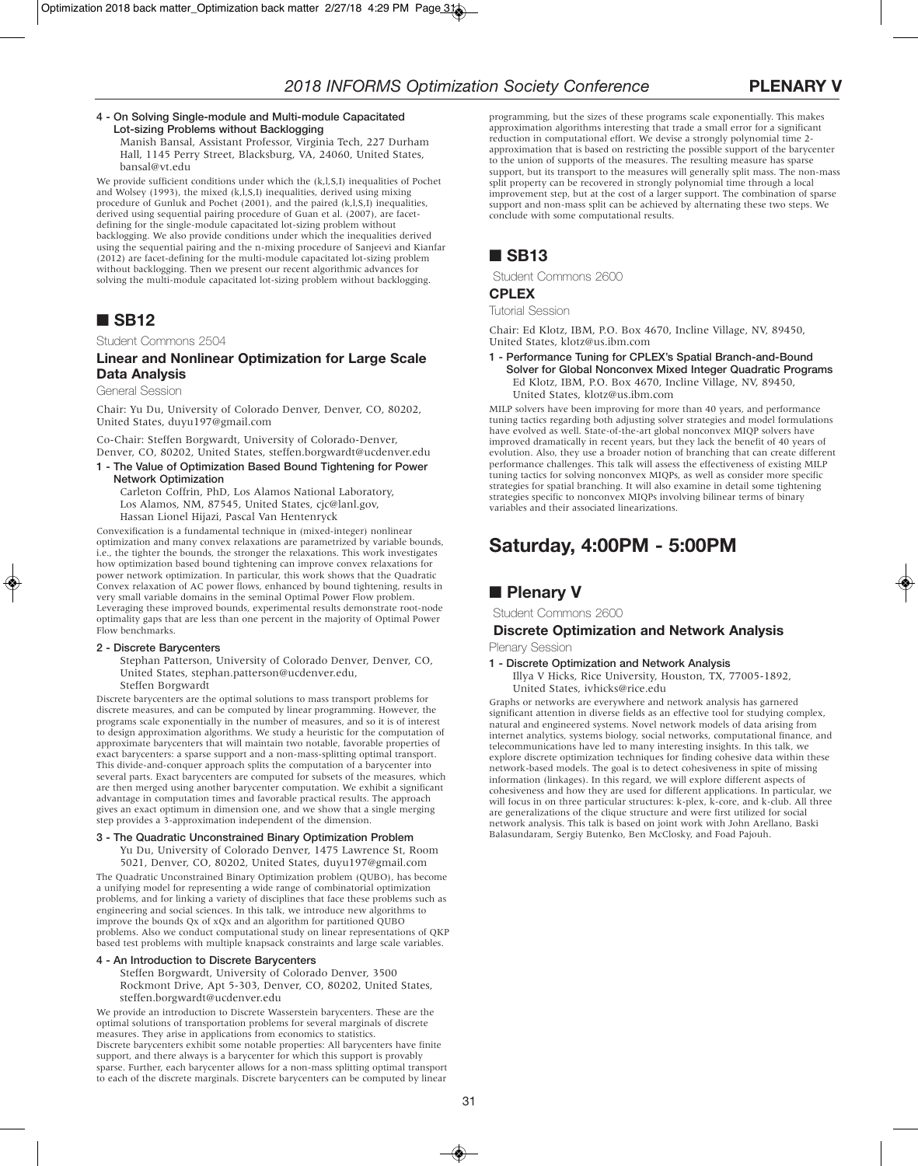### **4 - On Solving Single-module and Multi-module Capacitated Lot-sizing Problems without Backlogging**

Manish Bansal, Assistant Professor, Virginia Tech, 227 Durham Hall, 1145 Perry Street, Blacksburg, VA, 24060, United States, bansal@vt.edu

We provide sufficient conditions under which the (k,l,S,I) inequalities of Pochet and Wolsey (1993), the mixed (k,l,S,I) inequalities, derived using mixing procedure of Gunluk and Pochet (2001), and the paired (k,l,S,I) inequalities, derived using sequential pairing procedure of Guan et al. (2007), are facetdefining for the single-module capacitated lot-sizing problem without backlogging. We also provide conditions under which the inequalities derived using the sequential pairing and the n-mixing procedure of Sanjeevi and Kianfar (2012) are facet-defining for the multi-module capacitated lot-sizing problem without backlogging. Then we present our recent algorithmic advances for solving the multi-module capacitated lot-sizing problem without backlogging.

# ■ **SB12**

Student Commons 2504

### **Linear and Nonlinear Optimization for Large Scale Data Analysis**

General Session

Chair: Yu Du, University of Colorado Denver, Denver, CO, 80202, United States, duyu197@gmail.com

Co-Chair: Steffen Borgwardt, University of Colorado-Denver, Denver, CO, 80202, United States, steffen.borgwardt@ucdenver.edu

**1 - The Value of Optimization Based Bound Tightening for Power Network Optimization**

Carleton Coffrin, PhD, Los Alamos National Laboratory, Los Alamos, NM, 87545, United States, cjc@lanl.gov, Hassan Lionel Hijazi, Pascal Van Hentenryck

Convexification is a fundamental technique in (mixed-integer) nonlinear optimization and many convex relaxations are parametrized by variable bounds, i.e., the tighter the bounds, the stronger the relaxations. This work investigates how optimization based bound tightening can improve convex relaxations for power network optimization. In particular, this work shows that the Quadratic Convex relaxation of AC power flows, enhanced by bound tightening, results in very small variable domains in the seminal Optimal Power Flow problem. Leveraging these improved bounds, experimental results demonstrate root-node optimality gaps that are less than one percent in the majority of Optimal Power Flow benchmarks.

### **2 - Discrete Barycenters**

Stephan Patterson, University of Colorado Denver, Denver, CO, United States, stephan.patterson@ucdenver.edu, Steffen Borgwardt

Discrete barycenters are the optimal solutions to mass transport problems for discrete measures, and can be computed by linear programming. However, the programs scale exponentially in the number of measures, and so it is of interest to design approximation algorithms. We study a heuristic for the computation of approximate barycenters that will maintain two notable, favorable properties of exact barycenters: a sparse support and a non-mass-splitting optimal transport. This divide-and-conquer approach splits the computation of a barycenter into several parts. Exact barycenters are computed for subsets of the measures, which are then merged using another barycenter computation. We exhibit a significant advantage in computation times and favorable practical results. The approach gives an exact optimum in dimension one, and we show that a single merging step provides a 3-approximation independent of the dimension.

### **3 - The Quadratic Unconstrained Binary Optimization Problem**

Yu Du, University of Colorado Denver, 1475 Lawrence St, Room 5021, Denver, CO, 80202, United States, duyu197@gmail.com

The Quadratic Unconstrained Binary Optimization problem (QUBO), has become a unifying model for representing a wide range of combinatorial optimization problems, and for linking a variety of disciplines that face these problems such as engineering and social sciences. In this talk, we introduce new algorithms to improve the bounds Qx of xQx and an algorithm for partitioned QUBO problems. Also we conduct computational study on linear representations of QKP based test problems with multiple knapsack constraints and large scale variables.

### **4 - An Introduction to Discrete Barycenters**

Steffen Borgwardt, University of Colorado Denver, 3500 Rockmont Drive, Apt 5-303, Denver, CO, 80202, United States, steffen.borgwardt@ucdenver.edu

We provide an introduction to Discrete Wasserstein barycenters. These are the optimal solutions of transportation problems for several marginals of discrete measures. They arise in applications from economics to statistics. Discrete barycenters exhibit some notable properties: All barycenters have finite support, and there always is a barycenter for which this support is provably sparse. Further, each barycenter allows for a non-mass splitting optimal transport to each of the discrete marginals. Discrete barycenters can be computed by linear programming, but the sizes of these programs scale exponentially. This makes approximation algorithms interesting that trade a small error for a significant reduction in computational effort. We devise a strongly polynomial time 2 approximation that is based on restricting the possible support of the barycenter to the union of supports of the measures. The resulting measure has sparse support, but its transport to the measures will generally split mass. The non-mass split property can be recovered in strongly polynomial time through a local improvement step, but at the cost of a larger support. The combination of sparse support and non-mass split can be achieved by alternating these two steps. We conclude with some computational results.

# ■ **SB13**

Student Commons 2600

### **CPLEX**

Tutorial Session

Chair: Ed Klotz, IBM, P.O. Box 4670, Incline Village, NV, 89450, United States, klotz@us.ibm.com

**1 - Performance Tuning for CPLEX's Spatial Branch-and-Bound Solver for Global Nonconvex Mixed Integer Quadratic Programs** Ed Klotz, IBM, P.O. Box 4670, Incline Village, NV, 89450, United States, klotz@us.ibm.com

MILP solvers have been improving for more than 40 years, and performance tuning tactics regarding both adjusting solver strategies and model formulations have evolved as well. State-of-the-art global nonconvex MIQP solvers have improved dramatically in recent years, but they lack the benefit of 40 years of evolution. Also, they use a broader notion of branching that can create different performance challenges. This talk will assess the effectiveness of existing MILP tuning tactics for solving nonconvex MIQPs, as well as consider more specific strategies for spatial branching. It will also examine in detail some tightening strategies specific to nonconvex MIQPs involving bilinear terms of binary variables and their associated linearizations.

# **Saturday, 4:00PM - 5:00PM**

# ■ **Plenary V**

Student Commons 2600

## **Discrete Optimization and Network Analysis**

Plenary Session

**1 - Discrete Optimization and Network Analysis** Illya V Hicks, Rice University, Houston, TX, 77005-1892, United States, ivhicks@rice.edu

Graphs or networks are everywhere and network analysis has garnered significant attention in diverse fields as an effective tool for studying complex, natural and engineered systems. Novel network models of data arising from internet analytics, systems biology, social networks, computational finance, and telecommunications have led to many interesting insights. In this talk, we explore discrete optimization techniques for finding cohesive data within these network-based models. The goal is to detect cohesiveness in spite of missing information (linkages). In this regard, we will explore different aspects of cohesiveness and how they are used for different applications. In particular, we will focus in on three particular structures: k-plex, k-core, and k-club. All three are generalizations of the clique structure and were first utilized for social network analysis. This talk is based on joint work with John Arellano, Baski Balasundaram, Sergiy Butenko, Ben McClosky, and Foad Pajouh.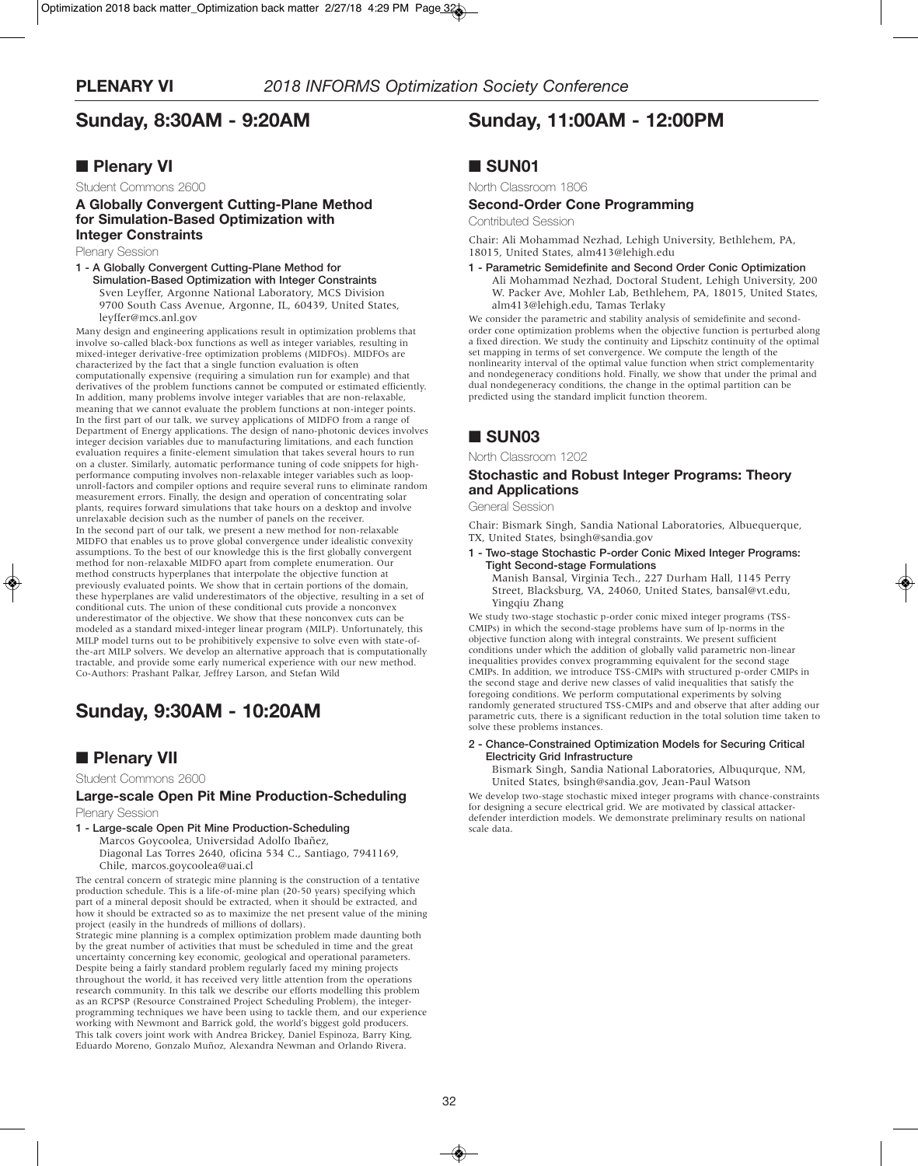# **Sunday, 8:30AM - 9:20AM**

## ■ **Plenary VI**

Student Commons 2600

### **A Globally Convergent Cutting-Plane Method for Simulation-Based Optimization with Integer Constraints**

Plenary Session

**1 - A Globally Convergent Cutting-Plane Method for Simulation-Based Optimization with Integer Constraints** Sven Leyffer, Argonne National Laboratory, MCS Division 9700 South Cass Avenue, Argonne, IL, 60439, United States, leyffer@mcs.anl.gov

Many design and engineering applications result in optimization problems that involve so-called black-box functions as well as integer variables, resulting in mixed-integer derivative-free optimization problems (MIDFOs). MIDFOs are characterized by the fact that a single function evaluation is often computationally expensive (requiring a simulation run for example) and that derivatives of the problem functions cannot be computed or estimated efficiently. In addition, many problems involve integer variables that are non-relaxable, meaning that we cannot evaluate the problem functions at non-integer points. In the first part of our talk, we survey applications of MIDFO from a range of Department of Energy applications. The design of nano-photonic devices involves integer decision variables due to manufacturing limitations, and each function evaluation requires a finite-element simulation that takes several hours to run on a cluster. Similarly, automatic performance tuning of code snippets for highperformance computing involves non-relaxable integer variables such as loopunroll-factors and compiler options and require several runs to eliminate random measurement errors. Finally, the design and operation of concentrating solar plants, requires forward simulations that take hours on a desktop and involve unrelaxable decision such as the number of panels on the receiver. In the second part of our talk, we present a new method for non-relaxable MIDFO that enables us to prove global convergence under idealistic convexity assumptions. To the best of our knowledge this is the first globally convergent method for non-relaxable MIDFO apart from complete enumeration. Our method constructs hyperplanes that interpolate the objective function at previously evaluated points. We show that in certain portions of the domain, these hyperplanes are valid underestimators of the objective, resulting in a set of conditional cuts. The union of these conditional cuts provide a nonconvex underestimator of the objective. We show that these nonconvex cuts can be modeled as a standard mixed-integer linear program (MILP). Unfortunately, this MILP model turns out to be prohibitively expensive to solve even with state-ofthe-art MILP solvers. We develop an alternative approach that is computationally tractable, and provide some early numerical experience with our new method. Co-Authors: Prashant Palkar, Jeffrey Larson, and Stefan Wild

# **Sunday, 9:30AM - 10:20AM**

# ■ **Plenary VII**

Student Commons 2600

### **Large-scale Open Pit Mine Production-Scheduling** Plenary Session

- **1 - Large-scale Open Pit Mine Production-Scheduling**
	- Marcos Goycoolea, Universidad Adolfo Ibañez, Diagonal Las Torres 2640, oficina 534 C., Santiago, 7941169, Chile, marcos.goycoolea@uai.cl

The central concern of strategic mine planning is the construction of a tentative production schedule. This is a life-of-mine plan (20-50 years) specifying which part of a mineral deposit should be extracted, when it should be extracted, and how it should be extracted so as to maximize the net present value of the mining project (easily in the hundreds of millions of dollars).

Strategic mine planning is a complex optimization problem made daunting both by the great number of activities that must be scheduled in time and the great uncertainty concerning key economic, geological and operational parameters. Despite being a fairly standard problem regularly faced my mining projects throughout the world, it has received very little attention from the operations research community. In this talk we describe our efforts modelling this problem as an RCPSP (Resource Constrained Project Scheduling Problem), the integerprogramming techniques we have been using to tackle them, and our experience working with Newmont and Barrick gold, the world's biggest gold producers. This talk covers joint work with Andrea Brickey, Daniel Espinoza, Barry King, Eduardo Moreno, Gonzalo Muñoz, Alexandra Newman and Orlando Rivera.

# **Sunday, 11:00AM - 12:00PM**

# ■ **SUN01**

North Classroom 1806

### **Second-Order Cone Programming**

Contributed Session

Chair: Ali Mohammad Nezhad, Lehigh University, Bethlehem, PA, 18015, United States, alm413@lehigh.edu

### **1 - Parametric Semidefinite and Second Order Conic Optimization**

Ali Mohammad Nezhad, Doctoral Student, Lehigh University, 200 W. Packer Ave, Mohler Lab, Bethlehem, PA, 18015, United States, alm413@lehigh.edu, Tamas Terlaky

We consider the parametric and stability analysis of semidefinite and secondorder cone optimization problems when the objective function is perturbed along a fixed direction. We study the continuity and Lipschitz continuity of the optimal set mapping in terms of set convergence. We compute the length of the nonlinearity interval of the optimal value function when strict complementarity and nondegeneracy conditions hold. Finally, we show that under the primal and dual nondegeneracy conditions, the change in the optimal partition can be predicted using the standard implicit function theorem.

# ■ **SUN03**

North Classroom 1202

### **Stochastic and Robust Integer Programs: Theory and Applications**

General Session

Chair: Bismark Singh, Sandia National Laboratories, Albuequerque, TX, United States, bsingh@sandia.gov

**1 - Two-stage Stochastic P-order Conic Mixed Integer Programs: Tight Second-stage Formulations**

Manish Bansal, Virginia Tech., 227 Durham Hall, 1145 Perry Street, Blacksburg, VA, 24060, United States, bansal@vt.edu, Yingqiu Zhang

We study two-stage stochastic p-order conic mixed integer programs (TSS-CMIPs) in which the second-stage problems have sum of lp-norms in the objective function along with integral constraints. We present sufficient conditions under which the addition of globally valid parametric non-linear inequalities provides convex programming equivalent for the second stage CMIPs. In addition, we introduce TSS-CMIPs with structured p-order CMIPs in the second stage and derive new classes of valid inequalities that satisfy the foregoing conditions. We perform computational experiments by solving randomly generated structured TSS-CMIPs and and observe that after adding our parametric cuts, there is a significant reduction in the total solution time taken to solve these problems instances.

#### **2 - Chance-Constrained Optimization Models for Securing Critical Electricity Grid Infrastructure**

Bismark Singh, Sandia National Laboratories, Albuqurque, NM, United States, bsingh@sandia.gov, Jean-Paul Watson

We develop two-stage stochastic mixed integer programs with chance-constraints for designing a secure electrical grid. We are motivated by classical attackerdefender interdiction models. We demonstrate preliminary results on national scale data.